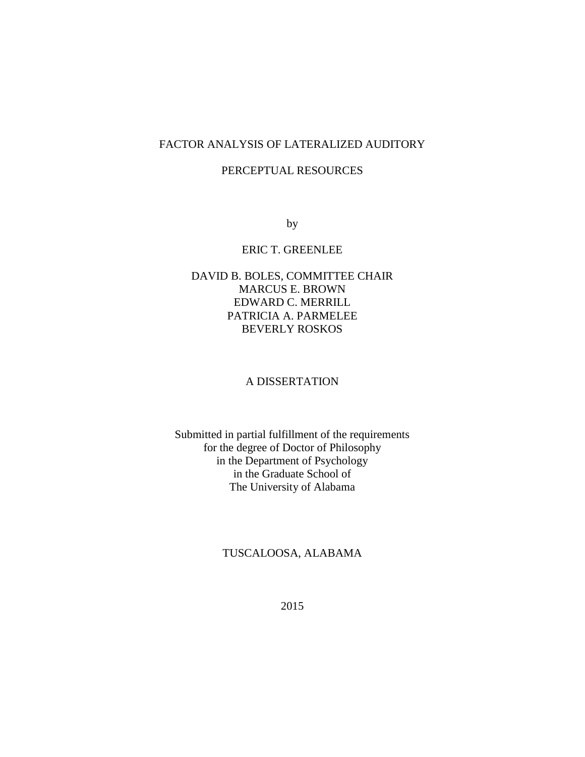# FACTOR ANALYSIS OF LATERALIZED AUDITORY

### PERCEPTUAL RESOURCES

by

#### ERIC T. GREENLEE

## DAVID B. BOLES, COMMITTEE CHAIR MARCUS E. BROWN EDWARD C. MERRILL PATRICIA A. PARMELEE BEVERLY ROSKOS

#### A DISSERTATION

Submitted in partial fulfillment of the requirements for the degree of Doctor of Philosophy in the Department of Psychology in the Graduate School of The University of Alabama

## TUSCALOOSA, ALABAMA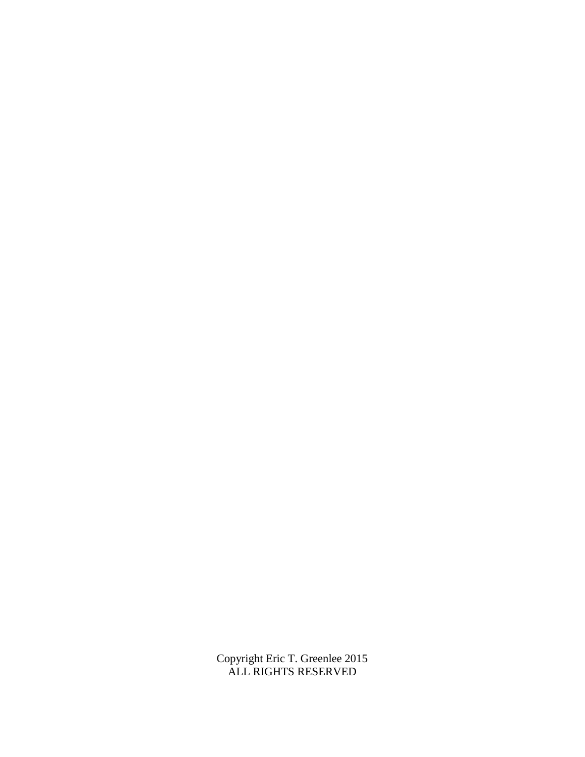Copyright Eric T. Greenlee 2015 ALL RIGHTS RESERVED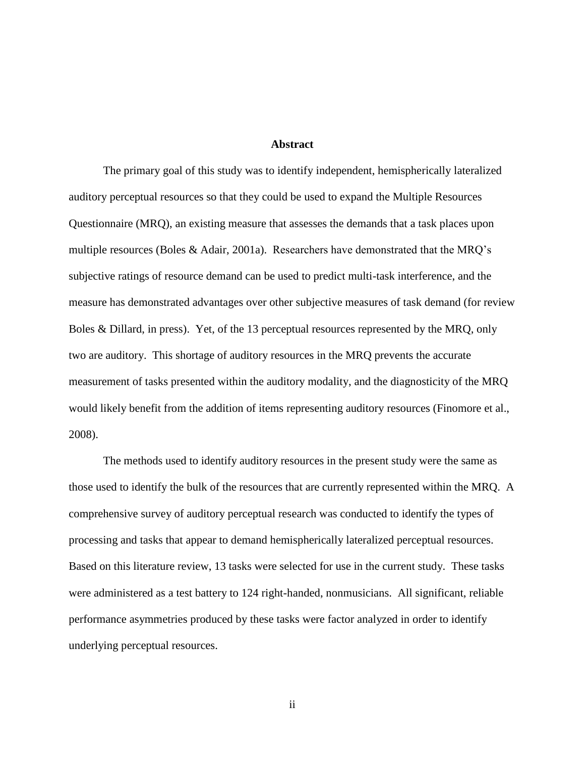#### **Abstract**

The primary goal of this study was to identify independent, hemispherically lateralized auditory perceptual resources so that they could be used to expand the Multiple Resources Questionnaire (MRQ), an existing measure that assesses the demands that a task places upon multiple resources (Boles & Adair, 2001a). Researchers have demonstrated that the MRQ's subjective ratings of resource demand can be used to predict multi-task interference, and the measure has demonstrated advantages over other subjective measures of task demand (for review Boles & Dillard, in press). Yet, of the 13 perceptual resources represented by the MRQ, only two are auditory. This shortage of auditory resources in the MRQ prevents the accurate measurement of tasks presented within the auditory modality, and the diagnosticity of the MRQ would likely benefit from the addition of items representing auditory resources (Finomore et al., 2008).

The methods used to identify auditory resources in the present study were the same as those used to identify the bulk of the resources that are currently represented within the MRQ. A comprehensive survey of auditory perceptual research was conducted to identify the types of processing and tasks that appear to demand hemispherically lateralized perceptual resources. Based on this literature review, 13 tasks were selected for use in the current study. These tasks were administered as a test battery to 124 right-handed, nonmusicians. All significant, reliable performance asymmetries produced by these tasks were factor analyzed in order to identify underlying perceptual resources.

ii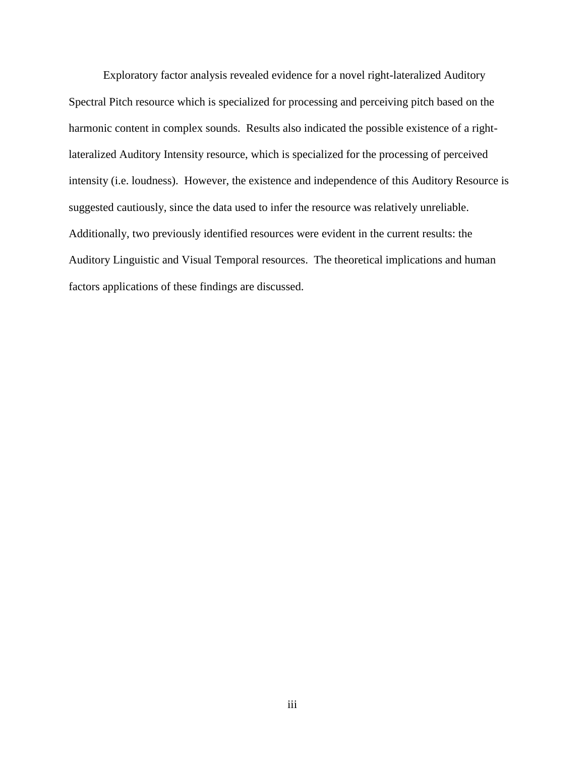Exploratory factor analysis revealed evidence for a novel right-lateralized Auditory Spectral Pitch resource which is specialized for processing and perceiving pitch based on the harmonic content in complex sounds. Results also indicated the possible existence of a rightlateralized Auditory Intensity resource, which is specialized for the processing of perceived intensity (i.e. loudness). However, the existence and independence of this Auditory Resource is suggested cautiously, since the data used to infer the resource was relatively unreliable. Additionally, two previously identified resources were evident in the current results: the Auditory Linguistic and Visual Temporal resources. The theoretical implications and human factors applications of these findings are discussed.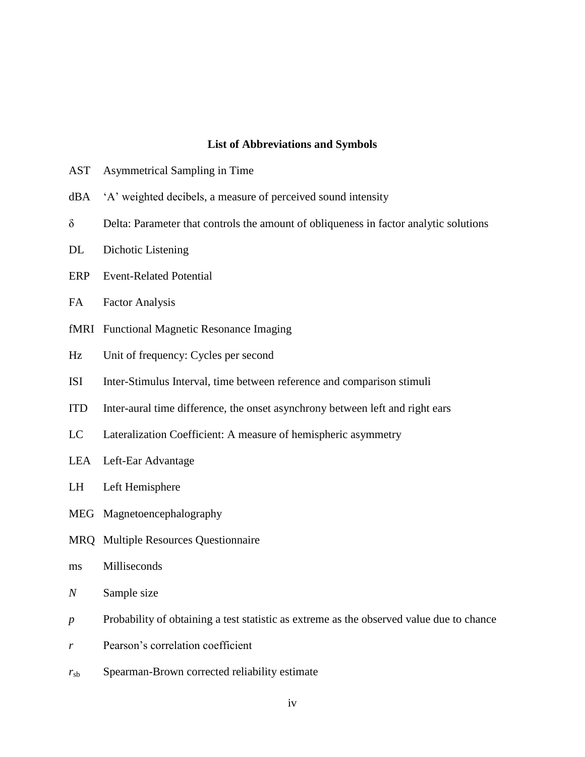#### **List of Abbreviations and Symbols**

- AST Asymmetrical Sampling in Time
- dBA 'A' weighted decibels, a measure of perceived sound intensity
- δ Delta: Parameter that controls the amount of obliqueness in factor analytic solutions
- DL Dichotic Listening
- ERP Event-Related Potential
- FA Factor Analysis
- fMRI Functional Magnetic Resonance Imaging
- Hz Unit of frequency: Cycles per second
- ISI Inter-Stimulus Interval, time between reference and comparison stimuli
- ITD Inter-aural time difference, the onset asynchrony between left and right ears
- LC Lateralization Coefficient: A measure of hemispheric asymmetry
- LEA Left-Ear Advantage
- LH Left Hemisphere
- MEG Magnetoencephalography
- MRQ Multiple Resources Questionnaire
- ms Milliseconds
- *N* Sample size
- *p* Probability of obtaining a test statistic as extreme as the observed value due to chance
- *r* Pearson's correlation coefficient
- *r*sb Spearman-Brown corrected reliability estimate
	- iv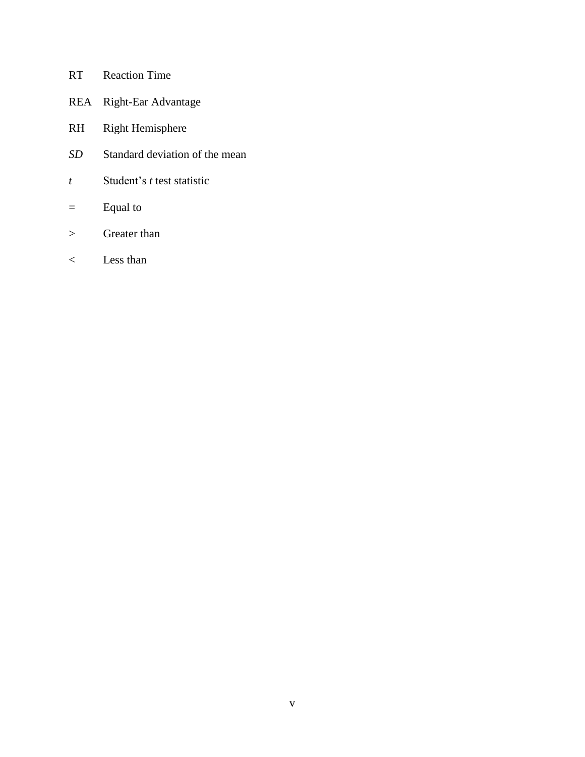- RT Reaction Time
- REA Right-Ear Advantage
- RH Right Hemisphere
- *SD* Standard deviation of the mean
- *t* Student's *t* test statistic
- = Equal to
- > Greater than
- < Less than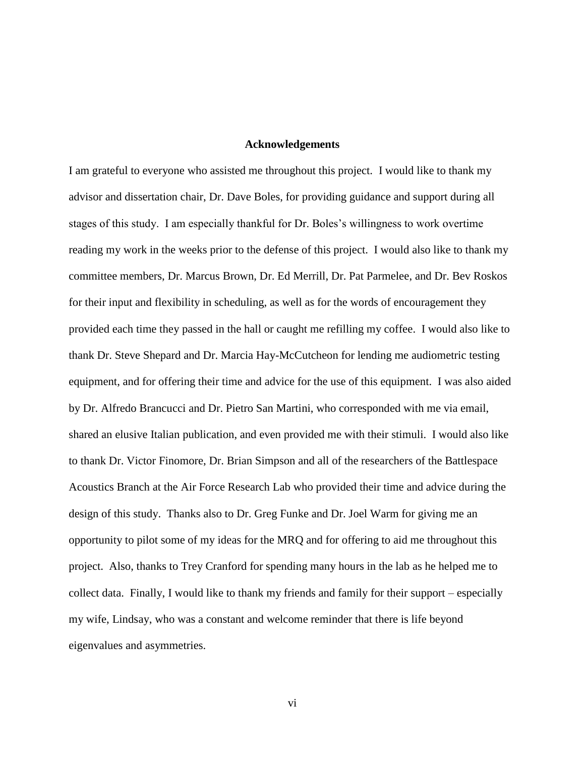#### **Acknowledgements**

I am grateful to everyone who assisted me throughout this project. I would like to thank my advisor and dissertation chair, Dr. Dave Boles, for providing guidance and support during all stages of this study. I am especially thankful for Dr. Boles's willingness to work overtime reading my work in the weeks prior to the defense of this project. I would also like to thank my committee members, Dr. Marcus Brown, Dr. Ed Merrill, Dr. Pat Parmelee, and Dr. Bev Roskos for their input and flexibility in scheduling, as well as for the words of encouragement they provided each time they passed in the hall or caught me refilling my coffee. I would also like to thank Dr. Steve Shepard and Dr. Marcia Hay-McCutcheon for lending me audiometric testing equipment, and for offering their time and advice for the use of this equipment. I was also aided by Dr. Alfredo Brancucci and Dr. Pietro San Martini, who corresponded with me via email, shared an elusive Italian publication, and even provided me with their stimuli. I would also like to thank Dr. Victor Finomore, Dr. Brian Simpson and all of the researchers of the Battlespace Acoustics Branch at the Air Force Research Lab who provided their time and advice during the design of this study. Thanks also to Dr. Greg Funke and Dr. Joel Warm for giving me an opportunity to pilot some of my ideas for the MRQ and for offering to aid me throughout this project. Also, thanks to Trey Cranford for spending many hours in the lab as he helped me to collect data. Finally, I would like to thank my friends and family for their support – especially my wife, Lindsay, who was a constant and welcome reminder that there is life beyond eigenvalues and asymmetries.

vi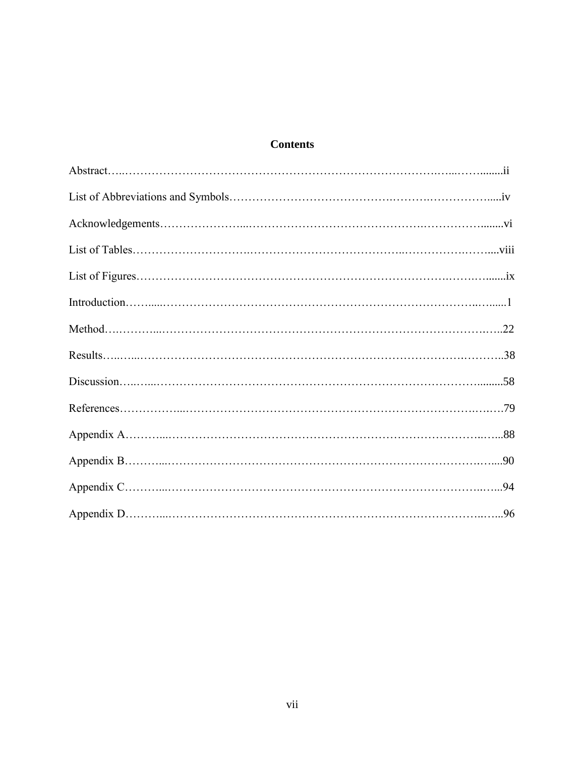# **Contents**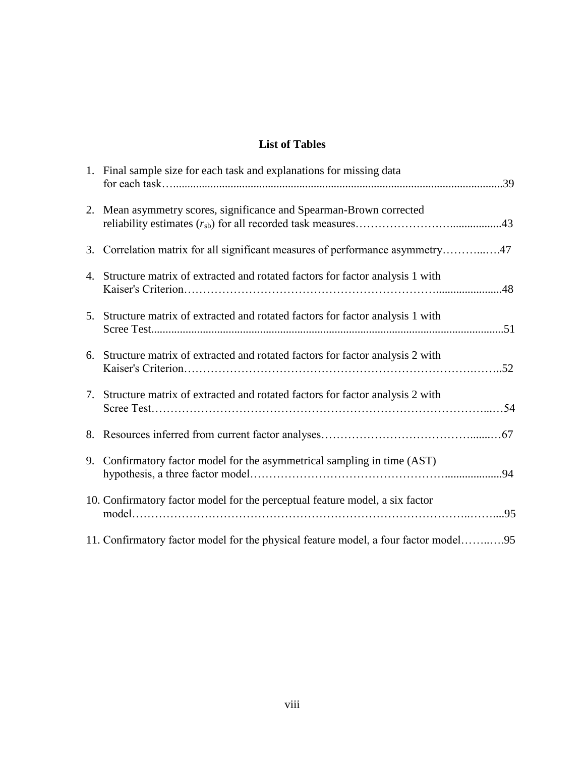# **List of Tables**

| 1. Final sample size for each task and explanations for missing data                |
|-------------------------------------------------------------------------------------|
| 2. Mean asymmetry scores, significance and Spearman-Brown corrected                 |
| 3. Correlation matrix for all significant measures of performance asymmetry47       |
| 4. Structure matrix of extracted and rotated factors for factor analysis 1 with     |
| 5. Structure matrix of extracted and rotated factors for factor analysis 1 with     |
| 6. Structure matrix of extracted and rotated factors for factor analysis 2 with     |
| 7. Structure matrix of extracted and rotated factors for factor analysis 2 with     |
|                                                                                     |
| 9. Confirmatory factor model for the asymmetrical sampling in time (AST)            |
| 10. Confirmatory factor model for the perceptual feature model, a six factor        |
| 11. Confirmatory factor model for the physical feature model, a four factor model95 |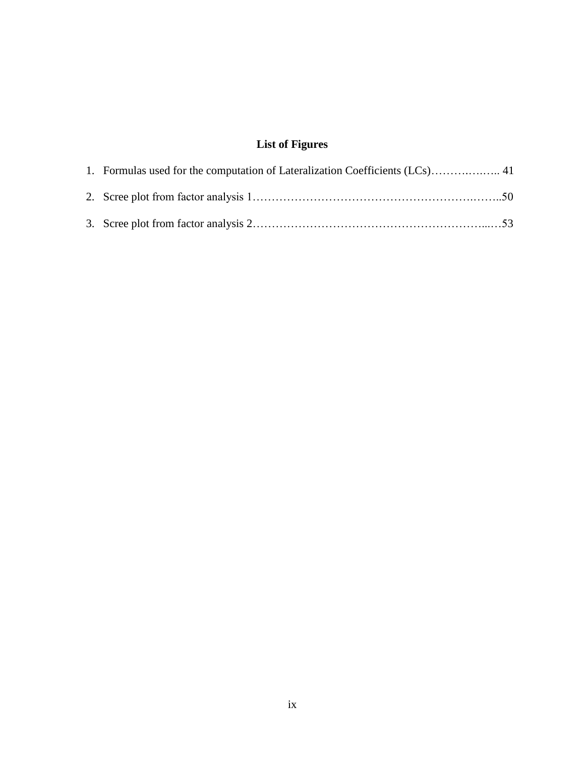# **List of Figures**

| 1. Formulas used for the computation of Lateralization Coefficients (LCs) 41 |  |
|------------------------------------------------------------------------------|--|
|                                                                              |  |
|                                                                              |  |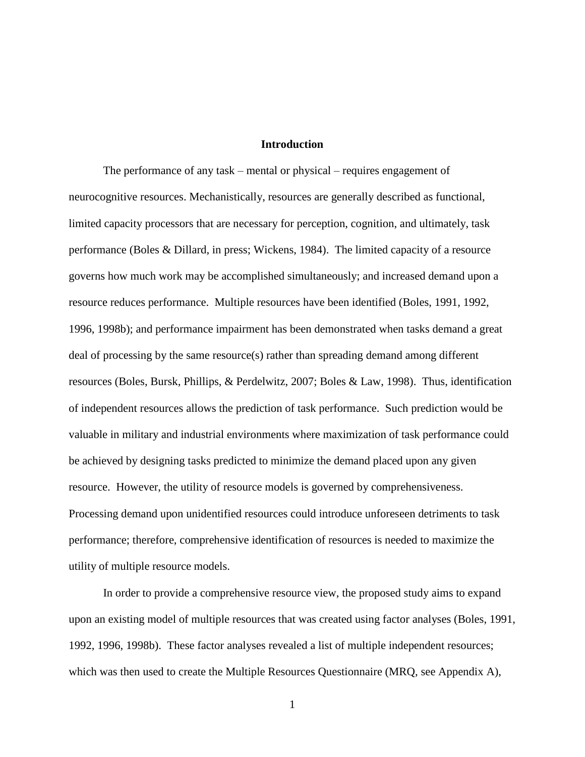#### **Introduction**

The performance of any task – mental or physical – requires engagement of neurocognitive resources. Mechanistically, resources are generally described as functional, limited capacity processors that are necessary for perception, cognition, and ultimately, task performance (Boles & Dillard, in press; Wickens, 1984). The limited capacity of a resource governs how much work may be accomplished simultaneously; and increased demand upon a resource reduces performance. Multiple resources have been identified (Boles, 1991, 1992, 1996, 1998b); and performance impairment has been demonstrated when tasks demand a great deal of processing by the same resource(s) rather than spreading demand among different resources (Boles, Bursk, Phillips, & Perdelwitz, 2007; Boles & Law, 1998). Thus, identification of independent resources allows the prediction of task performance. Such prediction would be valuable in military and industrial environments where maximization of task performance could be achieved by designing tasks predicted to minimize the demand placed upon any given resource. However, the utility of resource models is governed by comprehensiveness. Processing demand upon unidentified resources could introduce unforeseen detriments to task performance; therefore, comprehensive identification of resources is needed to maximize the utility of multiple resource models.

In order to provide a comprehensive resource view, the proposed study aims to expand upon an existing model of multiple resources that was created using factor analyses (Boles, 1991, 1992, 1996, 1998b). These factor analyses revealed a list of multiple independent resources; which was then used to create the Multiple Resources Questionnaire (MRQ, see Appendix A),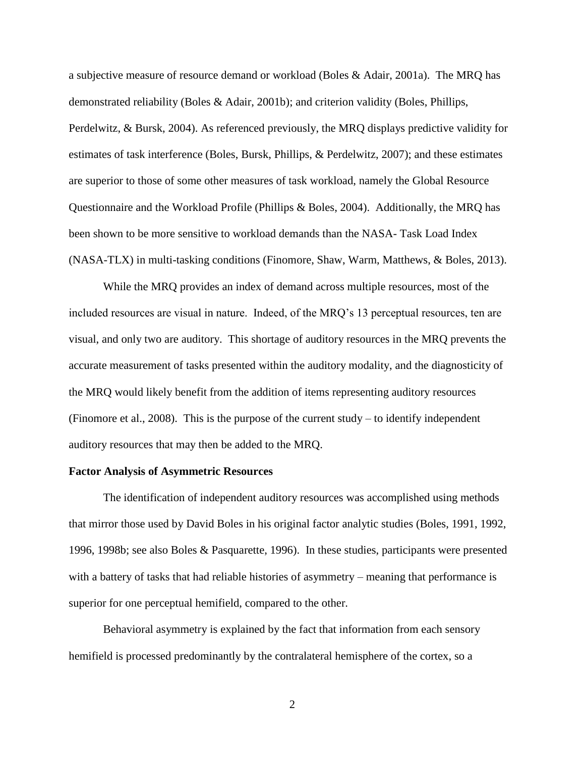a subjective measure of resource demand or workload (Boles & Adair, 2001a). The MRQ has demonstrated reliability (Boles & Adair, 2001b); and criterion validity (Boles, Phillips, Perdelwitz, & Bursk, 2004). As referenced previously, the MRQ displays predictive validity for estimates of task interference (Boles, Bursk, Phillips, & Perdelwitz, 2007); and these estimates are superior to those of some other measures of task workload, namely the Global Resource Questionnaire and the Workload Profile (Phillips & Boles, 2004). Additionally, the MRQ has been shown to be more sensitive to workload demands than the NASA- Task Load Index (NASA-TLX) in multi-tasking conditions (Finomore, Shaw, Warm, Matthews, & Boles, 2013).

While the MRQ provides an index of demand across multiple resources, most of the included resources are visual in nature. Indeed, of the MRQ's 13 perceptual resources, ten are visual, and only two are auditory. This shortage of auditory resources in the MRQ prevents the accurate measurement of tasks presented within the auditory modality, and the diagnosticity of the MRQ would likely benefit from the addition of items representing auditory resources (Finomore et al., 2008). This is the purpose of the current study – to identify independent auditory resources that may then be added to the MRQ.

#### **Factor Analysis of Asymmetric Resources**

The identification of independent auditory resources was accomplished using methods that mirror those used by David Boles in his original factor analytic studies (Boles, 1991, 1992, 1996, 1998b; see also Boles & Pasquarette, 1996). In these studies, participants were presented with a battery of tasks that had reliable histories of asymmetry – meaning that performance is superior for one perceptual hemifield, compared to the other.

Behavioral asymmetry is explained by the fact that information from each sensory hemifield is processed predominantly by the contralateral hemisphere of the cortex, so a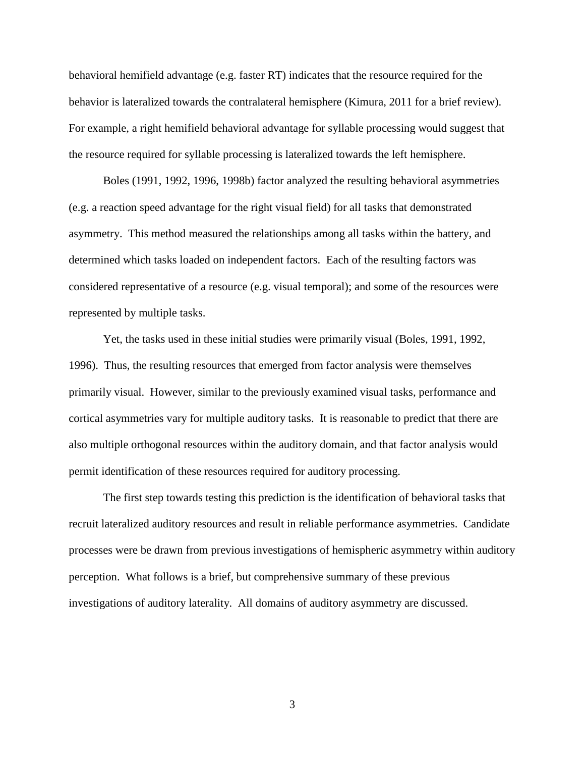behavioral hemifield advantage (e.g. faster RT) indicates that the resource required for the behavior is lateralized towards the contralateral hemisphere (Kimura, 2011 for a brief review). For example, a right hemifield behavioral advantage for syllable processing would suggest that the resource required for syllable processing is lateralized towards the left hemisphere.

Boles (1991, 1992, 1996, 1998b) factor analyzed the resulting behavioral asymmetries (e.g. a reaction speed advantage for the right visual field) for all tasks that demonstrated asymmetry. This method measured the relationships among all tasks within the battery, and determined which tasks loaded on independent factors. Each of the resulting factors was considered representative of a resource (e.g. visual temporal); and some of the resources were represented by multiple tasks.

Yet, the tasks used in these initial studies were primarily visual (Boles, 1991, 1992, 1996). Thus, the resulting resources that emerged from factor analysis were themselves primarily visual. However, similar to the previously examined visual tasks, performance and cortical asymmetries vary for multiple auditory tasks. It is reasonable to predict that there are also multiple orthogonal resources within the auditory domain, and that factor analysis would permit identification of these resources required for auditory processing.

The first step towards testing this prediction is the identification of behavioral tasks that recruit lateralized auditory resources and result in reliable performance asymmetries. Candidate processes were be drawn from previous investigations of hemispheric asymmetry within auditory perception. What follows is a brief, but comprehensive summary of these previous investigations of auditory laterality. All domains of auditory asymmetry are discussed.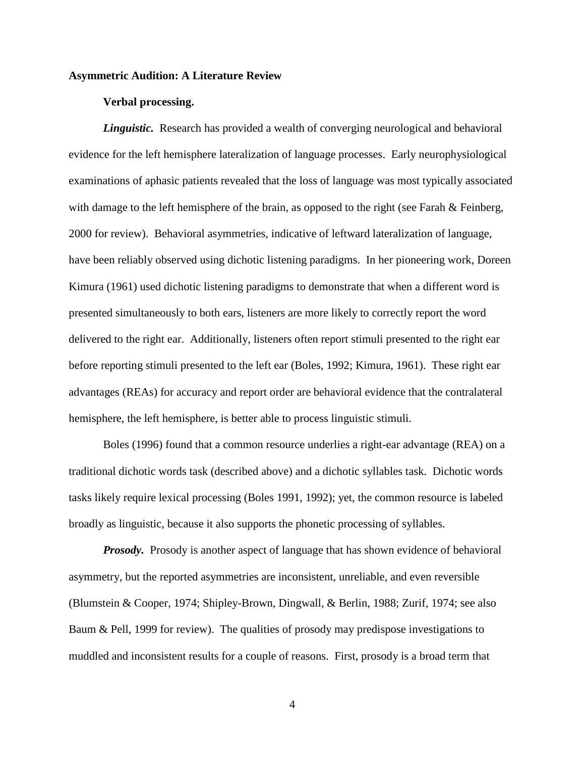#### **Asymmetric Audition: A Literature Review**

#### **Verbal processing.**

*Linguistic.* Research has provided a wealth of converging neurological and behavioral evidence for the left hemisphere lateralization of language processes. Early neurophysiological examinations of aphasic patients revealed that the loss of language was most typically associated with damage to the left hemisphere of the brain, as opposed to the right (see Farah & Feinberg, 2000 for review). Behavioral asymmetries, indicative of leftward lateralization of language, have been reliably observed using dichotic listening paradigms. In her pioneering work, Doreen Kimura (1961) used dichotic listening paradigms to demonstrate that when a different word is presented simultaneously to both ears, listeners are more likely to correctly report the word delivered to the right ear. Additionally, listeners often report stimuli presented to the right ear before reporting stimuli presented to the left ear (Boles, 1992; Kimura, 1961). These right ear advantages (REAs) for accuracy and report order are behavioral evidence that the contralateral hemisphere, the left hemisphere, is better able to process linguistic stimuli.

Boles (1996) found that a common resource underlies a right-ear advantage (REA) on a traditional dichotic words task (described above) and a dichotic syllables task. Dichotic words tasks likely require lexical processing (Boles 1991, 1992); yet, the common resource is labeled broadly as linguistic, because it also supports the phonetic processing of syllables.

*Prosody.* Prosody is another aspect of language that has shown evidence of behavioral asymmetry, but the reported asymmetries are inconsistent, unreliable, and even reversible (Blumstein & Cooper, 1974; Shipley-Brown, Dingwall, & Berlin, 1988; Zurif, 1974; see also Baum & Pell, 1999 for review). The qualities of prosody may predispose investigations to muddled and inconsistent results for a couple of reasons. First, prosody is a broad term that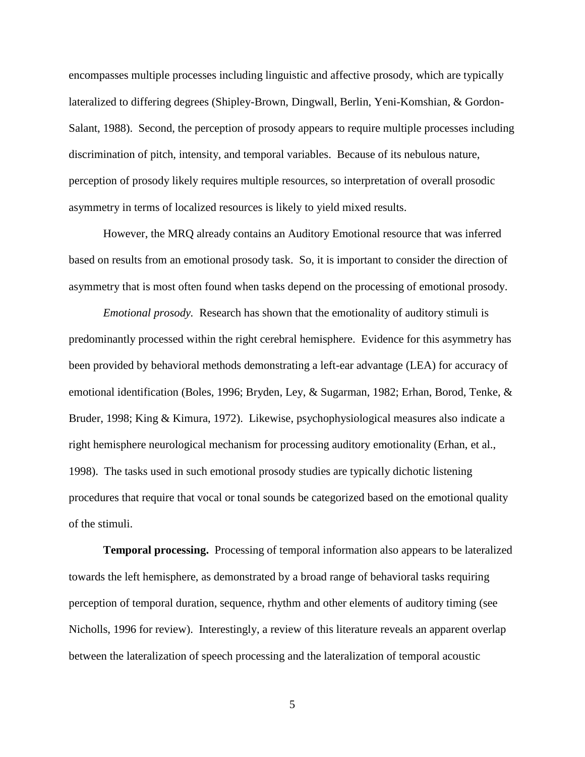encompasses multiple processes including linguistic and affective prosody, which are typically lateralized to differing degrees (Shipley-Brown, Dingwall, Berlin, Yeni-Komshian, & Gordon-Salant, 1988). Second, the perception of prosody appears to require multiple processes including discrimination of pitch, intensity, and temporal variables. Because of its nebulous nature, perception of prosody likely requires multiple resources, so interpretation of overall prosodic asymmetry in terms of localized resources is likely to yield mixed results.

However, the MRQ already contains an Auditory Emotional resource that was inferred based on results from an emotional prosody task. So, it is important to consider the direction of asymmetry that is most often found when tasks depend on the processing of emotional prosody.

*Emotional prosody.* Research has shown that the emotionality of auditory stimuli is predominantly processed within the right cerebral hemisphere. Evidence for this asymmetry has been provided by behavioral methods demonstrating a left-ear advantage (LEA) for accuracy of emotional identification (Boles, 1996; Bryden, Ley, & Sugarman, 1982; Erhan, Borod, Tenke, & Bruder, 1998; King & Kimura, 1972). Likewise, psychophysiological measures also indicate a right hemisphere neurological mechanism for processing auditory emotionality (Erhan, et al., 1998). The tasks used in such emotional prosody studies are typically dichotic listening procedures that require that vocal or tonal sounds be categorized based on the emotional quality of the stimuli.

**Temporal processing.** Processing of temporal information also appears to be lateralized towards the left hemisphere, as demonstrated by a broad range of behavioral tasks requiring perception of temporal duration, sequence, rhythm and other elements of auditory timing (see Nicholls, 1996 for review). Interestingly, a review of this literature reveals an apparent overlap between the lateralization of speech processing and the lateralization of temporal acoustic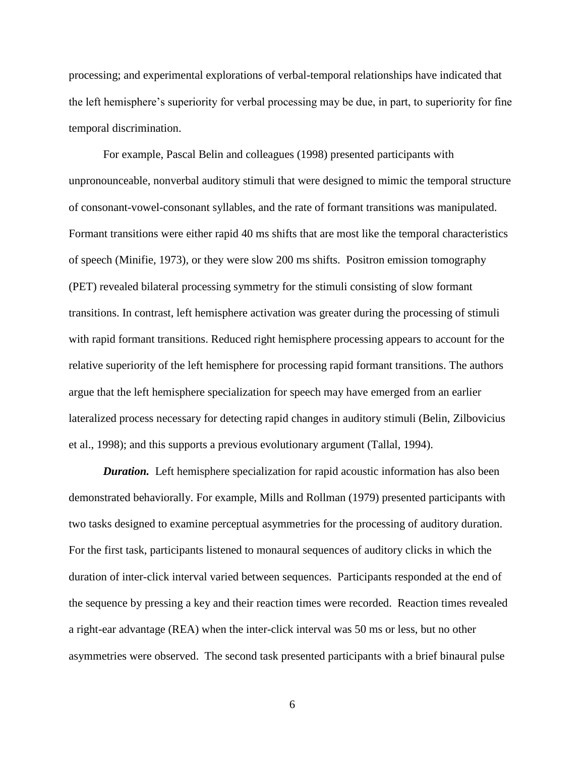processing; and experimental explorations of verbal-temporal relationships have indicated that the left hemisphere's superiority for verbal processing may be due, in part, to superiority for fine temporal discrimination.

For example, Pascal Belin and colleagues (1998) presented participants with unpronounceable, nonverbal auditory stimuli that were designed to mimic the temporal structure of consonant-vowel-consonant syllables, and the rate of formant transitions was manipulated. Formant transitions were either rapid 40 ms shifts that are most like the temporal characteristics of speech (Minifie, 1973), or they were slow 200 ms shifts. Positron emission tomography (PET) revealed bilateral processing symmetry for the stimuli consisting of slow formant transitions. In contrast, left hemisphere activation was greater during the processing of stimuli with rapid formant transitions. Reduced right hemisphere processing appears to account for the relative superiority of the left hemisphere for processing rapid formant transitions. The authors argue that the left hemisphere specialization for speech may have emerged from an earlier lateralized process necessary for detecting rapid changes in auditory stimuli (Belin, Zilbovicius et al., 1998); and this supports a previous evolutionary argument (Tallal, 1994).

*Duration.* Left hemisphere specialization for rapid acoustic information has also been demonstrated behaviorally. For example, Mills and Rollman (1979) presented participants with two tasks designed to examine perceptual asymmetries for the processing of auditory duration. For the first task, participants listened to monaural sequences of auditory clicks in which the duration of inter-click interval varied between sequences. Participants responded at the end of the sequence by pressing a key and their reaction times were recorded. Reaction times revealed a right-ear advantage (REA) when the inter-click interval was 50 ms or less, but no other asymmetries were observed. The second task presented participants with a brief binaural pulse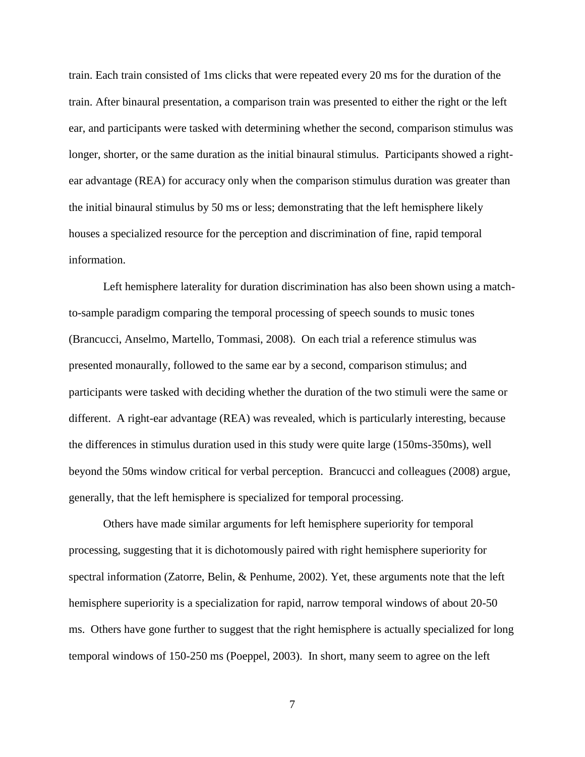train. Each train consisted of 1ms clicks that were repeated every 20 ms for the duration of the train. After binaural presentation, a comparison train was presented to either the right or the left ear, and participants were tasked with determining whether the second, comparison stimulus was longer, shorter, or the same duration as the initial binaural stimulus. Participants showed a rightear advantage (REA) for accuracy only when the comparison stimulus duration was greater than the initial binaural stimulus by 50 ms or less; demonstrating that the left hemisphere likely houses a specialized resource for the perception and discrimination of fine, rapid temporal information.

Left hemisphere laterality for duration discrimination has also been shown using a matchto-sample paradigm comparing the temporal processing of speech sounds to music tones (Brancucci, Anselmo, Martello, Tommasi, 2008). On each trial a reference stimulus was presented monaurally, followed to the same ear by a second, comparison stimulus; and participants were tasked with deciding whether the duration of the two stimuli were the same or different. A right-ear advantage (REA) was revealed, which is particularly interesting, because the differences in stimulus duration used in this study were quite large (150ms-350ms), well beyond the 50ms window critical for verbal perception. Brancucci and colleagues (2008) argue, generally, that the left hemisphere is specialized for temporal processing.

Others have made similar arguments for left hemisphere superiority for temporal processing, suggesting that it is dichotomously paired with right hemisphere superiority for spectral information (Zatorre, Belin, & Penhume, 2002). Yet, these arguments note that the left hemisphere superiority is a specialization for rapid, narrow temporal windows of about 20-50 ms. Others have gone further to suggest that the right hemisphere is actually specialized for long temporal windows of 150-250 ms (Poeppel, 2003). In short, many seem to agree on the left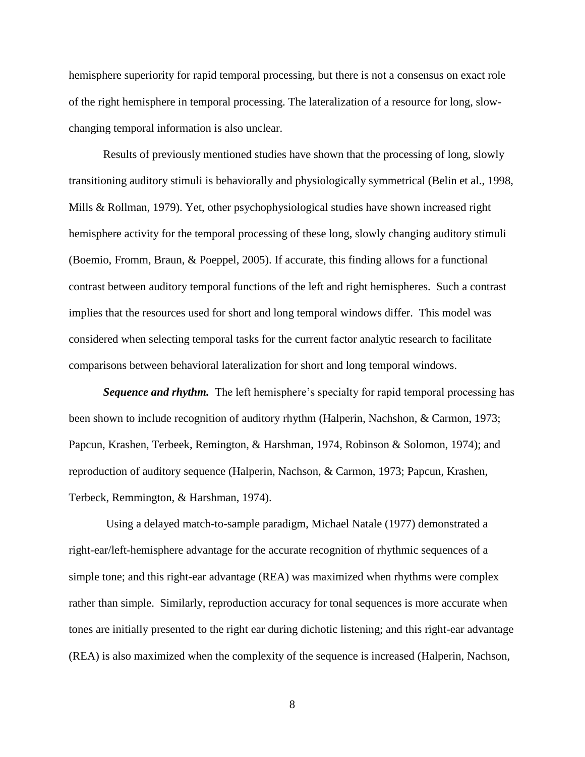hemisphere superiority for rapid temporal processing, but there is not a consensus on exact role of the right hemisphere in temporal processing. The lateralization of a resource for long, slowchanging temporal information is also unclear.

Results of previously mentioned studies have shown that the processing of long, slowly transitioning auditory stimuli is behaviorally and physiologically symmetrical (Belin et al., 1998, Mills & Rollman, 1979). Yet, other psychophysiological studies have shown increased right hemisphere activity for the temporal processing of these long, slowly changing auditory stimuli (Boemio, Fromm, Braun, & Poeppel, 2005). If accurate, this finding allows for a functional contrast between auditory temporal functions of the left and right hemispheres. Such a contrast implies that the resources used for short and long temporal windows differ. This model was considered when selecting temporal tasks for the current factor analytic research to facilitate comparisons between behavioral lateralization for short and long temporal windows.

*Sequence and rhythm.* The left hemisphere's specialty for rapid temporal processing has been shown to include recognition of auditory rhythm (Halperin, Nachshon, & Carmon, 1973; Papcun, Krashen, Terbeek, Remington, & Harshman, 1974, Robinson & Solomon, 1974); and reproduction of auditory sequence (Halperin, Nachson, & Carmon, 1973; Papcun, Krashen, Terbeck, Remmington, & Harshman, 1974).

Using a delayed match-to-sample paradigm, Michael Natale (1977) demonstrated a right-ear/left-hemisphere advantage for the accurate recognition of rhythmic sequences of a simple tone; and this right-ear advantage (REA) was maximized when rhythms were complex rather than simple. Similarly, reproduction accuracy for tonal sequences is more accurate when tones are initially presented to the right ear during dichotic listening; and this right-ear advantage (REA) is also maximized when the complexity of the sequence is increased (Halperin, Nachson,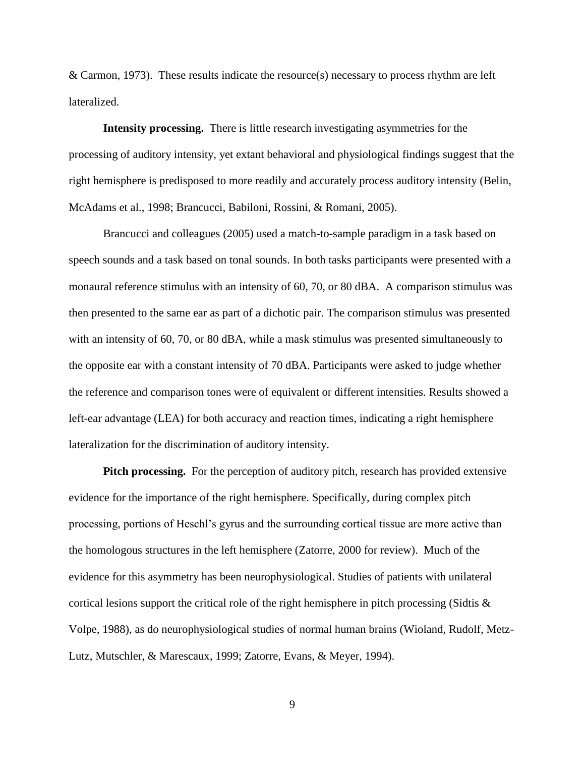& Carmon, 1973). These results indicate the resource(s) necessary to process rhythm are left lateralized.

**Intensity processing.** There is little research investigating asymmetries for the processing of auditory intensity, yet extant behavioral and physiological findings suggest that the right hemisphere is predisposed to more readily and accurately process auditory intensity (Belin, McAdams et al., 1998; Brancucci, Babiloni, Rossini, & Romani, 2005).

Brancucci and colleagues (2005) used a match-to-sample paradigm in a task based on speech sounds and a task based on tonal sounds. In both tasks participants were presented with a monaural reference stimulus with an intensity of 60, 70, or 80 dBA. A comparison stimulus was then presented to the same ear as part of a dichotic pair. The comparison stimulus was presented with an intensity of 60, 70, or 80 dBA, while a mask stimulus was presented simultaneously to the opposite ear with a constant intensity of 70 dBA. Participants were asked to judge whether the reference and comparison tones were of equivalent or different intensities. Results showed a left-ear advantage (LEA) for both accuracy and reaction times, indicating a right hemisphere lateralization for the discrimination of auditory intensity.

**Pitch processing.** For the perception of auditory pitch, research has provided extensive evidence for the importance of the right hemisphere. Specifically, during complex pitch processing, portions of Heschl's gyrus and the surrounding cortical tissue are more active than the homologous structures in the left hemisphere (Zatorre, 2000 for review). Much of the evidence for this asymmetry has been neurophysiological. Studies of patients with unilateral cortical lesions support the critical role of the right hemisphere in pitch processing (Sidtis & Volpe, 1988), as do neurophysiological studies of normal human brains (Wioland, Rudolf, Metz-Lutz, Mutschler, & Marescaux, 1999; Zatorre, Evans, & Meyer, 1994).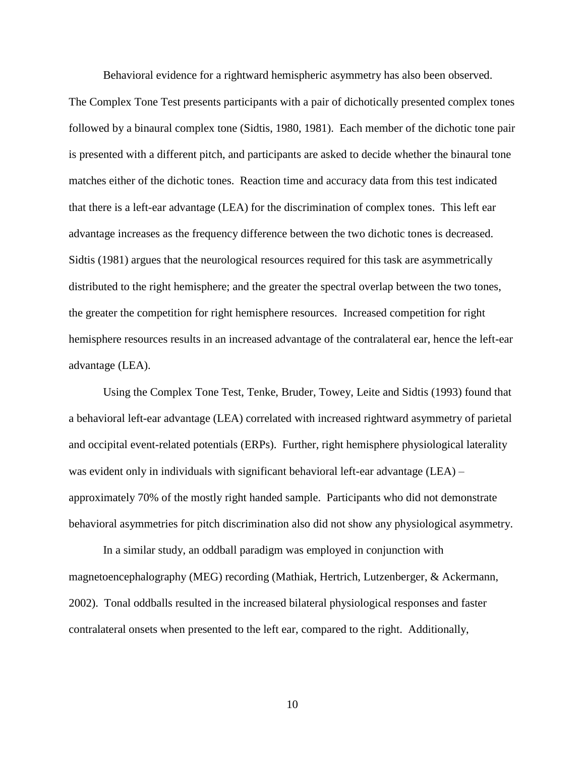Behavioral evidence for a rightward hemispheric asymmetry has also been observed.

The Complex Tone Test presents participants with a pair of dichotically presented complex tones followed by a binaural complex tone (Sidtis, 1980, 1981). Each member of the dichotic tone pair is presented with a different pitch, and participants are asked to decide whether the binaural tone matches either of the dichotic tones. Reaction time and accuracy data from this test indicated that there is a left-ear advantage (LEA) for the discrimination of complex tones. This left ear advantage increases as the frequency difference between the two dichotic tones is decreased. Sidtis (1981) argues that the neurological resources required for this task are asymmetrically distributed to the right hemisphere; and the greater the spectral overlap between the two tones, the greater the competition for right hemisphere resources. Increased competition for right hemisphere resources results in an increased advantage of the contralateral ear, hence the left-ear advantage (LEA).

Using the Complex Tone Test, Tenke, Bruder, Towey, Leite and Sidtis (1993) found that a behavioral left-ear advantage (LEA) correlated with increased rightward asymmetry of parietal and occipital event-related potentials (ERPs). Further, right hemisphere physiological laterality was evident only in individuals with significant behavioral left-ear advantage (LEA) – approximately 70% of the mostly right handed sample. Participants who did not demonstrate behavioral asymmetries for pitch discrimination also did not show any physiological asymmetry.

In a similar study, an oddball paradigm was employed in conjunction with magnetoencephalography (MEG) recording (Mathiak, Hertrich, Lutzenberger, & Ackermann, 2002). Tonal oddballs resulted in the increased bilateral physiological responses and faster contralateral onsets when presented to the left ear, compared to the right. Additionally,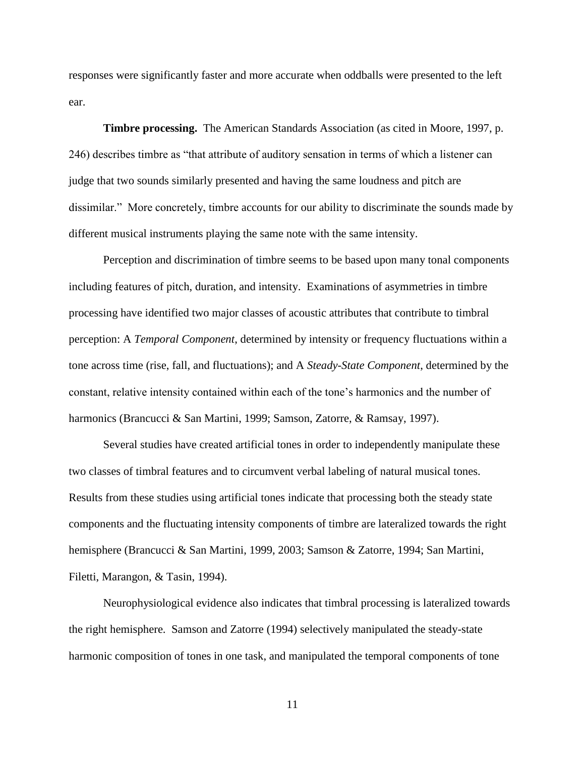responses were significantly faster and more accurate when oddballs were presented to the left ear.

**Timbre processing.** The American Standards Association (as cited in Moore, 1997, p. 246) describes timbre as "that attribute of auditory sensation in terms of which a listener can judge that two sounds similarly presented and having the same loudness and pitch are dissimilar." More concretely, timbre accounts for our ability to discriminate the sounds made by different musical instruments playing the same note with the same intensity.

Perception and discrimination of timbre seems to be based upon many tonal components including features of pitch, duration, and intensity. Examinations of asymmetries in timbre processing have identified two major classes of acoustic attributes that contribute to timbral perception: A *Temporal Component*, determined by intensity or frequency fluctuations within a tone across time (rise, fall, and fluctuations); and A *Steady-State Component*, determined by the constant, relative intensity contained within each of the tone's harmonics and the number of harmonics (Brancucci & San Martini, 1999; Samson, Zatorre, & Ramsay, 1997).

Several studies have created artificial tones in order to independently manipulate these two classes of timbral features and to circumvent verbal labeling of natural musical tones. Results from these studies using artificial tones indicate that processing both the steady state components and the fluctuating intensity components of timbre are lateralized towards the right hemisphere (Brancucci & San Martini, 1999, 2003; Samson & Zatorre, 1994; San Martini, Filetti, Marangon, & Tasin, 1994).

Neurophysiological evidence also indicates that timbral processing is lateralized towards the right hemisphere. Samson and Zatorre (1994) selectively manipulated the steady-state harmonic composition of tones in one task, and manipulated the temporal components of tone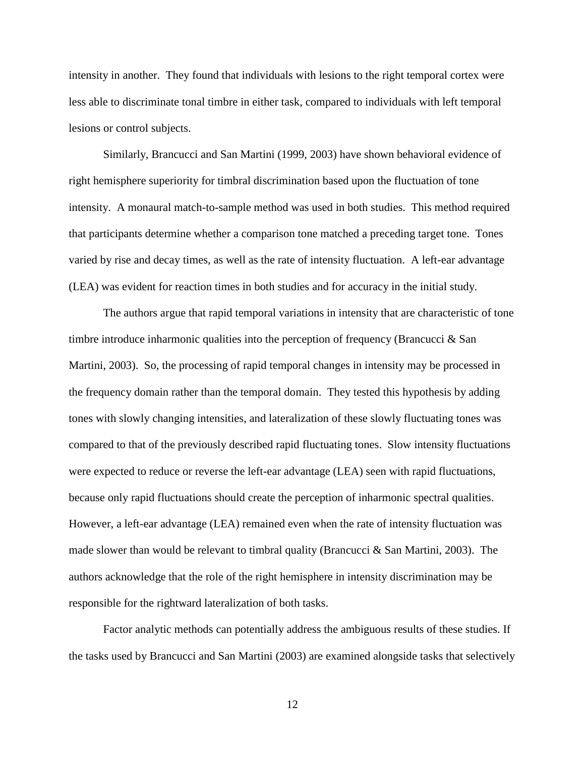intensity in another. They found that individuals with lesions to the right temporal cortex were less able to discriminate tonal timbre in either task, compared to individuals with left temporal lesions or control subjects.

Similarly, Brancucci and San Martini (1999, 2003) have shown behavioral evidence of right hemisphere superiority for timbral discrimination based upon the fluctuation of tone intensity. A monaural match-to-sample method was used in both studies. This method required that participants determine whether a comparison tone matched a preceding target tone. Tones varied by rise and decay times, as well as the rate of intensity fluctuation. A left-ear advantage (LEA) was evident for reaction times in both studies and for accuracy in the initial study.

The authors argue that rapid temporal variations in intensity that are characteristic of tone timbre introduce inharmonic qualities into the perception of frequency (Brancucci & San Martini, 2003). So, the processing of rapid temporal changes in intensity may be processed in the frequency domain rather than the temporal domain. They tested this hypothesis by adding tones with slowly changing intensities, and lateralization of these slowly fluctuating tones was compared to that of the previously described rapid fluctuating tones. Slow intensity fluctuations were expected to reduce or reverse the left-ear advantage (LEA) seen with rapid fluctuations, because only rapid fluctuations should create the perception of inharmonic spectral qualities. However, a left-ear advantage (LEA) remained even when the rate of intensity fluctuation was made slower than would be relevant to timbral quality (Brancucci & San Martini, 2003). The authors acknowledge that the role of the right hemisphere in intensity discrimination may be responsible for the rightward lateralization of both tasks.

Factor analytic methods can potentially address the ambiguous results of these studies. If the tasks used by Brancucci and San Martini (2003) are examined alongside tasks that selectively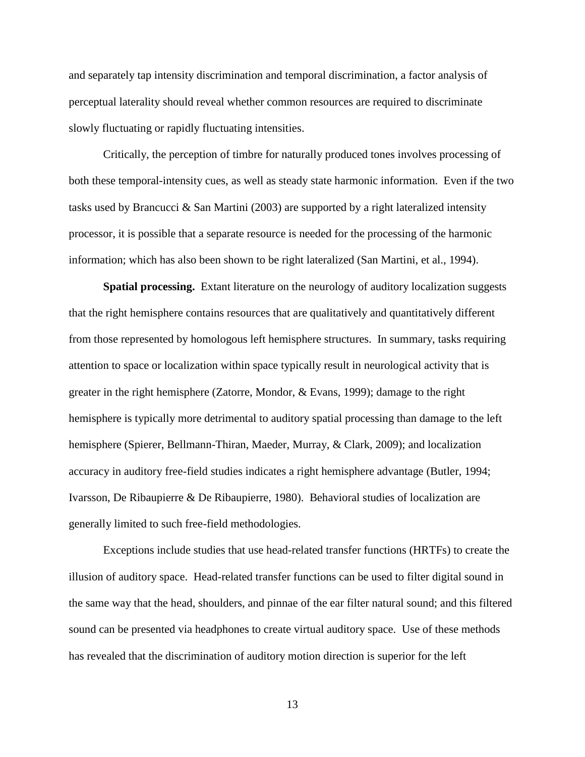and separately tap intensity discrimination and temporal discrimination, a factor analysis of perceptual laterality should reveal whether common resources are required to discriminate slowly fluctuating or rapidly fluctuating intensities.

Critically, the perception of timbre for naturally produced tones involves processing of both these temporal-intensity cues, as well as steady state harmonic information. Even if the two tasks used by Brancucci & San Martini (2003) are supported by a right lateralized intensity processor, it is possible that a separate resource is needed for the processing of the harmonic information; which has also been shown to be right lateralized (San Martini, et al., 1994).

**Spatial processing.** Extant literature on the neurology of auditory localization suggests that the right hemisphere contains resources that are qualitatively and quantitatively different from those represented by homologous left hemisphere structures. In summary, tasks requiring attention to space or localization within space typically result in neurological activity that is greater in the right hemisphere (Zatorre, Mondor, & Evans, 1999); damage to the right hemisphere is typically more detrimental to auditory spatial processing than damage to the left hemisphere (Spierer, Bellmann-Thiran, Maeder, Murray, & Clark, 2009); and localization accuracy in auditory free-field studies indicates a right hemisphere advantage (Butler, 1994; Ivarsson, De Ribaupierre & De Ribaupierre, 1980). Behavioral studies of localization are generally limited to such free-field methodologies.

Exceptions include studies that use head-related transfer functions (HRTFs) to create the illusion of auditory space. Head-related transfer functions can be used to filter digital sound in the same way that the head, shoulders, and pinnae of the ear filter natural sound; and this filtered sound can be presented via headphones to create virtual auditory space. Use of these methods has revealed that the discrimination of auditory motion direction is superior for the left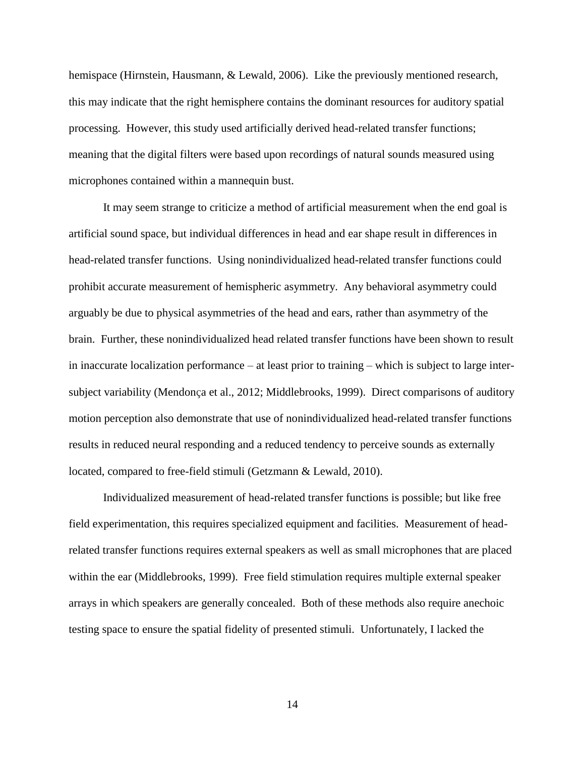hemispace (Hirnstein, Hausmann, & Lewald, 2006). Like the previously mentioned research, this may indicate that the right hemisphere contains the dominant resources for auditory spatial processing. However, this study used artificially derived head-related transfer functions; meaning that the digital filters were based upon recordings of natural sounds measured using microphones contained within a mannequin bust.

It may seem strange to criticize a method of artificial measurement when the end goal is artificial sound space, but individual differences in head and ear shape result in differences in head-related transfer functions. Using nonindividualized head-related transfer functions could prohibit accurate measurement of hemispheric asymmetry. Any behavioral asymmetry could arguably be due to physical asymmetries of the head and ears, rather than asymmetry of the brain. Further, these nonindividualized head related transfer functions have been shown to result in inaccurate localization performance – at least prior to training – which is subject to large intersubject variability (Mendonça et al., 2012; Middlebrooks, 1999). Direct comparisons of auditory motion perception also demonstrate that use of nonindividualized head-related transfer functions results in reduced neural responding and a reduced tendency to perceive sounds as externally located, compared to free-field stimuli (Getzmann & Lewald, 2010).

Individualized measurement of head-related transfer functions is possible; but like free field experimentation, this requires specialized equipment and facilities. Measurement of headrelated transfer functions requires external speakers as well as small microphones that are placed within the ear (Middlebrooks, 1999). Free field stimulation requires multiple external speaker arrays in which speakers are generally concealed. Both of these methods also require anechoic testing space to ensure the spatial fidelity of presented stimuli. Unfortunately, I lacked the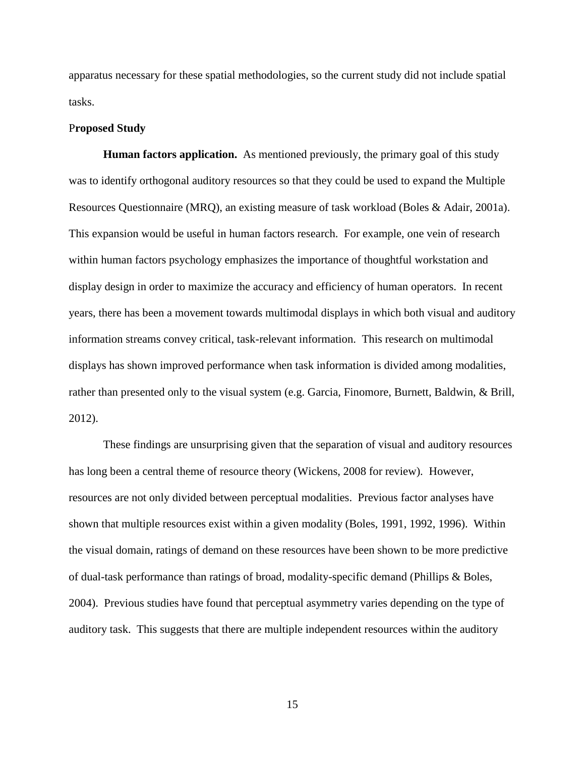apparatus necessary for these spatial methodologies, so the current study did not include spatial tasks.

#### P**roposed Study**

**Human factors application.** As mentioned previously, the primary goal of this study was to identify orthogonal auditory resources so that they could be used to expand the Multiple Resources Questionnaire (MRQ), an existing measure of task workload (Boles & Adair, 2001a). This expansion would be useful in human factors research. For example, one vein of research within human factors psychology emphasizes the importance of thoughtful workstation and display design in order to maximize the accuracy and efficiency of human operators. In recent years, there has been a movement towards multimodal displays in which both visual and auditory information streams convey critical, task-relevant information. This research on multimodal displays has shown improved performance when task information is divided among modalities, rather than presented only to the visual system (e.g. Garcia, Finomore, Burnett, Baldwin, & Brill, 2012).

These findings are unsurprising given that the separation of visual and auditory resources has long been a central theme of resource theory (Wickens, 2008 for review). However, resources are not only divided between perceptual modalities. Previous factor analyses have shown that multiple resources exist within a given modality (Boles, 1991, 1992, 1996). Within the visual domain, ratings of demand on these resources have been shown to be more predictive of dual-task performance than ratings of broad, modality-specific demand (Phillips & Boles, 2004). Previous studies have found that perceptual asymmetry varies depending on the type of auditory task. This suggests that there are multiple independent resources within the auditory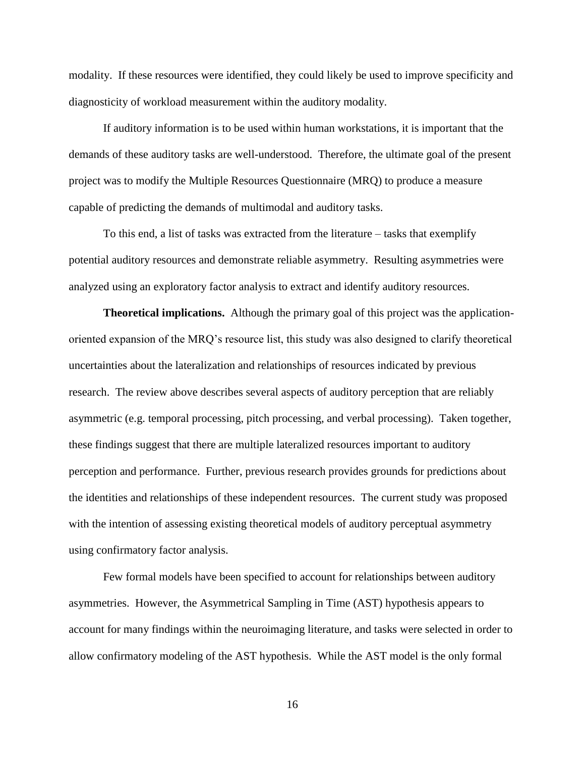modality. If these resources were identified, they could likely be used to improve specificity and diagnosticity of workload measurement within the auditory modality.

If auditory information is to be used within human workstations, it is important that the demands of these auditory tasks are well-understood. Therefore, the ultimate goal of the present project was to modify the Multiple Resources Questionnaire (MRQ) to produce a measure capable of predicting the demands of multimodal and auditory tasks.

To this end, a list of tasks was extracted from the literature – tasks that exemplify potential auditory resources and demonstrate reliable asymmetry. Resulting asymmetries were analyzed using an exploratory factor analysis to extract and identify auditory resources.

**Theoretical implications.** Although the primary goal of this project was the applicationoriented expansion of the MRQ's resource list, this study was also designed to clarify theoretical uncertainties about the lateralization and relationships of resources indicated by previous research. The review above describes several aspects of auditory perception that are reliably asymmetric (e.g. temporal processing, pitch processing, and verbal processing). Taken together, these findings suggest that there are multiple lateralized resources important to auditory perception and performance. Further, previous research provides grounds for predictions about the identities and relationships of these independent resources. The current study was proposed with the intention of assessing existing theoretical models of auditory perceptual asymmetry using confirmatory factor analysis.

Few formal models have been specified to account for relationships between auditory asymmetries. However, the Asymmetrical Sampling in Time (AST) hypothesis appears to account for many findings within the neuroimaging literature, and tasks were selected in order to allow confirmatory modeling of the AST hypothesis. While the AST model is the only formal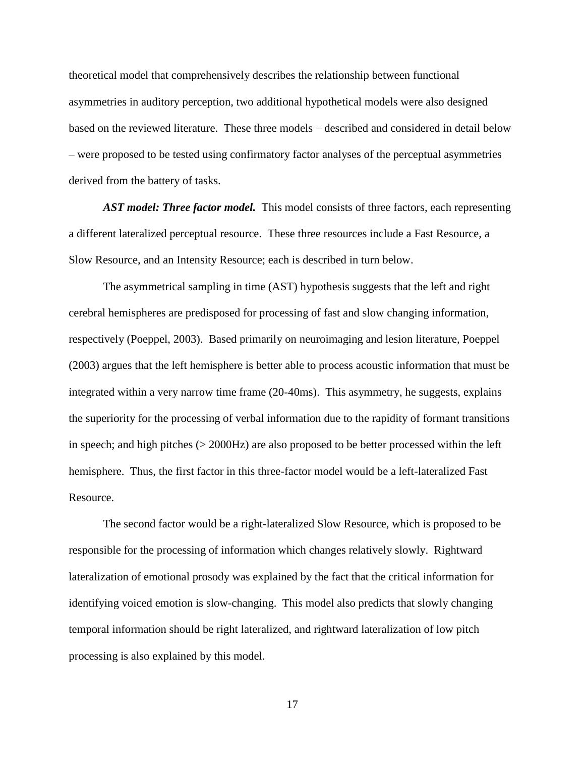theoretical model that comprehensively describes the relationship between functional asymmetries in auditory perception, two additional hypothetical models were also designed based on the reviewed literature. These three models – described and considered in detail below – were proposed to be tested using confirmatory factor analyses of the perceptual asymmetries derived from the battery of tasks.

AST model: Three factor model. This model consists of three factors, each representing a different lateralized perceptual resource. These three resources include a Fast Resource, a Slow Resource, and an Intensity Resource; each is described in turn below.

The asymmetrical sampling in time (AST) hypothesis suggests that the left and right cerebral hemispheres are predisposed for processing of fast and slow changing information, respectively (Poeppel, 2003). Based primarily on neuroimaging and lesion literature, Poeppel (2003) argues that the left hemisphere is better able to process acoustic information that must be integrated within a very narrow time frame (20-40ms). This asymmetry, he suggests, explains the superiority for the processing of verbal information due to the rapidity of formant transitions in speech; and high pitches (> 2000Hz) are also proposed to be better processed within the left hemisphere. Thus, the first factor in this three-factor model would be a left-lateralized Fast Resource.

The second factor would be a right-lateralized Slow Resource, which is proposed to be responsible for the processing of information which changes relatively slowly. Rightward lateralization of emotional prosody was explained by the fact that the critical information for identifying voiced emotion is slow-changing. This model also predicts that slowly changing temporal information should be right lateralized, and rightward lateralization of low pitch processing is also explained by this model.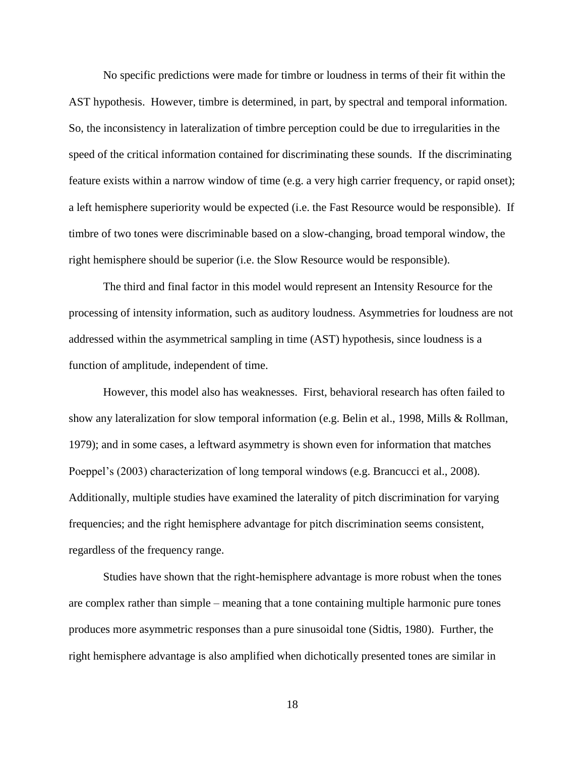No specific predictions were made for timbre or loudness in terms of their fit within the AST hypothesis. However, timbre is determined, in part, by spectral and temporal information. So, the inconsistency in lateralization of timbre perception could be due to irregularities in the speed of the critical information contained for discriminating these sounds. If the discriminating feature exists within a narrow window of time (e.g. a very high carrier frequency, or rapid onset); a left hemisphere superiority would be expected (i.e. the Fast Resource would be responsible). If timbre of two tones were discriminable based on a slow-changing, broad temporal window, the right hemisphere should be superior (i.e. the Slow Resource would be responsible).

The third and final factor in this model would represent an Intensity Resource for the processing of intensity information, such as auditory loudness. Asymmetries for loudness are not addressed within the asymmetrical sampling in time (AST) hypothesis, since loudness is a function of amplitude, independent of time.

However, this model also has weaknesses. First, behavioral research has often failed to show any lateralization for slow temporal information (e.g. Belin et al., 1998, Mills & Rollman, 1979); and in some cases, a leftward asymmetry is shown even for information that matches Poeppel's (2003) characterization of long temporal windows (e.g. Brancucci et al., 2008). Additionally, multiple studies have examined the laterality of pitch discrimination for varying frequencies; and the right hemisphere advantage for pitch discrimination seems consistent, regardless of the frequency range.

Studies have shown that the right-hemisphere advantage is more robust when the tones are complex rather than simple – meaning that a tone containing multiple harmonic pure tones produces more asymmetric responses than a pure sinusoidal tone (Sidtis, 1980). Further, the right hemisphere advantage is also amplified when dichotically presented tones are similar in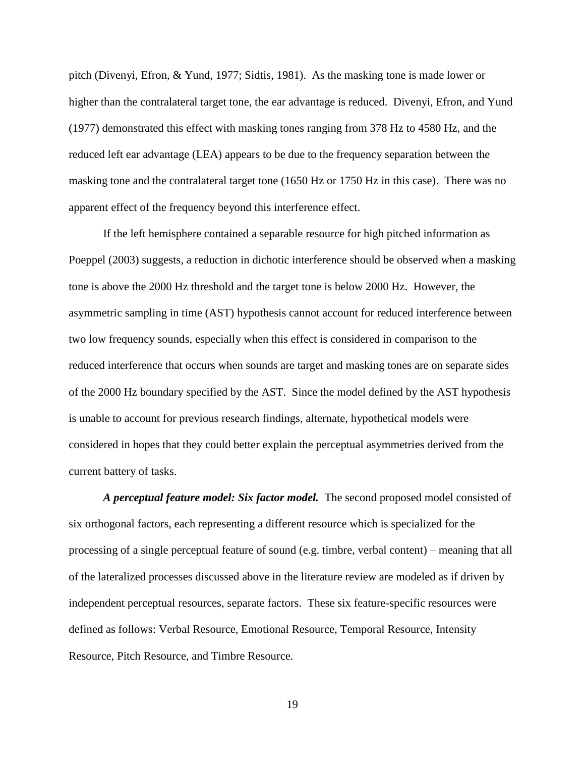pitch (Divenyi, Efron, & Yund, 1977; Sidtis, 1981). As the masking tone is made lower or higher than the contralateral target tone, the ear advantage is reduced. Divenyi, Efron, and Yund (1977) demonstrated this effect with masking tones ranging from 378 Hz to 4580 Hz, and the reduced left ear advantage (LEA) appears to be due to the frequency separation between the masking tone and the contralateral target tone (1650 Hz or 1750 Hz in this case). There was no apparent effect of the frequency beyond this interference effect.

If the left hemisphere contained a separable resource for high pitched information as Poeppel (2003) suggests, a reduction in dichotic interference should be observed when a masking tone is above the 2000 Hz threshold and the target tone is below 2000 Hz. However, the asymmetric sampling in time (AST) hypothesis cannot account for reduced interference between two low frequency sounds, especially when this effect is considered in comparison to the reduced interference that occurs when sounds are target and masking tones are on separate sides of the 2000 Hz boundary specified by the AST. Since the model defined by the AST hypothesis is unable to account for previous research findings, alternate, hypothetical models were considered in hopes that they could better explain the perceptual asymmetries derived from the current battery of tasks.

*A perceptual feature model: Six factor model.*The second proposed model consisted of six orthogonal factors, each representing a different resource which is specialized for the processing of a single perceptual feature of sound (e.g. timbre, verbal content) – meaning that all of the lateralized processes discussed above in the literature review are modeled as if driven by independent perceptual resources, separate factors. These six feature-specific resources were defined as follows: Verbal Resource, Emotional Resource, Temporal Resource, Intensity Resource, Pitch Resource, and Timbre Resource.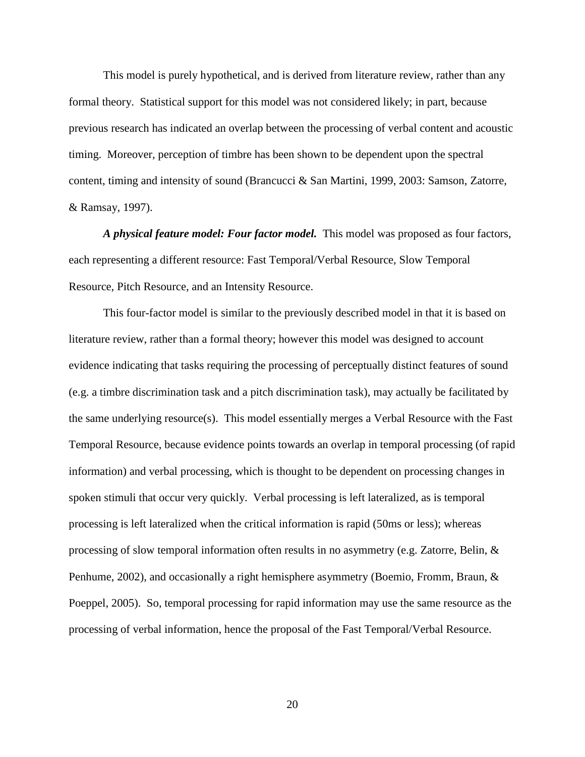This model is purely hypothetical, and is derived from literature review, rather than any formal theory. Statistical support for this model was not considered likely; in part, because previous research has indicated an overlap between the processing of verbal content and acoustic timing. Moreover, perception of timbre has been shown to be dependent upon the spectral content, timing and intensity of sound (Brancucci & San Martini, 1999, 2003: Samson, Zatorre, & Ramsay, 1997).

*A physical feature model: Four factor model.*This model was proposed as four factors, each representing a different resource: Fast Temporal/Verbal Resource, Slow Temporal Resource, Pitch Resource, and an Intensity Resource.

This four-factor model is similar to the previously described model in that it is based on literature review, rather than a formal theory; however this model was designed to account evidence indicating that tasks requiring the processing of perceptually distinct features of sound (e.g. a timbre discrimination task and a pitch discrimination task), may actually be facilitated by the same underlying resource(s). This model essentially merges a Verbal Resource with the Fast Temporal Resource, because evidence points towards an overlap in temporal processing (of rapid information) and verbal processing, which is thought to be dependent on processing changes in spoken stimuli that occur very quickly. Verbal processing is left lateralized, as is temporal processing is left lateralized when the critical information is rapid (50ms or less); whereas processing of slow temporal information often results in no asymmetry (e.g. Zatorre, Belin, & Penhume, 2002), and occasionally a right hemisphere asymmetry (Boemio, Fromm, Braun, & Poeppel, 2005). So, temporal processing for rapid information may use the same resource as the processing of verbal information, hence the proposal of the Fast Temporal/Verbal Resource.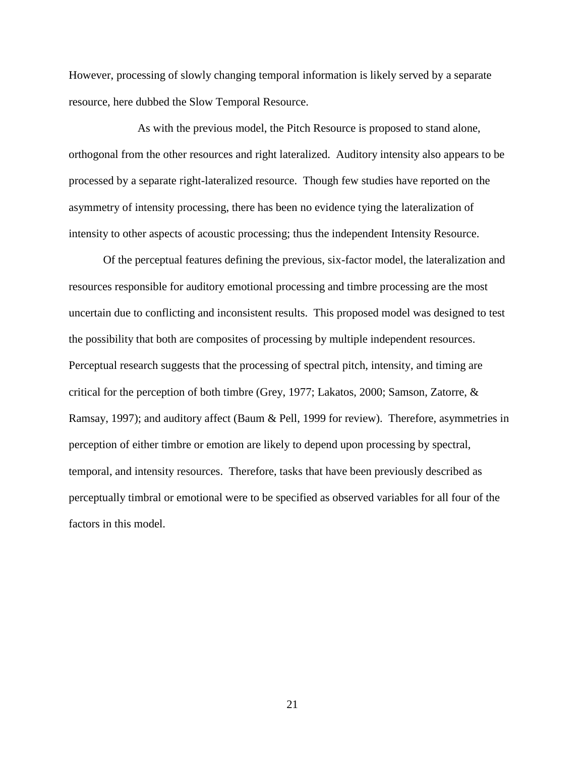However, processing of slowly changing temporal information is likely served by a separate resource, here dubbed the Slow Temporal Resource.

As with the previous model, the Pitch Resource is proposed to stand alone, orthogonal from the other resources and right lateralized. Auditory intensity also appears to be processed by a separate right-lateralized resource. Though few studies have reported on the asymmetry of intensity processing, there has been no evidence tying the lateralization of intensity to other aspects of acoustic processing; thus the independent Intensity Resource.

Of the perceptual features defining the previous, six-factor model, the lateralization and resources responsible for auditory emotional processing and timbre processing are the most uncertain due to conflicting and inconsistent results. This proposed model was designed to test the possibility that both are composites of processing by multiple independent resources. Perceptual research suggests that the processing of spectral pitch, intensity, and timing are critical for the perception of both timbre (Grey, 1977; Lakatos, 2000; Samson, Zatorre, & Ramsay, 1997); and auditory affect (Baum & Pell, 1999 for review). Therefore, asymmetries in perception of either timbre or emotion are likely to depend upon processing by spectral, temporal, and intensity resources. Therefore, tasks that have been previously described as perceptually timbral or emotional were to be specified as observed variables for all four of the factors in this model.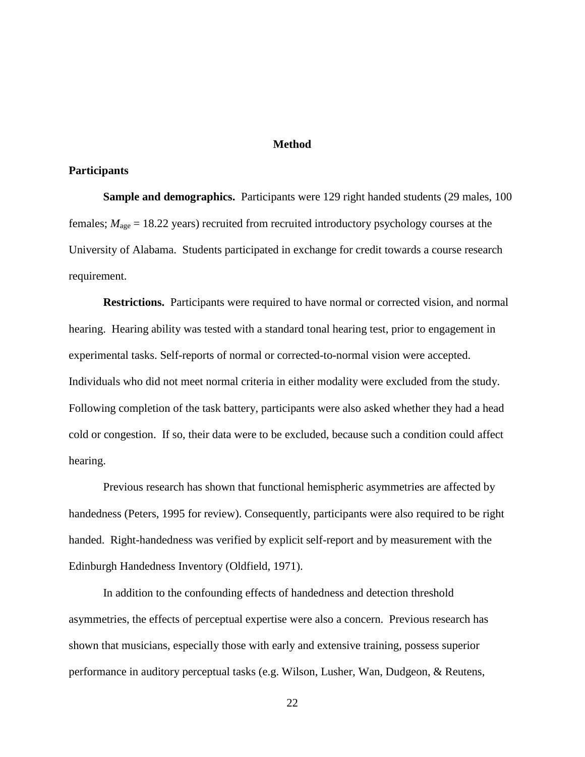#### **Method**

#### **Participants**

**Sample and demographics.** Participants were 129 right handed students (29 males, 100 females; *M*age = 18.22 years) recruited from recruited introductory psychology courses at the University of Alabama. Students participated in exchange for credit towards a course research requirement.

**Restrictions.** Participants were required to have normal or corrected vision, and normal hearing. Hearing ability was tested with a standard tonal hearing test, prior to engagement in experimental tasks. Self-reports of normal or corrected-to-normal vision were accepted. Individuals who did not meet normal criteria in either modality were excluded from the study. Following completion of the task battery, participants were also asked whether they had a head cold or congestion. If so, their data were to be excluded, because such a condition could affect hearing.

Previous research has shown that functional hemispheric asymmetries are affected by handedness (Peters, 1995 for review). Consequently, participants were also required to be right handed. Right-handedness was verified by explicit self-report and by measurement with the Edinburgh Handedness Inventory (Oldfield, 1971).

In addition to the confounding effects of handedness and detection threshold asymmetries, the effects of perceptual expertise were also a concern. Previous research has shown that musicians, especially those with early and extensive training, possess superior performance in auditory perceptual tasks (e.g. Wilson, Lusher, Wan, Dudgeon, & Reutens,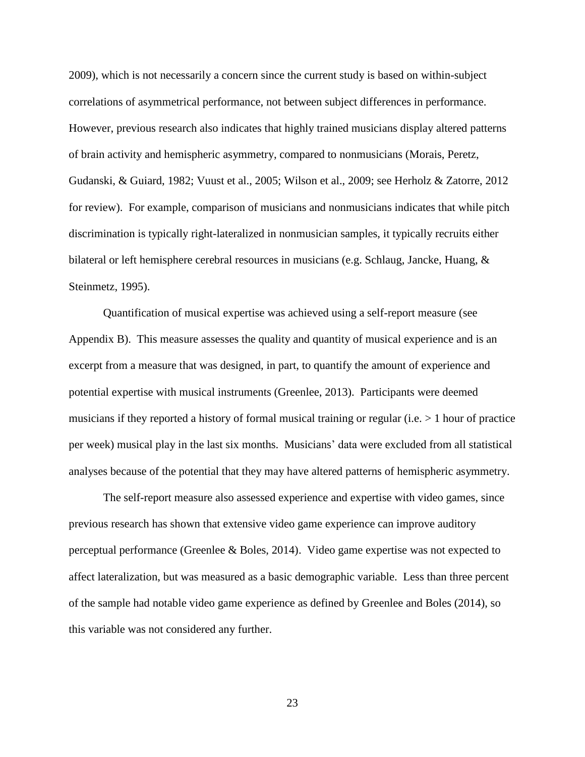2009), which is not necessarily a concern since the current study is based on within-subject correlations of asymmetrical performance, not between subject differences in performance. However, previous research also indicates that highly trained musicians display altered patterns of brain activity and hemispheric asymmetry, compared to nonmusicians (Morais, Peretz, Gudanski, & Guiard, 1982; Vuust et al., 2005; Wilson et al., 2009; see Herholz & Zatorre, 2012 for review). For example, comparison of musicians and nonmusicians indicates that while pitch discrimination is typically right-lateralized in nonmusician samples, it typically recruits either bilateral or left hemisphere cerebral resources in musicians (e.g. Schlaug, Jancke, Huang, & Steinmetz, 1995).

Quantification of musical expertise was achieved using a self-report measure (see Appendix B). This measure assesses the quality and quantity of musical experience and is an excerpt from a measure that was designed, in part, to quantify the amount of experience and potential expertise with musical instruments (Greenlee, 2013). Participants were deemed musicians if they reported a history of formal musical training or regular (i.e.  $> 1$  hour of practice per week) musical play in the last six months. Musicians' data were excluded from all statistical analyses because of the potential that they may have altered patterns of hemispheric asymmetry.

The self-report measure also assessed experience and expertise with video games, since previous research has shown that extensive video game experience can improve auditory perceptual performance (Greenlee & Boles, 2014). Video game expertise was not expected to affect lateralization, but was measured as a basic demographic variable. Less than three percent of the sample had notable video game experience as defined by Greenlee and Boles (2014), so this variable was not considered any further.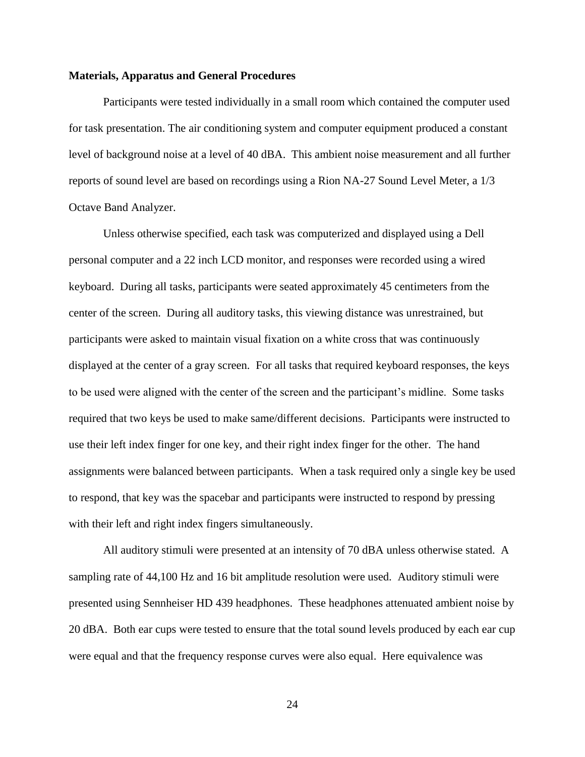#### **Materials, Apparatus and General Procedures**

Participants were tested individually in a small room which contained the computer used for task presentation. The air conditioning system and computer equipment produced a constant level of background noise at a level of 40 dBA. This ambient noise measurement and all further reports of sound level are based on recordings using a Rion NA-27 Sound Level Meter, a 1/3 Octave Band Analyzer.

Unless otherwise specified, each task was computerized and displayed using a Dell personal computer and a 22 inch LCD monitor, and responses were recorded using a wired keyboard. During all tasks, participants were seated approximately 45 centimeters from the center of the screen. During all auditory tasks, this viewing distance was unrestrained, but participants were asked to maintain visual fixation on a white cross that was continuously displayed at the center of a gray screen. For all tasks that required keyboard responses, the keys to be used were aligned with the center of the screen and the participant's midline. Some tasks required that two keys be used to make same/different decisions. Participants were instructed to use their left index finger for one key, and their right index finger for the other. The hand assignments were balanced between participants. When a task required only a single key be used to respond, that key was the spacebar and participants were instructed to respond by pressing with their left and right index fingers simultaneously.

All auditory stimuli were presented at an intensity of 70 dBA unless otherwise stated. A sampling rate of 44,100 Hz and 16 bit amplitude resolution were used. Auditory stimuli were presented using Sennheiser HD 439 headphones. These headphones attenuated ambient noise by 20 dBA. Both ear cups were tested to ensure that the total sound levels produced by each ear cup were equal and that the frequency response curves were also equal. Here equivalence was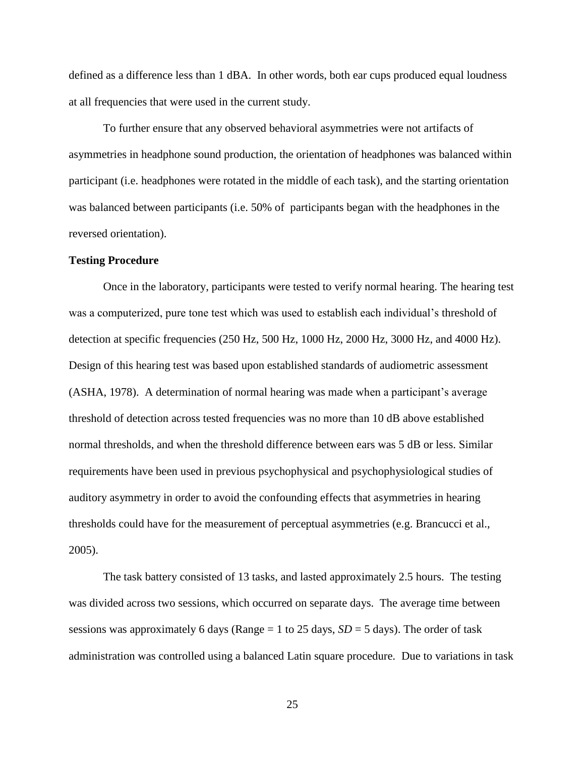defined as a difference less than 1 dBA. In other words, both ear cups produced equal loudness at all frequencies that were used in the current study.

To further ensure that any observed behavioral asymmetries were not artifacts of asymmetries in headphone sound production, the orientation of headphones was balanced within participant (i.e. headphones were rotated in the middle of each task), and the starting orientation was balanced between participants (i.e. 50% of participants began with the headphones in the reversed orientation).

#### **Testing Procedure**

Once in the laboratory, participants were tested to verify normal hearing. The hearing test was a computerized, pure tone test which was used to establish each individual's threshold of detection at specific frequencies (250 Hz, 500 Hz, 1000 Hz, 2000 Hz, 3000 Hz, and 4000 Hz). Design of this hearing test was based upon established standards of audiometric assessment (ASHA, 1978). A determination of normal hearing was made when a participant's average threshold of detection across tested frequencies was no more than 10 dB above established normal thresholds, and when the threshold difference between ears was 5 dB or less. Similar requirements have been used in previous psychophysical and psychophysiological studies of auditory asymmetry in order to avoid the confounding effects that asymmetries in hearing thresholds could have for the measurement of perceptual asymmetries (e.g. Brancucci et al., 2005).

The task battery consisted of 13 tasks, and lasted approximately 2.5 hours. The testing was divided across two sessions, which occurred on separate days. The average time between sessions was approximately 6 days (Range  $= 1$  to 25 days,  $SD = 5$  days). The order of task administration was controlled using a balanced Latin square procedure. Due to variations in task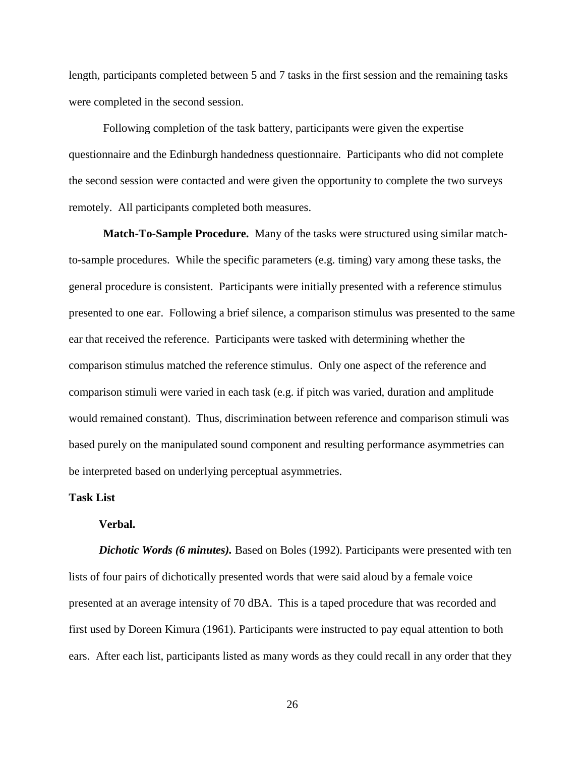length, participants completed between 5 and 7 tasks in the first session and the remaining tasks were completed in the second session.

Following completion of the task battery, participants were given the expertise questionnaire and the Edinburgh handedness questionnaire. Participants who did not complete the second session were contacted and were given the opportunity to complete the two surveys remotely. All participants completed both measures.

**Match-To-Sample Procedure.** Many of the tasks were structured using similar matchto-sample procedures. While the specific parameters (e.g. timing) vary among these tasks, the general procedure is consistent. Participants were initially presented with a reference stimulus presented to one ear. Following a brief silence, a comparison stimulus was presented to the same ear that received the reference. Participants were tasked with determining whether the comparison stimulus matched the reference stimulus. Only one aspect of the reference and comparison stimuli were varied in each task (e.g. if pitch was varied, duration and amplitude would remained constant). Thus, discrimination between reference and comparison stimuli was based purely on the manipulated sound component and resulting performance asymmetries can be interpreted based on underlying perceptual asymmetries.

#### **Task List**

#### **Verbal.**

*Dichotic Words (6 minutes).* Based on Boles (1992). Participants were presented with ten lists of four pairs of dichotically presented words that were said aloud by a female voice presented at an average intensity of 70 dBA. This is a taped procedure that was recorded and first used by Doreen Kimura (1961). Participants were instructed to pay equal attention to both ears. After each list, participants listed as many words as they could recall in any order that they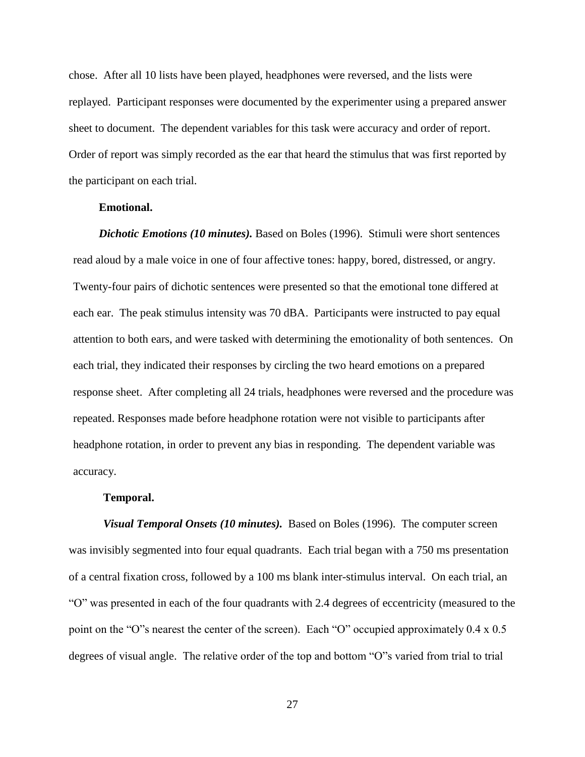chose. After all 10 lists have been played, headphones were reversed, and the lists were replayed. Participant responses were documented by the experimenter using a prepared answer sheet to document. The dependent variables for this task were accuracy and order of report. Order of report was simply recorded as the ear that heard the stimulus that was first reported by the participant on each trial.

## **Emotional.**

 *Dichotic Emotions (10 minutes).* Based on Boles (1996). Stimuli were short sentences read aloud by a male voice in one of four affective tones: happy, bored, distressed, or angry. Twenty-four pairs of dichotic sentences were presented so that the emotional tone differed at each ear. The peak stimulus intensity was 70 dBA. Participants were instructed to pay equal attention to both ears, and were tasked with determining the emotionality of both sentences. On each trial, they indicated their responses by circling the two heard emotions on a prepared response sheet. After completing all 24 trials, headphones were reversed and the procedure was repeated. Responses made before headphone rotation were not visible to participants after headphone rotation, in order to prevent any bias in responding. The dependent variable was accuracy.

#### **Temporal.**

 *Visual Temporal Onsets (10 minutes).*Based on Boles (1996). The computer screen was invisibly segmented into four equal quadrants. Each trial began with a 750 ms presentation of a central fixation cross, followed by a 100 ms blank inter-stimulus interval. On each trial, an "O" was presented in each of the four quadrants with 2.4 degrees of eccentricity (measured to the point on the "O"s nearest the center of the screen). Each "O" occupied approximately 0.4 x 0.5 degrees of visual angle. The relative order of the top and bottom "O"s varied from trial to trial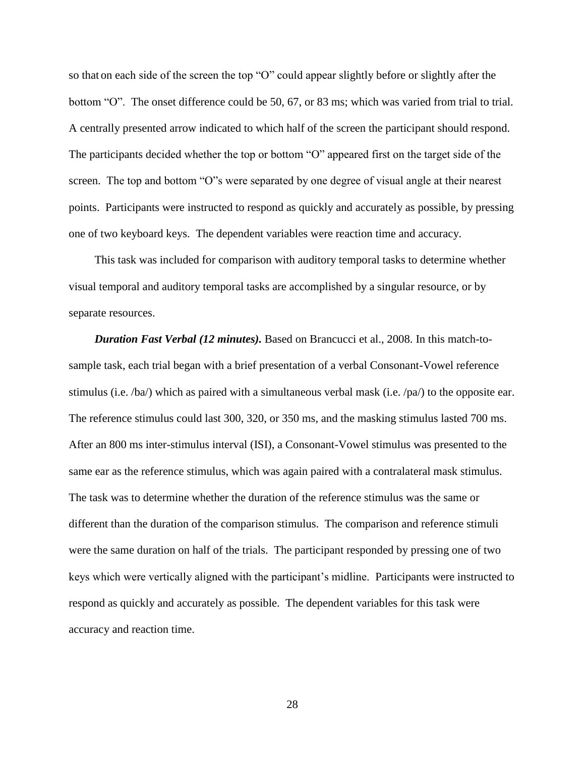so that on each side of the screen the top "O" could appear slightly before or slightly after the bottom "O". The onset difference could be 50, 67, or 83 ms; which was varied from trial to trial. A centrally presented arrow indicated to which half of the screen the participant should respond. The participants decided whether the top or bottom "O" appeared first on the target side of the screen. The top and bottom "O"s were separated by one degree of visual angle at their nearest points. Participants were instructed to respond as quickly and accurately as possible, by pressing one of two keyboard keys. The dependent variables were reaction time and accuracy.

This task was included for comparison with auditory temporal tasks to determine whether visual temporal and auditory temporal tasks are accomplished by a singular resource, or by separate resources.

*Duration Fast Verbal (12 minutes).* Based on Brancucci et al., 2008. In this match-tosample task, each trial began with a brief presentation of a verbal Consonant-Vowel reference stimulus (i.e. /ba/) which as paired with a simultaneous verbal mask (i.e. /pa/) to the opposite ear. The reference stimulus could last 300, 320, or 350 ms, and the masking stimulus lasted 700 ms. After an 800 ms inter-stimulus interval (ISI), a Consonant-Vowel stimulus was presented to the same ear as the reference stimulus, which was again paired with a contralateral mask stimulus. The task was to determine whether the duration of the reference stimulus was the same or different than the duration of the comparison stimulus. The comparison and reference stimuli were the same duration on half of the trials. The participant responded by pressing one of two keys which were vertically aligned with the participant's midline. Participants were instructed to respond as quickly and accurately as possible. The dependent variables for this task were accuracy and reaction time.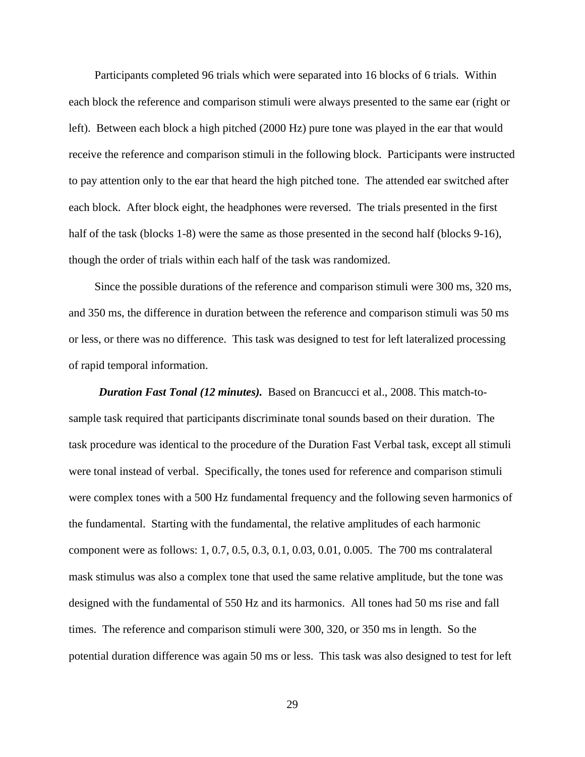Participants completed 96 trials which were separated into 16 blocks of 6 trials. Within each block the reference and comparison stimuli were always presented to the same ear (right or left). Between each block a high pitched (2000 Hz) pure tone was played in the ear that would receive the reference and comparison stimuli in the following block. Participants were instructed to pay attention only to the ear that heard the high pitched tone. The attended ear switched after each block. After block eight, the headphones were reversed. The trials presented in the first half of the task (blocks 1-8) were the same as those presented in the second half (blocks 9-16), though the order of trials within each half of the task was randomized.

Since the possible durations of the reference and comparison stimuli were 300 ms, 320 ms, and 350 ms, the difference in duration between the reference and comparison stimuli was 50 ms or less, or there was no difference. This task was designed to test for left lateralized processing of rapid temporal information.

*Duration Fast Tonal (12 minutes).* Based on Brancucci et al., 2008. This match-tosample task required that participants discriminate tonal sounds based on their duration. The task procedure was identical to the procedure of the Duration Fast Verbal task, except all stimuli were tonal instead of verbal. Specifically, the tones used for reference and comparison stimuli were complex tones with a 500 Hz fundamental frequency and the following seven harmonics of the fundamental. Starting with the fundamental, the relative amplitudes of each harmonic component were as follows: 1, 0.7, 0.5, 0.3, 0.1, 0.03, 0.01, 0.005. The 700 ms contralateral mask stimulus was also a complex tone that used the same relative amplitude, but the tone was designed with the fundamental of 550 Hz and its harmonics. All tones had 50 ms rise and fall times. The reference and comparison stimuli were 300, 320, or 350 ms in length. So the potential duration difference was again 50 ms or less. This task was also designed to test for left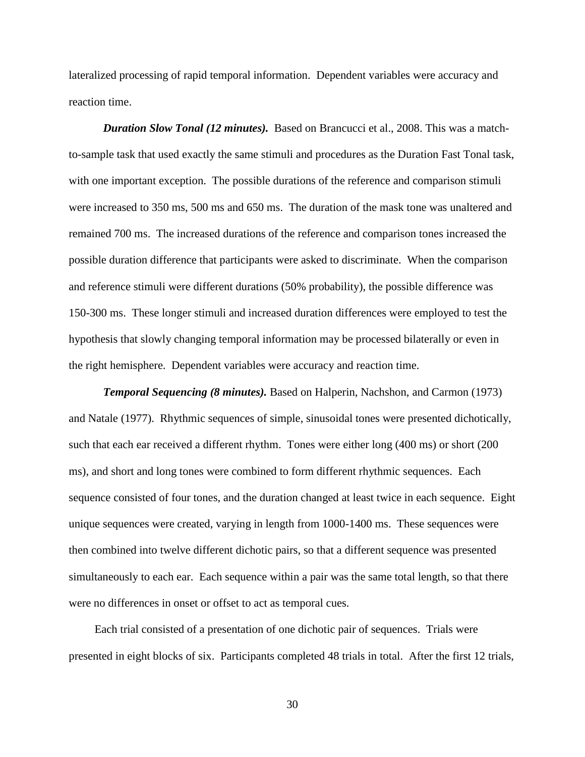lateralized processing of rapid temporal information. Dependent variables were accuracy and reaction time.

*Duration Slow Tonal (12 minutes).* Based on Brancucci et al., 2008. This was a matchto-sample task that used exactly the same stimuli and procedures as the Duration Fast Tonal task, with one important exception. The possible durations of the reference and comparison stimuli were increased to 350 ms, 500 ms and 650 ms. The duration of the mask tone was unaltered and remained 700 ms. The increased durations of the reference and comparison tones increased the possible duration difference that participants were asked to discriminate. When the comparison and reference stimuli were different durations (50% probability), the possible difference was 150-300 ms. These longer stimuli and increased duration differences were employed to test the hypothesis that slowly changing temporal information may be processed bilaterally or even in the right hemisphere. Dependent variables were accuracy and reaction time.

*Temporal Sequencing (8 minutes).* Based on Halperin, Nachshon, and Carmon (1973) and Natale (1977). Rhythmic sequences of simple, sinusoidal tones were presented dichotically, such that each ear received a different rhythm. Tones were either long (400 ms) or short (200 ms), and short and long tones were combined to form different rhythmic sequences. Each sequence consisted of four tones, and the duration changed at least twice in each sequence. Eight unique sequences were created, varying in length from 1000-1400 ms. These sequences were then combined into twelve different dichotic pairs, so that a different sequence was presented simultaneously to each ear. Each sequence within a pair was the same total length, so that there were no differences in onset or offset to act as temporal cues.

Each trial consisted of a presentation of one dichotic pair of sequences. Trials were presented in eight blocks of six. Participants completed 48 trials in total. After the first 12 trials,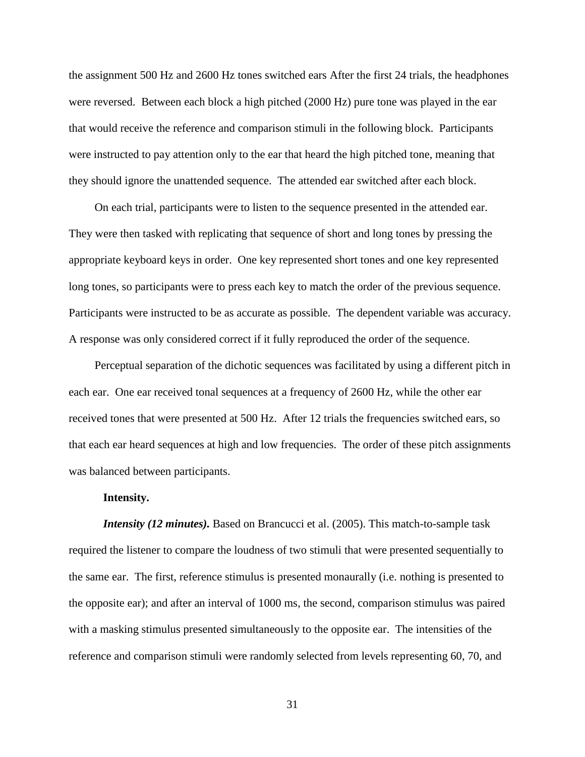the assignment 500 Hz and 2600 Hz tones switched ears After the first 24 trials, the headphones were reversed. Between each block a high pitched (2000 Hz) pure tone was played in the ear that would receive the reference and comparison stimuli in the following block. Participants were instructed to pay attention only to the ear that heard the high pitched tone, meaning that they should ignore the unattended sequence. The attended ear switched after each block.

On each trial, participants were to listen to the sequence presented in the attended ear. They were then tasked with replicating that sequence of short and long tones by pressing the appropriate keyboard keys in order. One key represented short tones and one key represented long tones, so participants were to press each key to match the order of the previous sequence. Participants were instructed to be as accurate as possible. The dependent variable was accuracy. A response was only considered correct if it fully reproduced the order of the sequence.

Perceptual separation of the dichotic sequences was facilitated by using a different pitch in each ear. One ear received tonal sequences at a frequency of 2600 Hz, while the other ear received tones that were presented at 500 Hz. After 12 trials the frequencies switched ears, so that each ear heard sequences at high and low frequencies. The order of these pitch assignments was balanced between participants.

#### **Intensity.**

*Intensity (12 minutes)*. Based on Brancucci et al. (2005). This match-to-sample task required the listener to compare the loudness of two stimuli that were presented sequentially to the same ear. The first, reference stimulus is presented monaurally (i.e. nothing is presented to the opposite ear); and after an interval of 1000 ms, the second, comparison stimulus was paired with a masking stimulus presented simultaneously to the opposite ear. The intensities of the reference and comparison stimuli were randomly selected from levels representing 60, 70, and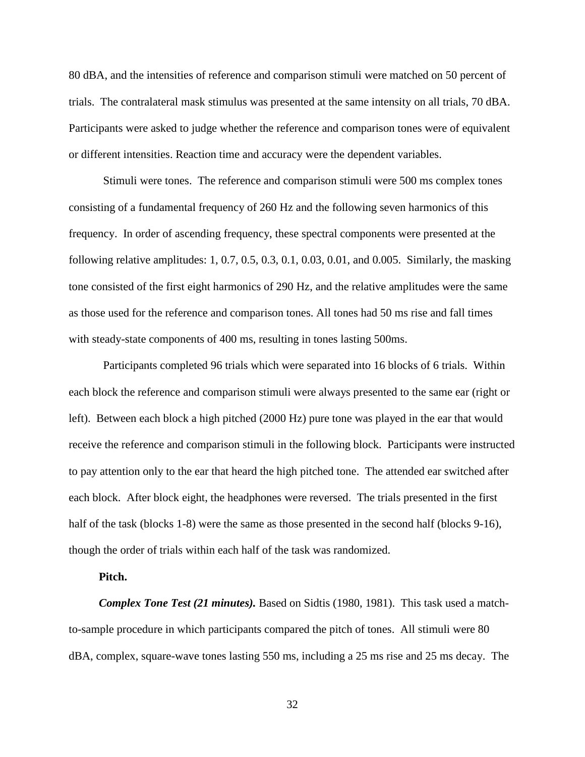80 dBA, and the intensities of reference and comparison stimuli were matched on 50 percent of trials. The contralateral mask stimulus was presented at the same intensity on all trials, 70 dBA. Participants were asked to judge whether the reference and comparison tones were of equivalent or different intensities. Reaction time and accuracy were the dependent variables.

Stimuli were tones. The reference and comparison stimuli were 500 ms complex tones consisting of a fundamental frequency of 260 Hz and the following seven harmonics of this frequency. In order of ascending frequency, these spectral components were presented at the following relative amplitudes: 1, 0.7, 0.5, 0.3, 0.1, 0.03, 0.01, and 0.005. Similarly, the masking tone consisted of the first eight harmonics of 290 Hz, and the relative amplitudes were the same as those used for the reference and comparison tones. All tones had 50 ms rise and fall times with steady-state components of 400 ms, resulting in tones lasting 500ms.

Participants completed 96 trials which were separated into 16 blocks of 6 trials. Within each block the reference and comparison stimuli were always presented to the same ear (right or left). Between each block a high pitched (2000 Hz) pure tone was played in the ear that would receive the reference and comparison stimuli in the following block. Participants were instructed to pay attention only to the ear that heard the high pitched tone. The attended ear switched after each block. After block eight, the headphones were reversed. The trials presented in the first half of the task (blocks 1-8) were the same as those presented in the second half (blocks 9-16), though the order of trials within each half of the task was randomized.

### **Pitch.**

*Complex Tone Test (21 minutes).* Based on Sidtis (1980, 1981). This task used a matchto-sample procedure in which participants compared the pitch of tones. All stimuli were 80 dBA, complex, square-wave tones lasting 550 ms, including a 25 ms rise and 25 ms decay. The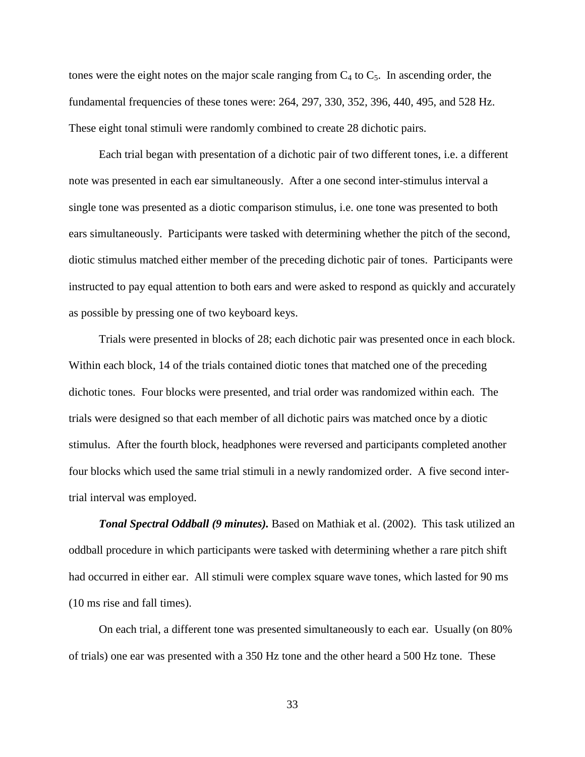tones were the eight notes on the major scale ranging from  $C_4$  to  $C_5$ . In ascending order, the fundamental frequencies of these tones were: 264, 297, 330, 352, 396, 440, 495, and 528 Hz. These eight tonal stimuli were randomly combined to create 28 dichotic pairs.

Each trial began with presentation of a dichotic pair of two different tones, i.e. a different note was presented in each ear simultaneously. After a one second inter-stimulus interval a single tone was presented as a diotic comparison stimulus, i.e. one tone was presented to both ears simultaneously. Participants were tasked with determining whether the pitch of the second, diotic stimulus matched either member of the preceding dichotic pair of tones. Participants were instructed to pay equal attention to both ears and were asked to respond as quickly and accurately as possible by pressing one of two keyboard keys.

Trials were presented in blocks of 28; each dichotic pair was presented once in each block. Within each block, 14 of the trials contained diotic tones that matched one of the preceding dichotic tones. Four blocks were presented, and trial order was randomized within each. The trials were designed so that each member of all dichotic pairs was matched once by a diotic stimulus. After the fourth block, headphones were reversed and participants completed another four blocks which used the same trial stimuli in a newly randomized order. A five second intertrial interval was employed.

*Tonal Spectral Oddball (9 minutes).* Based on Mathiak et al. (2002). This task utilized an oddball procedure in which participants were tasked with determining whether a rare pitch shift had occurred in either ear. All stimuli were complex square wave tones, which lasted for 90 ms (10 ms rise and fall times).

On each trial, a different tone was presented simultaneously to each ear. Usually (on 80% of trials) one ear was presented with a 350 Hz tone and the other heard a 500 Hz tone. These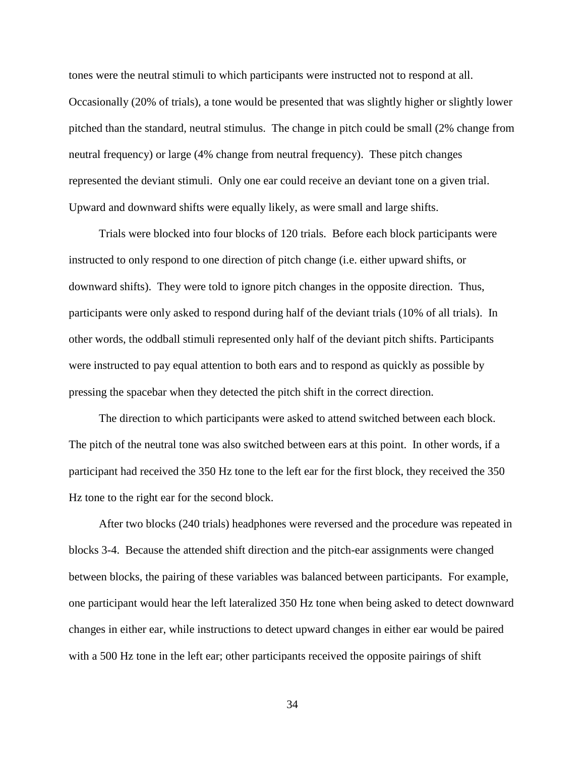tones were the neutral stimuli to which participants were instructed not to respond at all. Occasionally (20% of trials), a tone would be presented that was slightly higher or slightly lower pitched than the standard, neutral stimulus. The change in pitch could be small (2% change from neutral frequency) or large (4% change from neutral frequency). These pitch changes represented the deviant stimuli. Only one ear could receive an deviant tone on a given trial. Upward and downward shifts were equally likely, as were small and large shifts.

Trials were blocked into four blocks of 120 trials. Before each block participants were instructed to only respond to one direction of pitch change (i.e. either upward shifts, or downward shifts). They were told to ignore pitch changes in the opposite direction. Thus, participants were only asked to respond during half of the deviant trials (10% of all trials). In other words, the oddball stimuli represented only half of the deviant pitch shifts. Participants were instructed to pay equal attention to both ears and to respond as quickly as possible by pressing the spacebar when they detected the pitch shift in the correct direction.

The direction to which participants were asked to attend switched between each block. The pitch of the neutral tone was also switched between ears at this point. In other words, if a participant had received the 350 Hz tone to the left ear for the first block, they received the 350 Hz tone to the right ear for the second block.

After two blocks (240 trials) headphones were reversed and the procedure was repeated in blocks 3-4. Because the attended shift direction and the pitch-ear assignments were changed between blocks, the pairing of these variables was balanced between participants. For example, one participant would hear the left lateralized 350 Hz tone when being asked to detect downward changes in either ear, while instructions to detect upward changes in either ear would be paired with a 500 Hz tone in the left ear; other participants received the opposite pairings of shift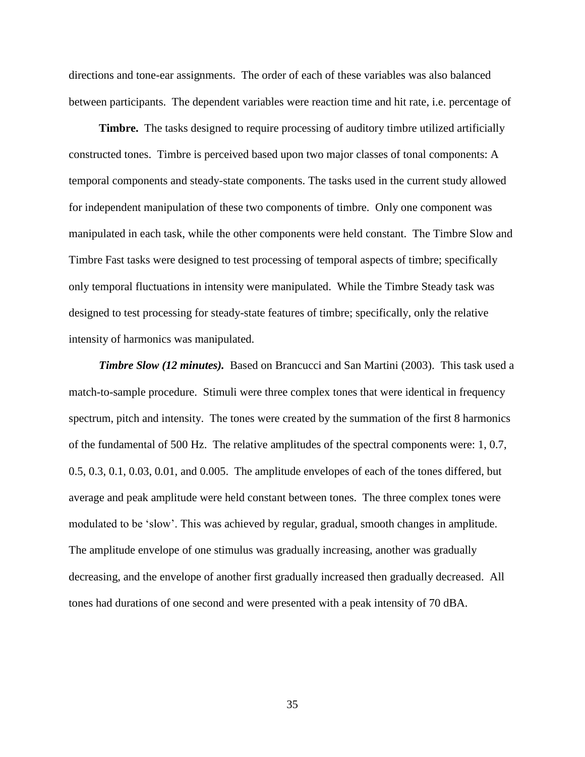directions and tone-ear assignments. The order of each of these variables was also balanced between participants. The dependent variables were reaction time and hit rate, i.e. percentage of

**Timbre.** The tasks designed to require processing of auditory timbre utilized artificially constructed tones. Timbre is perceived based upon two major classes of tonal components: A temporal components and steady-state components. The tasks used in the current study allowed for independent manipulation of these two components of timbre. Only one component was manipulated in each task, while the other components were held constant. The Timbre Slow and Timbre Fast tasks were designed to test processing of temporal aspects of timbre; specifically only temporal fluctuations in intensity were manipulated. While the Timbre Steady task was designed to test processing for steady-state features of timbre; specifically, only the relative intensity of harmonics was manipulated.

*Timbre Slow (12 minutes).* Based on Brancucci and San Martini (2003). This task used a match-to-sample procedure. Stimuli were three complex tones that were identical in frequency spectrum, pitch and intensity. The tones were created by the summation of the first 8 harmonics of the fundamental of 500 Hz. The relative amplitudes of the spectral components were: 1, 0.7, 0.5, 0.3, 0.1, 0.03, 0.01, and 0.005. The amplitude envelopes of each of the tones differed, but average and peak amplitude were held constant between tones. The three complex tones were modulated to be 'slow'. This was achieved by regular, gradual, smooth changes in amplitude. The amplitude envelope of one stimulus was gradually increasing, another was gradually decreasing, and the envelope of another first gradually increased then gradually decreased. All tones had durations of one second and were presented with a peak intensity of 70 dBA.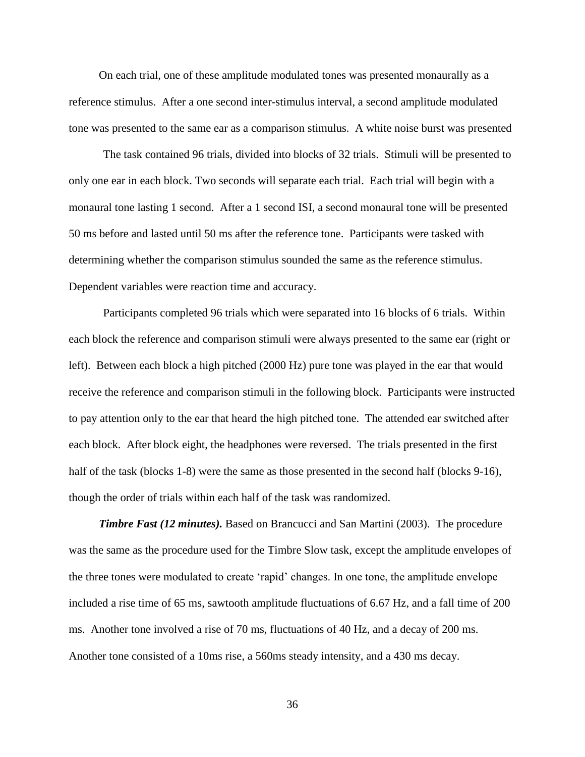On each trial, one of these amplitude modulated tones was presented monaurally as a reference stimulus. After a one second inter-stimulus interval, a second amplitude modulated tone was presented to the same ear as a comparison stimulus. A white noise burst was presented

The task contained 96 trials, divided into blocks of 32 trials. Stimuli will be presented to only one ear in each block. Two seconds will separate each trial. Each trial will begin with a monaural tone lasting 1 second. After a 1 second ISI, a second monaural tone will be presented 50 ms before and lasted until 50 ms after the reference tone. Participants were tasked with determining whether the comparison stimulus sounded the same as the reference stimulus. Dependent variables were reaction time and accuracy.

Participants completed 96 trials which were separated into 16 blocks of 6 trials. Within each block the reference and comparison stimuli were always presented to the same ear (right or left). Between each block a high pitched (2000 Hz) pure tone was played in the ear that would receive the reference and comparison stimuli in the following block. Participants were instructed to pay attention only to the ear that heard the high pitched tone. The attended ear switched after each block. After block eight, the headphones were reversed. The trials presented in the first half of the task (blocks 1-8) were the same as those presented in the second half (blocks 9-16), though the order of trials within each half of the task was randomized.

*Timbre Fast (12 minutes).* Based on Brancucci and San Martini (2003). The procedure was the same as the procedure used for the Timbre Slow task, except the amplitude envelopes of the three tones were modulated to create 'rapid' changes. In one tone, the amplitude envelope included a rise time of 65 ms, sawtooth amplitude fluctuations of 6.67 Hz, and a fall time of 200 ms. Another tone involved a rise of 70 ms, fluctuations of 40 Hz, and a decay of 200 ms. Another tone consisted of a 10ms rise, a 560ms steady intensity, and a 430 ms decay.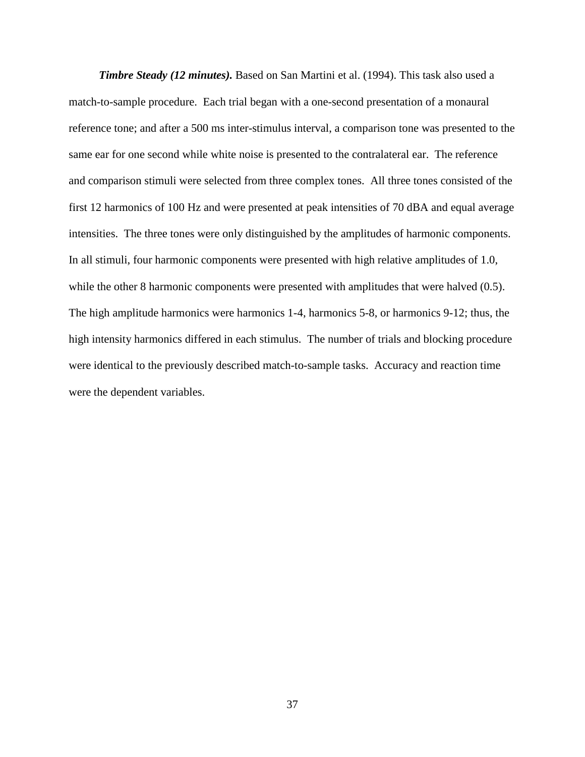*Timbre Steady (12 minutes).* Based on San Martini et al. (1994). This task also used a match-to-sample procedure. Each trial began with a one-second presentation of a monaural reference tone; and after a 500 ms inter-stimulus interval, a comparison tone was presented to the same ear for one second while white noise is presented to the contralateral ear. The reference and comparison stimuli were selected from three complex tones. All three tones consisted of the first 12 harmonics of 100 Hz and were presented at peak intensities of 70 dBA and equal average intensities. The three tones were only distinguished by the amplitudes of harmonic components. In all stimuli, four harmonic components were presented with high relative amplitudes of 1.0, while the other 8 harmonic components were presented with amplitudes that were halved  $(0.5)$ . The high amplitude harmonics were harmonics 1-4, harmonics 5-8, or harmonics 9-12; thus, the high intensity harmonics differed in each stimulus. The number of trials and blocking procedure were identical to the previously described match-to-sample tasks. Accuracy and reaction time were the dependent variables.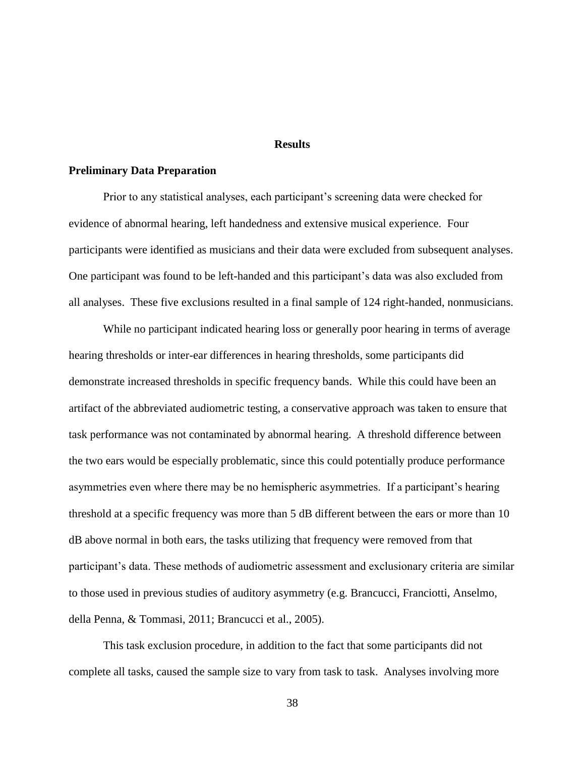#### **Results**

## **Preliminary Data Preparation**

Prior to any statistical analyses, each participant's screening data were checked for evidence of abnormal hearing, left handedness and extensive musical experience. Four participants were identified as musicians and their data were excluded from subsequent analyses. One participant was found to be left-handed and this participant's data was also excluded from all analyses. These five exclusions resulted in a final sample of 124 right-handed, nonmusicians.

While no participant indicated hearing loss or generally poor hearing in terms of average hearing thresholds or inter-ear differences in hearing thresholds, some participants did demonstrate increased thresholds in specific frequency bands. While this could have been an artifact of the abbreviated audiometric testing, a conservative approach was taken to ensure that task performance was not contaminated by abnormal hearing. A threshold difference between the two ears would be especially problematic, since this could potentially produce performance asymmetries even where there may be no hemispheric asymmetries. If a participant's hearing threshold at a specific frequency was more than 5 dB different between the ears or more than 10 dB above normal in both ears, the tasks utilizing that frequency were removed from that participant's data. These methods of audiometric assessment and exclusionary criteria are similar to those used in previous studies of auditory asymmetry (e.g. Brancucci, Franciotti, Anselmo, della Penna, & Tommasi, 2011; Brancucci et al., 2005).

This task exclusion procedure, in addition to the fact that some participants did not complete all tasks, caused the sample size to vary from task to task. Analyses involving more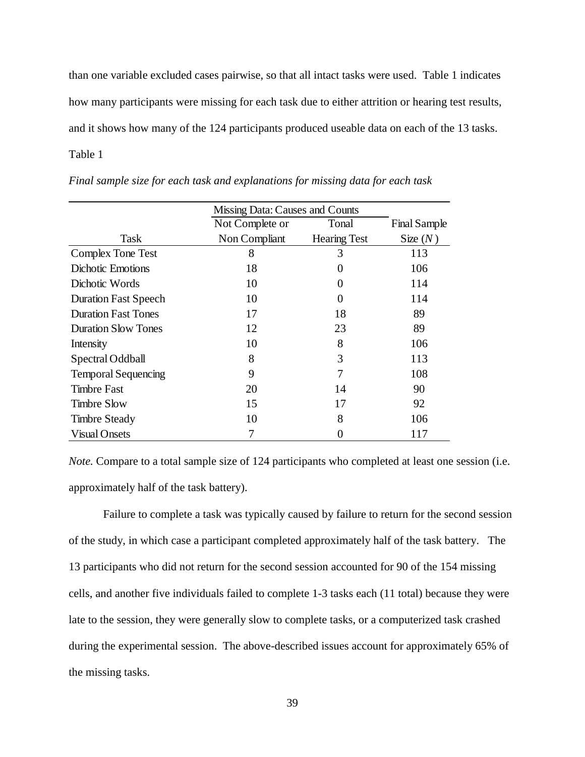than one variable excluded cases pairwise, so that all intact tasks were used. Table 1 indicates how many participants were missing for each task due to either attrition or hearing test results, and it shows how many of the 124 participants produced useable data on each of the 13 tasks. Table 1 Table 1. Final sample sample size for each task and explanations for  $\mathbb{R}^n$ .

|                             | Missing Data: Causes and Counts |                     |                     |  |
|-----------------------------|---------------------------------|---------------------|---------------------|--|
|                             | Not Complete or                 | Tonal               | <b>Final Sample</b> |  |
| Task                        | Non Compliant                   | <b>Hearing Test</b> | Size $(N)$          |  |
| Complex Tone Test           | 8                               | 3                   | 113                 |  |
| <b>Dichotic Emotions</b>    | 18                              | $\mathbf{\Omega}$   | 106                 |  |
| Dichotic Words              | 10                              | 0                   | 114                 |  |
| <b>Duration Fast Speech</b> | 10                              | 0                   | 114                 |  |
| <b>Duration Fast Tones</b>  | 17                              | 18                  | 89                  |  |
| <b>Duration Slow Tones</b>  | 12                              | 23                  | 89                  |  |
| Intensity                   | 10                              | 8                   | 106                 |  |
| Spectral Oddball            | 8                               | 3                   | 113                 |  |
| <b>Temporal Sequencing</b>  | 9                               |                     | 108                 |  |
| <b>Timbre Fast</b>          | 20                              | 14                  | 90                  |  |
| <b>Timbre Slow</b>          | 15                              | 17                  | 92                  |  |
| <b>Timbre Steady</b>        | 10                              | 8                   | 106                 |  |
| <b>Visual Onsets</b>        |                                 |                     | 117                 |  |

Final sample size for each task and explanations for missing data for each task

*Note.* Compare to a total sample size of 124 participants who completed at least one session (i.e. approximately half of the task battery).

Failure to complete a task was typically caused by failure to return for the second session of the study, in which case a participant completed approximately half of the task battery. The 13 participants who did not return for the second session accounted for 90 of the 154 missing cells, and another five individuals failed to complete 1-3 tasks each (11 total) because they were late to the session, they were generally slow to complete tasks, or a computerized task crashed during the experimental session. The above-described issues account for approximately 65% of the missing tasks.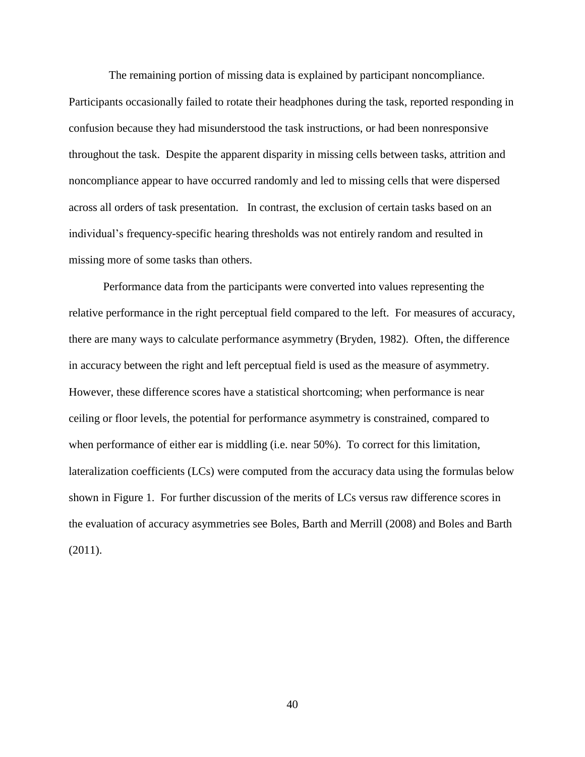The remaining portion of missing data is explained by participant noncompliance.

Participants occasionally failed to rotate their headphones during the task, reported responding in confusion because they had misunderstood the task instructions, or had been nonresponsive throughout the task. Despite the apparent disparity in missing cells between tasks, attrition and noncompliance appear to have occurred randomly and led to missing cells that were dispersed across all orders of task presentation. In contrast, the exclusion of certain tasks based on an individual's frequency-specific hearing thresholds was not entirely random and resulted in missing more of some tasks than others.

Performance data from the participants were converted into values representing the relative performance in the right perceptual field compared to the left. For measures of accuracy, there are many ways to calculate performance asymmetry (Bryden, 1982). Often, the difference in accuracy between the right and left perceptual field is used as the measure of asymmetry. However, these difference scores have a statistical shortcoming; when performance is near ceiling or floor levels, the potential for performance asymmetry is constrained, compared to when performance of either ear is middling (i.e. near 50%). To correct for this limitation, lateralization coefficients (LCs) were computed from the accuracy data using the formulas below shown in Figure 1. For further discussion of the merits of LCs versus raw difference scores in the evaluation of accuracy asymmetries see Boles, Barth and Merrill (2008) and Boles and Barth (2011).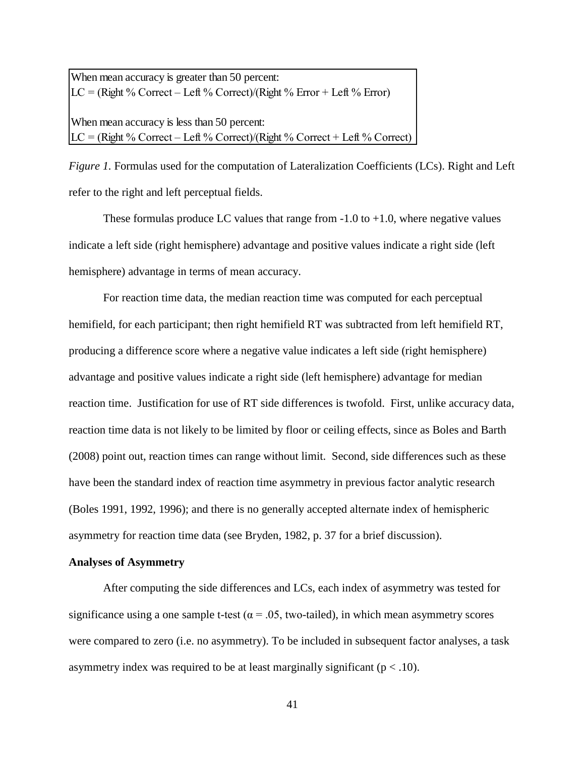When mean accuracy is greater than 50 percent:  $LC = (Right \% Correct - Left \% Correct)/(Right \% Error + Left \% Error)$ 

When mean accuracy is less than 50 percent:  $LC = (Right \% Correct - Left \% Correct) / (Right \% Correct + Left \% Correct)$ 

Figure 1. Formulas used for the computation of Lateralization Coefficients (LCs). Right and Left refer to the right and left perceptual fields.

These formulas produce LC values that range from  $-1.0$  to  $+1.0$ , where negative values indicate a left side (right hemisphere) advantage and positive values indicate a right side (left hemisphere) advantage in terms of mean accuracy.

For reaction time data, the median reaction time was computed for each perceptual hemifield, for each participant; then right hemifield RT was subtracted from left hemifield RT, producing a difference score where a negative value indicates a left side (right hemisphere) advantage and positive values indicate a right side (left hemisphere) advantage for median reaction time. Justification for use of RT side differences is twofold. First, unlike accuracy data, reaction time data is not likely to be limited by floor or ceiling effects, since as Boles and Barth (2008) point out, reaction times can range without limit. Second, side differences such as these have been the standard index of reaction time asymmetry in previous factor analytic research (Boles 1991, 1992, 1996); and there is no generally accepted alternate index of hemispheric asymmetry for reaction time data (see Bryden, 1982, p. 37 for a brief discussion).

## **Analyses of Asymmetry**

After computing the side differences and LCs, each index of asymmetry was tested for significance using a one sample t-test ( $\alpha$  = .05, two-tailed), in which mean asymmetry scores were compared to zero (i.e. no asymmetry). To be included in subsequent factor analyses, a task asymmetry index was required to be at least marginally significant ( $p < .10$ ).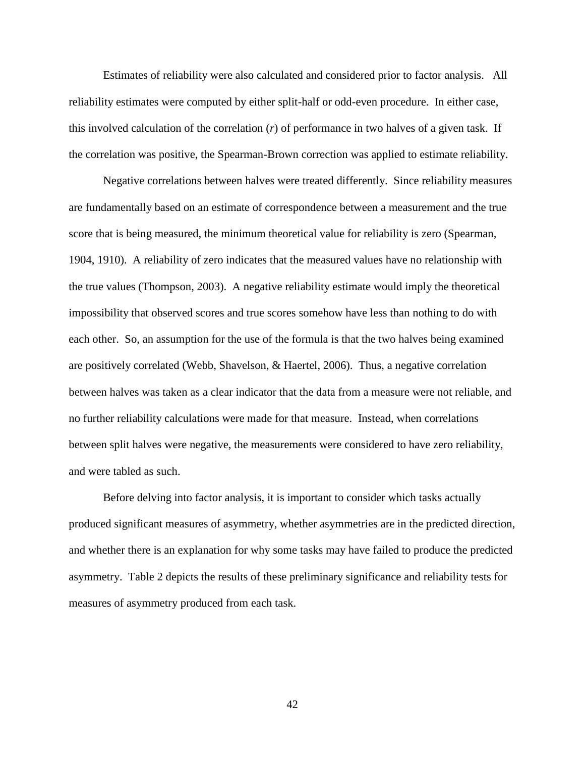Estimates of reliability were also calculated and considered prior to factor analysis. All reliability estimates were computed by either split-half or odd-even procedure. In either case, this involved calculation of the correlation (*r*) of performance in two halves of a given task. If the correlation was positive, the Spearman-Brown correction was applied to estimate reliability.

Negative correlations between halves were treated differently. Since reliability measures are fundamentally based on an estimate of correspondence between a measurement and the true score that is being measured, the minimum theoretical value for reliability is zero (Spearman, 1904, 1910). A reliability of zero indicates that the measured values have no relationship with the true values (Thompson, 2003). A negative reliability estimate would imply the theoretical impossibility that observed scores and true scores somehow have less than nothing to do with each other. So, an assumption for the use of the formula is that the two halves being examined are positively correlated (Webb, Shavelson, & Haertel, 2006). Thus, a negative correlation between halves was taken as a clear indicator that the data from a measure were not reliable, and no further reliability calculations were made for that measure. Instead, when correlations between split halves were negative, the measurements were considered to have zero reliability, and were tabled as such.

Before delving into factor analysis, it is important to consider which tasks actually produced significant measures of asymmetry, whether asymmetries are in the predicted direction, and whether there is an explanation for why some tasks may have failed to produce the predicted asymmetry. Table 2 depicts the results of these preliminary significance and reliability tests for measures of asymmetry produced from each task.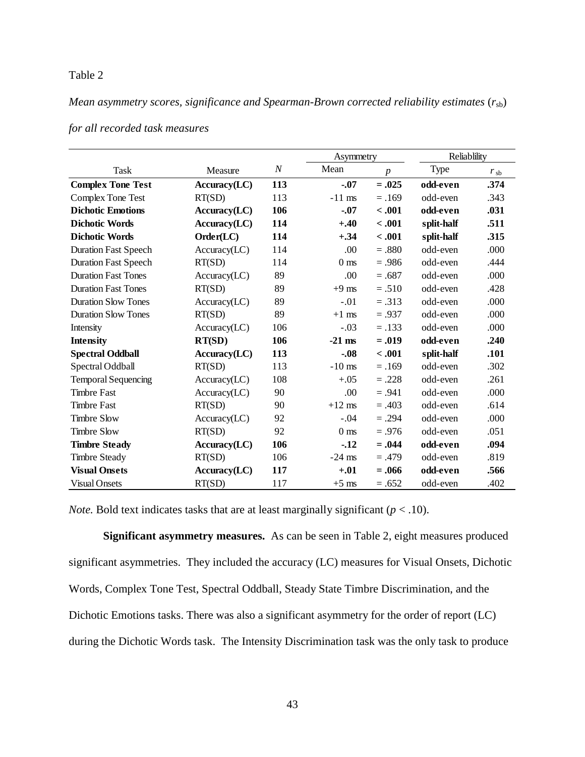# Table 2

*Mean asymmetry scores, significance and Spearman-Brown corrected reliability estimates*  $(r_{sb})$ 

|                             |               |                  |                 | Asymmetry        |            | Reliablility |  |
|-----------------------------|---------------|------------------|-----------------|------------------|------------|--------------|--|
| Task                        | Measure       | $\boldsymbol{N}$ | Mean            | $\boldsymbol{p}$ | Type       | $r_{sb}$     |  |
| <b>Complex Tone Test</b>    | Accuracy (LC) | 113              | $-.07$          | $=.025$          | odd-even   | .374         |  |
| Complex Tone Test           | RT(SD)        | 113              | $-11$ ms        | $=.169$          | odd-even   | .343         |  |
| <b>Dichotic Emotions</b>    | Accuracy (LC) | 106              | $-.07$          | < .001           | odd-even   | .031         |  |
| <b>Dichotic Words</b>       | Accuracy (LC) | 114              | $+.40$          | $-.001$          | split-half | .511         |  |
| <b>Dichotic Words</b>       | Order(LC)     | 114              | $+.34$          | $-.001$          | split-half | .315         |  |
| <b>Duration Fast Speech</b> | Accuracy (LC) | 114              | .00             | $=.880$          | odd-even   | .000         |  |
| <b>Duration Fast Speech</b> | RT(SD)        | 114              | 0 <sub>ms</sub> | $=.986$          | odd-even   | .444         |  |
| <b>Duration Fast Tones</b>  | Accuracy (LC) | 89               | .00             | $=.687$          | odd-even   | .000         |  |
| <b>Duration Fast Tones</b>  | RT(SD)        | 89               | $+9$ ms         | $=.510$          | odd-even   | .428         |  |
| <b>Duration Slow Tones</b>  | Accuracy (LC) | 89               | $-.01$          | $=.313$          | odd-even   | .000         |  |
| <b>Duration Slow Tones</b>  | RT(SD)        | 89               | $+1$ ms         | $=.937$          | odd-even   | .000         |  |
| Intensity                   | Accuracy (LC) | 106              | $-.03$          | $=.133$          | odd-even   | .000         |  |
| <b>Intensity</b>            | RT(SD)        | 106              | $-21$ ms        | $=.019$          | odd-even   | .240         |  |
| <b>Spectral Oddball</b>     | Accuracy (LC) | 113              | $-0.08$         | $-.001$          | split-half | .101         |  |
| Spectral Oddball            | RT(SD)        | 113              | $-10$ ms        | $=.169$          | odd-even   | .302         |  |
| <b>Temporal Sequencing</b>  | Accuracy (LC) | 108              | $+.05$          | $=.228$          | odd-even   | .261         |  |
| <b>Timbre Fast</b>          | Accuracy (LC) | 90               | .00             | $=.941$          | odd-even   | .000         |  |
| <b>Timbre Fast</b>          | RT(SD)        | 90               | $+12$ ms        | $=.403$          | odd-even   | .614         |  |
| <b>Timbre Slow</b>          | Accuracy (LC) | 92               | $-.04$          | $=.294$          | odd-even   | .000         |  |
| <b>Timbre Slow</b>          | RT(SD)        | 92               | 0 <sub>ms</sub> | $=.976$          | odd-even   | .051         |  |
| <b>Timbre Steady</b>        | Accuracy (LC) | 106              | $-12$           | $=.044$          | odd-even   | .094         |  |
| <b>Timbre Steady</b>        | RT(SD)        | 106              | $-24$ ms        | $=.479$          | odd-even   | .819         |  |
| <b>Visual Onsets</b>        | Accuracy (LC) | 117              | $+.01$          | $=.066$          | odd-even   | .566         |  |
| <b>Visual Onsets</b>        | RT(SD)        | 117              | $+5$ ms         | $=.652$          | odd-even   | .402         |  |

for all recorded task measures **For all assets and Spearman-Brown corrected** reliability estimates (*rsb*) for all and Spearman-Brown corrected reliability estimates (*rsb*) for all and spearman-Brown corrected reliability

*Note.* Bold text indicates tasks that are at least marginally significant ( $p < .10$ ).

**Significant asymmetry measures.**As can be seen in Table 2, eight measures produced significant asymmetries. They included the accuracy (LC) measures for Visual Onsets, Dichotic Words, Complex Tone Test, Spectral Oddball, Steady State Timbre Discrimination, and the Dichotic Emotions tasks. There was also a significant asymmetry for the order of report (LC) during the Dichotic Words task. The Intensity Discrimination task was the only task to produce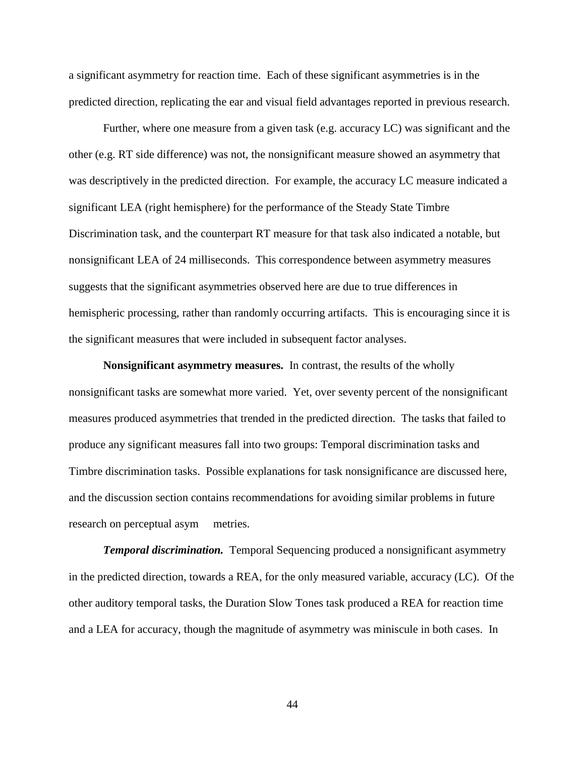a significant asymmetry for reaction time. Each of these significant asymmetries is in the predicted direction, replicating the ear and visual field advantages reported in previous research.

Further, where one measure from a given task (e.g. accuracy LC) was significant and the other (e.g. RT side difference) was not, the nonsignificant measure showed an asymmetry that was descriptively in the predicted direction. For example, the accuracy LC measure indicated a significant LEA (right hemisphere) for the performance of the Steady State Timbre Discrimination task, and the counterpart RT measure for that task also indicated a notable, but nonsignificant LEA of 24 milliseconds. This correspondence between asymmetry measures suggests that the significant asymmetries observed here are due to true differences in hemispheric processing, rather than randomly occurring artifacts. This is encouraging since it is the significant measures that were included in subsequent factor analyses.

**Nonsignificant asymmetry measures.** In contrast, the results of the wholly nonsignificant tasks are somewhat more varied. Yet, over seventy percent of the nonsignificant measures produced asymmetries that trended in the predicted direction. The tasks that failed to produce any significant measures fall into two groups: Temporal discrimination tasks and Timbre discrimination tasks. Possible explanations for task nonsignificance are discussed here, and the discussion section contains recommendations for avoiding similar problems in future research on perceptual asym metries.

*Temporal discrimination.* Temporal Sequencing produced a nonsignificant asymmetry in the predicted direction, towards a REA, for the only measured variable, accuracy (LC). Of the other auditory temporal tasks, the Duration Slow Tones task produced a REA for reaction time and a LEA for accuracy, though the magnitude of asymmetry was miniscule in both cases. In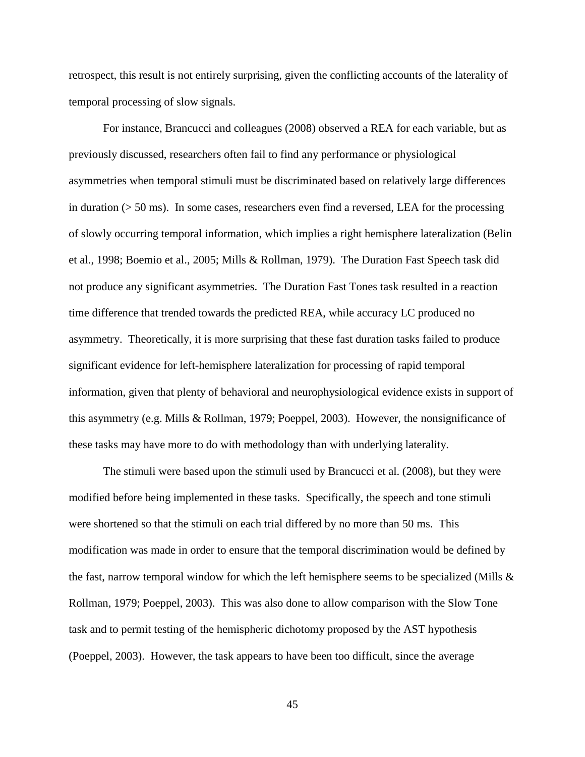retrospect, this result is not entirely surprising, given the conflicting accounts of the laterality of temporal processing of slow signals.

For instance, Brancucci and colleagues (2008) observed a REA for each variable, but as previously discussed, researchers often fail to find any performance or physiological asymmetries when temporal stimuli must be discriminated based on relatively large differences in duration  $(50 \text{ ms})$ . In some cases, researchers even find a reversed, LEA for the processing of slowly occurring temporal information, which implies a right hemisphere lateralization (Belin et al., 1998; Boemio et al., 2005; Mills & Rollman, 1979). The Duration Fast Speech task did not produce any significant asymmetries. The Duration Fast Tones task resulted in a reaction time difference that trended towards the predicted REA, while accuracy LC produced no asymmetry. Theoretically, it is more surprising that these fast duration tasks failed to produce significant evidence for left-hemisphere lateralization for processing of rapid temporal information, given that plenty of behavioral and neurophysiological evidence exists in support of this asymmetry (e.g. Mills & Rollman, 1979; Poeppel, 2003). However, the nonsignificance of these tasks may have more to do with methodology than with underlying laterality.

The stimuli were based upon the stimuli used by Brancucci et al. (2008), but they were modified before being implemented in these tasks. Specifically, the speech and tone stimuli were shortened so that the stimuli on each trial differed by no more than 50 ms. This modification was made in order to ensure that the temporal discrimination would be defined by the fast, narrow temporal window for which the left hemisphere seems to be specialized (Mills  $\&$ Rollman, 1979; Poeppel, 2003). This was also done to allow comparison with the Slow Tone task and to permit testing of the hemispheric dichotomy proposed by the AST hypothesis (Poeppel, 2003). However, the task appears to have been too difficult, since the average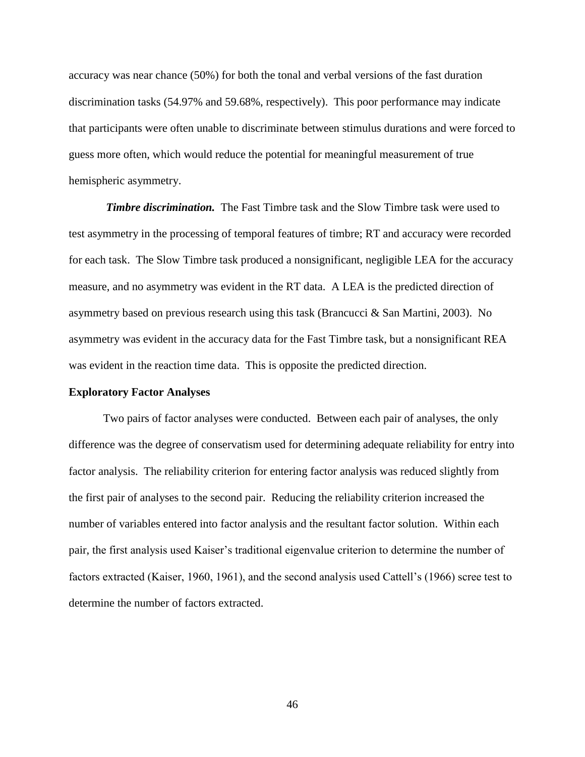accuracy was near chance (50%) for both the tonal and verbal versions of the fast duration discrimination tasks (54.97% and 59.68%, respectively). This poor performance may indicate that participants were often unable to discriminate between stimulus durations and were forced to guess more often, which would reduce the potential for meaningful measurement of true hemispheric asymmetry.

*Timbre discrimination.* The Fast Timbre task and the Slow Timbre task were used to test asymmetry in the processing of temporal features of timbre; RT and accuracy were recorded for each task. The Slow Timbre task produced a nonsignificant, negligible LEA for the accuracy measure, and no asymmetry was evident in the RT data. A LEA is the predicted direction of asymmetry based on previous research using this task (Brancucci & San Martini, 2003). No asymmetry was evident in the accuracy data for the Fast Timbre task, but a nonsignificant REA was evident in the reaction time data. This is opposite the predicted direction.

### **Exploratory Factor Analyses**

Two pairs of factor analyses were conducted. Between each pair of analyses, the only difference was the degree of conservatism used for determining adequate reliability for entry into factor analysis. The reliability criterion for entering factor analysis was reduced slightly from the first pair of analyses to the second pair. Reducing the reliability criterion increased the number of variables entered into factor analysis and the resultant factor solution. Within each pair, the first analysis used Kaiser's traditional eigenvalue criterion to determine the number of factors extracted (Kaiser, 1960, 1961), and the second analysis used Cattell's (1966) scree test to determine the number of factors extracted.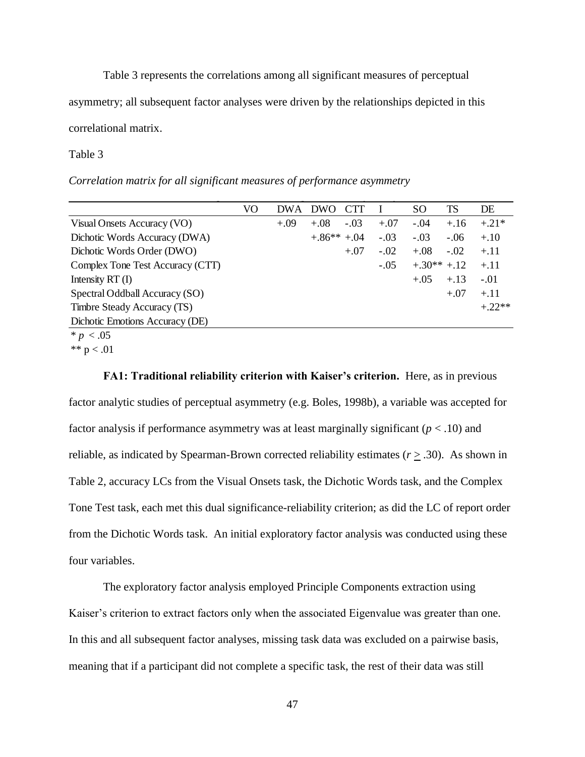Table 3 represents the correlations among all significant measures of perceptual

asymmetry; all subsequent factor analyses were driven by the relationships depicted in this

correlational matrix.

### Table 3

*Correlation matrix for all significant measures of performance asymmetry*

|                                  | VO | <b>DWA</b> | <b>DWO</b>   | <b>CTT</b> |        | SO           | TS     | DE       |
|----------------------------------|----|------------|--------------|------------|--------|--------------|--------|----------|
| Visual Onsets Accuracy (VO)      |    | $+.09$     | $+.08$       | $-.03$     | $+.07$ | $-.04$       | $+.16$ | $+.21*$  |
| Dichotic Words Accuracy (DWA)    |    |            | $+.86**+.04$ |            | $-.03$ | $-.03$       | $-.06$ | $+.10$   |
| Dichotic Words Order (DWO)       |    |            |              | $+.07$     | $-.02$ | $+.08$       | $-.02$ | $+.11$   |
| Complex Tone Test Accuracy (CTT) |    |            |              |            | $-.05$ | $+.30**+.12$ |        | $+.11$   |
| Intensity $RT(I)$                |    |            |              |            |        | $+.05$       | $+.13$ | $-.01$   |
| Spectral Oddball Accuracy (SO)   |    |            |              |            |        |              | $+.07$ | $+.11$   |
| Timbre Steady Accuracy (TS)      |    |            |              |            |        |              |        | $+.22**$ |
| Dichotic Emotions Accuracy (DE)  |    |            |              |            |        |              |        |          |
| * $p < .05$                      |    |            |              |            |        |              |        |          |

\*\*  $p < .01$ 

**FA1: Traditional reliability criterion with Kaiser's criterion.** Here, as in previous factor analytic studies of perceptual asymmetry (e.g. Boles, 1998b), a variable was accepted for factor analysis if performance asymmetry was at least marginally significant (*p* < .10) and reliable, as indicated by Spearman-Brown corrected reliability estimates ( $r \geq .30$ ). As shown in Table 2, accuracy LCs from the Visual Onsets task, the Dichotic Words task, and the Complex Tone Test task, each met this dual significance-reliability criterion; as did the LC of report order from the Dichotic Words task. An initial exploratory factor analysis was conducted using these four variables.

The exploratory factor analysis employed Principle Components extraction using Kaiser's criterion to extract factors only when the associated Eigenvalue was greater than one. In this and all subsequent factor analyses, missing task data was excluded on a pairwise basis, meaning that if a participant did not complete a specific task, the rest of their data was still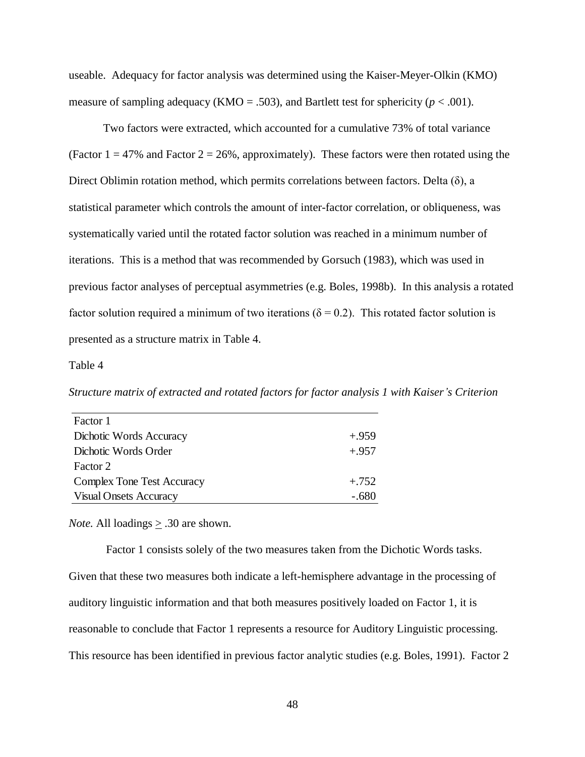useable. Adequacy for factor analysis was determined using the Kaiser-Meyer-Olkin (KMO) measure of sampling adequacy (KMO = .503), and Bartlett test for sphericity ( $p < .001$ ).

Two factors were extracted, which accounted for a cumulative 73% of total variance (Factor  $1 = 47\%$  and Factor  $2 = 26\%$ , approximately). These factors were then rotated using the Direct Oblimin rotation method, which permits correlations between factors. Delta  $(\delta)$ , a statistical parameter which controls the amount of inter-factor correlation, or obliqueness, was systematically varied until the rotated factor solution was reached in a minimum number of iterations. This is a method that was recommended by Gorsuch (1983), which was used in previous factor analyses of perceptual asymmetries (e.g. Boles, 1998b). In this analysis a rotated factor solution required a minimum of two iterations ( $\delta = 0.2$ ). This rotated factor solution is presented as a structure matrix in Table 4.

Table 4

Structure matrix of extracted and rotated factors for factor analysis 1 with Kaiser's Criterion

| Factor 1                      |         |
|-------------------------------|---------|
| Dichotic Words Accuracy       | $+959$  |
| Dichotic Words Order          | $+.957$ |
| Factor 2                      |         |
| Complex Tone Test Accuracy    | $+.752$ |
| <b>Visual Onsets Accuracy</b> |         |

*Note.* All loadings  $\geq$  .30 are shown.

Factor 1 consists solely of the two measures taken from the Dichotic Words tasks. Given that these two measures both indicate a left-hemisphere advantage in the processing of auditory linguistic information and that both measures positively loaded on Factor 1, it is reasonable to conclude that Factor 1 represents a resource for Auditory Linguistic processing. This resource has been identified in previous factor analytic studies (e.g. Boles, 1991). Factor 2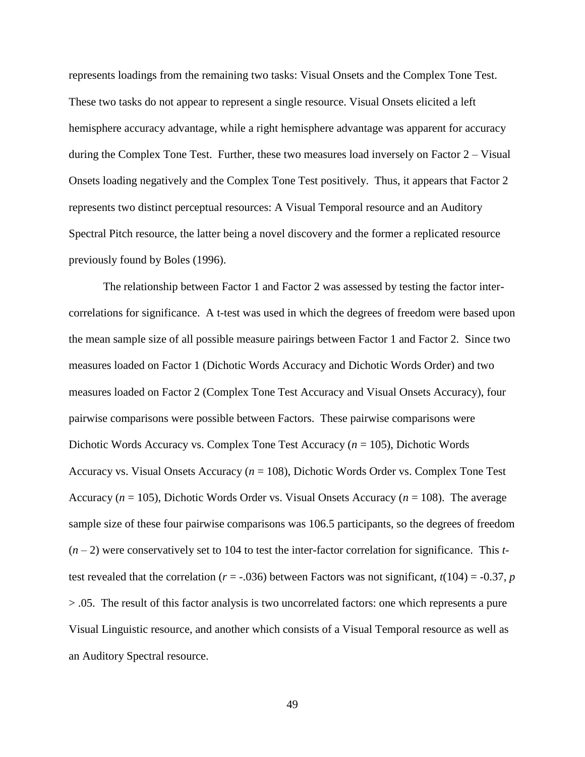represents loadings from the remaining two tasks: Visual Onsets and the Complex Tone Test. These two tasks do not appear to represent a single resource. Visual Onsets elicited a left hemisphere accuracy advantage, while a right hemisphere advantage was apparent for accuracy during the Complex Tone Test. Further, these two measures load inversely on Factor 2 – Visual Onsets loading negatively and the Complex Tone Test positively. Thus, it appears that Factor 2 represents two distinct perceptual resources: A Visual Temporal resource and an Auditory Spectral Pitch resource, the latter being a novel discovery and the former a replicated resource previously found by Boles (1996).

The relationship between Factor 1 and Factor 2 was assessed by testing the factor intercorrelations for significance. A t-test was used in which the degrees of freedom were based upon the mean sample size of all possible measure pairings between Factor 1 and Factor 2. Since two measures loaded on Factor 1 (Dichotic Words Accuracy and Dichotic Words Order) and two measures loaded on Factor 2 (Complex Tone Test Accuracy and Visual Onsets Accuracy), four pairwise comparisons were possible between Factors. These pairwise comparisons were Dichotic Words Accuracy vs. Complex Tone Test Accuracy (*n* = 105), Dichotic Words Accuracy vs. Visual Onsets Accuracy (*n* = 108), Dichotic Words Order vs. Complex Tone Test Accuracy ( $n = 105$ ), Dichotic Words Order vs. Visual Onsets Accuracy ( $n = 108$ ). The average sample size of these four pairwise comparisons was 106.5 participants, so the degrees of freedom (*n* – 2) were conservatively set to 104 to test the inter-factor correlation for significance. This *t*test revealed that the correlation ( $r = -0.036$ ) between Factors was not significant,  $t(104) = -0.37$ , *p* > .05. The result of this factor analysis is two uncorrelated factors: one which represents a pure Visual Linguistic resource, and another which consists of a Visual Temporal resource as well as an Auditory Spectral resource.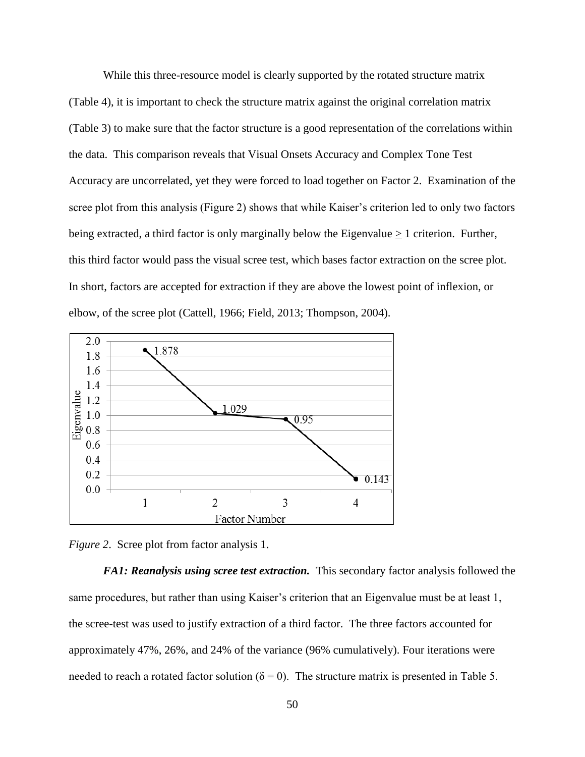While this three-resource model is clearly supported by the rotated structure matrix (Table 4), it is important to check the structure matrix against the original correlation matrix (Table 3) to make sure that the factor structure is a good representation of the correlations within the data. This comparison reveals that Visual Onsets Accuracy and Complex Tone Test Accuracy are uncorrelated, yet they were forced to load together on Factor 2. Examination of the scree plot from this analysis (Figure 2) shows that while Kaiser's criterion led to only two factors being extracted, a third factor is only marginally below the Eigenvalue  $\geq 1$  criterion. Further, this third factor would pass the visual scree test, which bases factor extraction on the scree plot. In short, factors are accepted for extraction if they are above the lowest point of inflexion, or elbow, of the scree plot (Cattell, 1966; Field, 2013; Thompson, 2004).



*Figure 2*. Scree plot from factor analysis 1.

*FA1: Reanalysis using scree test extraction.* This secondary factor analysis followed the same procedures, but rather than using Kaiser's criterion that an Eigenvalue must be at least 1, the scree-test was used to justify extraction of a third factor. The three factors accounted for approximately 47%, 26%, and 24% of the variance (96% cumulatively). Four iterations were needed to reach a rotated factor solution ( $\delta = 0$ ). The structure matrix is presented in Table 5.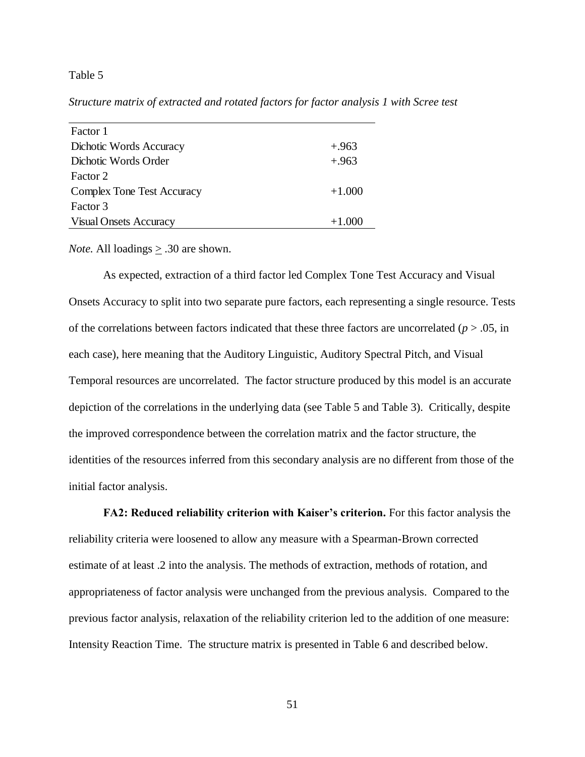#### Table 5

Structure matrix of extracted and rotated factors for factor analysis 1 with Scree test

| Factor 1                      |          |
|-------------------------------|----------|
| Dichotic Words Accuracy       | $+.963$  |
| Dichotic Words Order          | $+.963$  |
| Factor 2                      |          |
| Complex Tone Test Accuracy    | $+1.000$ |
| Factor 3                      |          |
| <b>Visual Onsets Accuracy</b> | $+1.000$ |

*Note.* All loadings > .30 are shown.

As expected, extraction of a third factor led Complex Tone Test Accuracy and Visual Onsets Accuracy to split into two separate pure factors, each representing a single resource. Tests of the correlations between factors indicated that these three factors are uncorrelated  $(p > .05$ , in each case), here meaning that the Auditory Linguistic, Auditory Spectral Pitch, and Visual Temporal resources are uncorrelated. The factor structure produced by this model is an accurate depiction of the correlations in the underlying data (see Table 5 and Table 3). Critically, despite the improved correspondence between the correlation matrix and the factor structure, the identities of the resources inferred from this secondary analysis are no different from those of the initial factor analysis.

**FA2: Reduced reliability criterion with Kaiser's criterion.** For this factor analysis the reliability criteria were loosened to allow any measure with a Spearman-Brown corrected estimate of at least .2 into the analysis. The methods of extraction, methods of rotation, and appropriateness of factor analysis were unchanged from the previous analysis. Compared to the previous factor analysis, relaxation of the reliability criterion led to the addition of one measure: Intensity Reaction Time. The structure matrix is presented in Table 6 and described below.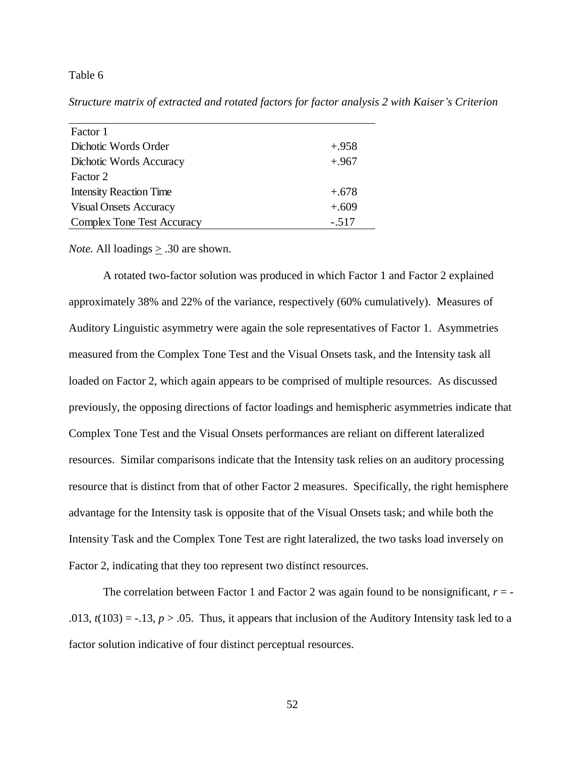### Table 6

*Structure matrix of extracted and rotated factors for factor analysis 2 with Kaiser's Criterion* Table 6. Structure matrix of extracted and rotated factors for factor

| Factor 1                          |         |
|-----------------------------------|---------|
| Dichotic Words Order              | $+.958$ |
| Dichotic Words Accuracy           | $+.967$ |
| Factor 2                          |         |
| <b>Intensity Reaction Time</b>    | $+.678$ |
| <b>Visual Onsets Accuracy</b>     | $+.609$ |
| <b>Complex Tone Test Accuracy</b> | $-.517$ |

*Note.* All loadings > .30 are shown.

A rotated two-factor solution was produced in which Factor 1 and Factor 2 explained approximately 38% and 22% of the variance, respectively (60% cumulatively). Measures of Auditory Linguistic asymmetry were again the sole representatives of Factor 1. Asymmetries measured from the Complex Tone Test and the Visual Onsets task, and the Intensity task all loaded on Factor 2, which again appears to be comprised of multiple resources. As discussed previously, the opposing directions of factor loadings and hemispheric asymmetries indicate that Complex Tone Test and the Visual Onsets performances are reliant on different lateralized resources. Similar comparisons indicate that the Intensity task relies on an auditory processing resource that is distinct from that of other Factor 2 measures. Specifically, the right hemisphere advantage for the Intensity task is opposite that of the Visual Onsets task; and while both the Intensity Task and the Complex Tone Test are right lateralized, the two tasks load inversely on Factor 2, indicating that they too represent two distinct resources.

The correlation between Factor 1 and Factor 2 was again found to be nonsignificant,  $r = -$ .013,  $t(103) = -0.13$ ,  $p > 0.05$ . Thus, it appears that inclusion of the Auditory Intensity task led to a factor solution indicative of four distinct perceptual resources.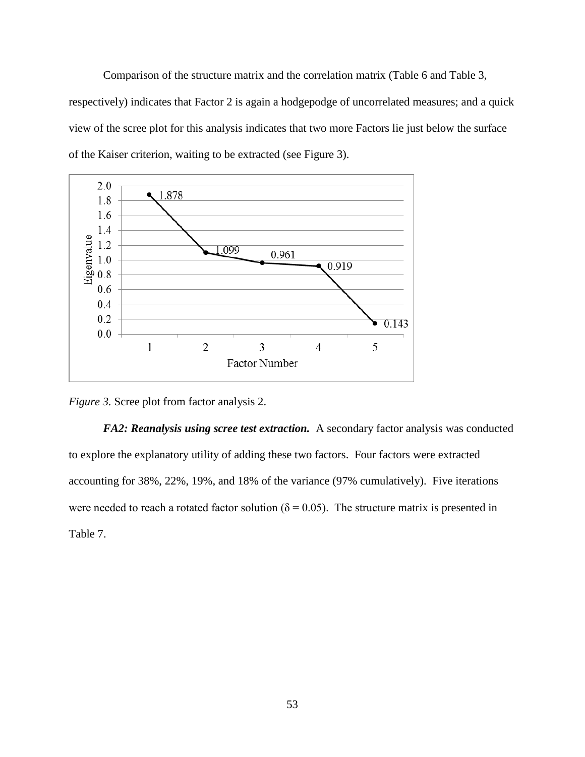Comparison of the structure matrix and the correlation matrix (Table 6 and Table 3, respectively) indicates that Factor 2 is again a hodgepodge of uncorrelated measures; and a quick view of the scree plot for this analysis indicates that two more Factors lie just below the surface of the Kaiser criterion, waiting to be extracted (see Figure 3).



*Figure 3.* Scree plot from factor analysis 2.

*FA2: Reanalysis using scree test extraction.* A secondary factor analysis was conducted to explore the explanatory utility of adding these two factors. Four factors were extracted accounting for 38%, 22%, 19%, and 18% of the variance (97% cumulatively). Five iterations were needed to reach a rotated factor solution ( $\delta = 0.05$ ). The structure matrix is presented in Table 7.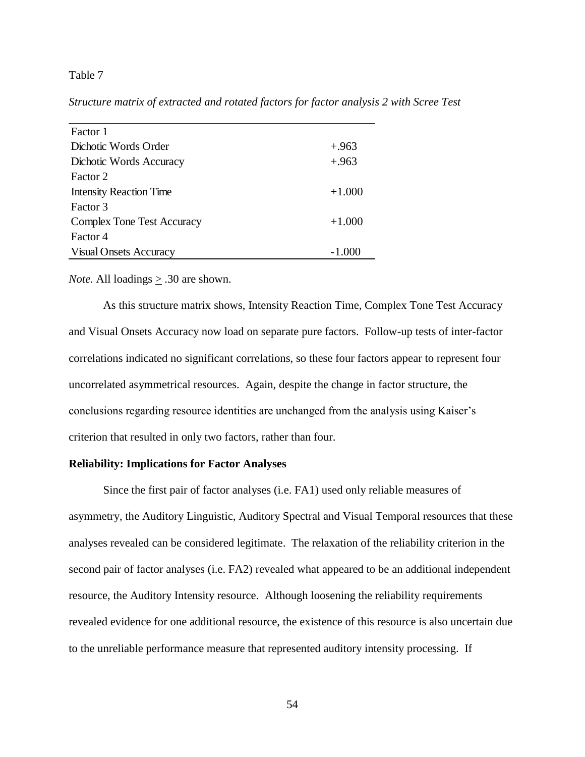# Table 7

**Structure matrix of extracted and rotated factors for factor analysis 2 with Scree Test** 

| Factor 1                       |          |
|--------------------------------|----------|
| Dichotic Words Order           | $+.963$  |
| Dichotic Words Accuracy        | $+.963$  |
| Factor 2                       |          |
| <b>Intensity Reaction Time</b> | $+1.000$ |
| Factor 3                       |          |
| Complex Tone Test Accuracy     | $+1.000$ |
| Factor 4                       |          |
| <b>Visual Onsets Accuracy</b>  | -1.000   |

*Note.* All loadings > .30 are shown.

As this structure matrix shows, Intensity Reaction Time, Complex Tone Test Accuracy and Visual Onsets Accuracy now load on separate pure factors. Follow-up tests of inter-factor correlations indicated no significant correlations, so these four factors appear to represent four uncorrelated asymmetrical resources. Again, despite the change in factor structure, the conclusions regarding resource identities are unchanged from the analysis using Kaiser's criterion that resulted in only two factors, rather than four.

## **Reliability: Implications for Factor Analyses**

Since the first pair of factor analyses (i.e. FA1) used only reliable measures of asymmetry, the Auditory Linguistic, Auditory Spectral and Visual Temporal resources that these analyses revealed can be considered legitimate. The relaxation of the reliability criterion in the second pair of factor analyses (i.e. FA2) revealed what appeared to be an additional independent resource, the Auditory Intensity resource. Although loosening the reliability requirements revealed evidence for one additional resource, the existence of this resource is also uncertain due to the unreliable performance measure that represented auditory intensity processing. If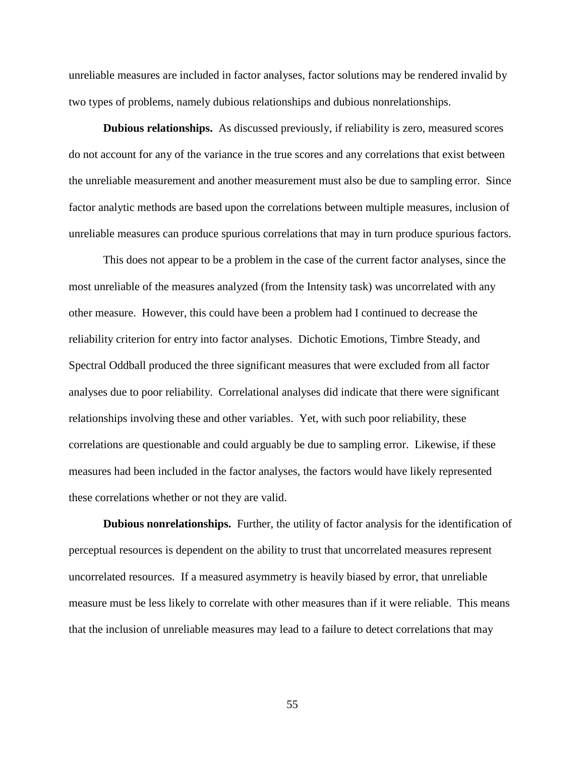unreliable measures are included in factor analyses, factor solutions may be rendered invalid by two types of problems, namely dubious relationships and dubious nonrelationships.

**Dubious relationships.** As discussed previously, if reliability is zero, measured scores do not account for any of the variance in the true scores and any correlations that exist between the unreliable measurement and another measurement must also be due to sampling error. Since factor analytic methods are based upon the correlations between multiple measures, inclusion of unreliable measures can produce spurious correlations that may in turn produce spurious factors.

This does not appear to be a problem in the case of the current factor analyses, since the most unreliable of the measures analyzed (from the Intensity task) was uncorrelated with any other measure. However, this could have been a problem had I continued to decrease the reliability criterion for entry into factor analyses. Dichotic Emotions, Timbre Steady, and Spectral Oddball produced the three significant measures that were excluded from all factor analyses due to poor reliability. Correlational analyses did indicate that there were significant relationships involving these and other variables. Yet, with such poor reliability, these correlations are questionable and could arguably be due to sampling error. Likewise, if these measures had been included in the factor analyses, the factors would have likely represented these correlations whether or not they are valid.

**Dubious nonrelationships.** Further, the utility of factor analysis for the identification of perceptual resources is dependent on the ability to trust that uncorrelated measures represent uncorrelated resources. If a measured asymmetry is heavily biased by error, that unreliable measure must be less likely to correlate with other measures than if it were reliable. This means that the inclusion of unreliable measures may lead to a failure to detect correlations that may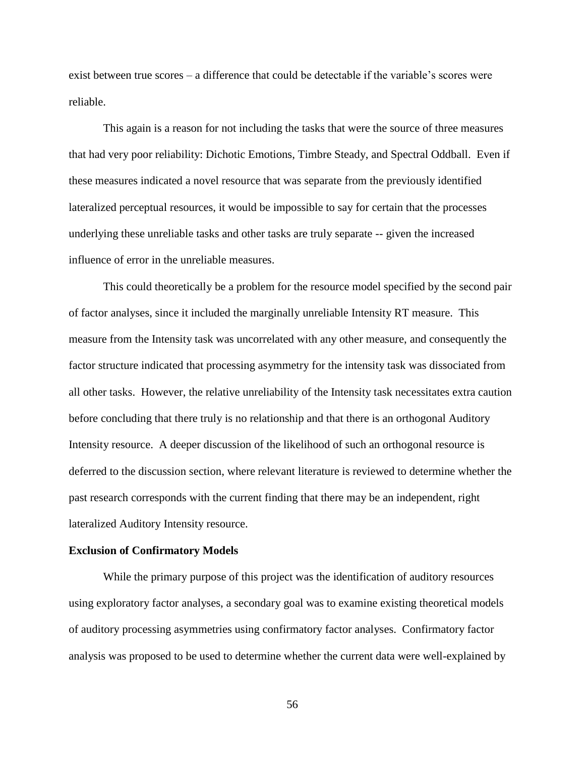exist between true scores – a difference that could be detectable if the variable's scores were reliable.

This again is a reason for not including the tasks that were the source of three measures that had very poor reliability: Dichotic Emotions, Timbre Steady, and Spectral Oddball. Even if these measures indicated a novel resource that was separate from the previously identified lateralized perceptual resources, it would be impossible to say for certain that the processes underlying these unreliable tasks and other tasks are truly separate -- given the increased influence of error in the unreliable measures.

This could theoretically be a problem for the resource model specified by the second pair of factor analyses, since it included the marginally unreliable Intensity RT measure. This measure from the Intensity task was uncorrelated with any other measure, and consequently the factor structure indicated that processing asymmetry for the intensity task was dissociated from all other tasks. However, the relative unreliability of the Intensity task necessitates extra caution before concluding that there truly is no relationship and that there is an orthogonal Auditory Intensity resource. A deeper discussion of the likelihood of such an orthogonal resource is deferred to the discussion section, where relevant literature is reviewed to determine whether the past research corresponds with the current finding that there may be an independent, right lateralized Auditory Intensity resource.

#### **Exclusion of Confirmatory Models**

While the primary purpose of this project was the identification of auditory resources using exploratory factor analyses, a secondary goal was to examine existing theoretical models of auditory processing asymmetries using confirmatory factor analyses. Confirmatory factor analysis was proposed to be used to determine whether the current data were well-explained by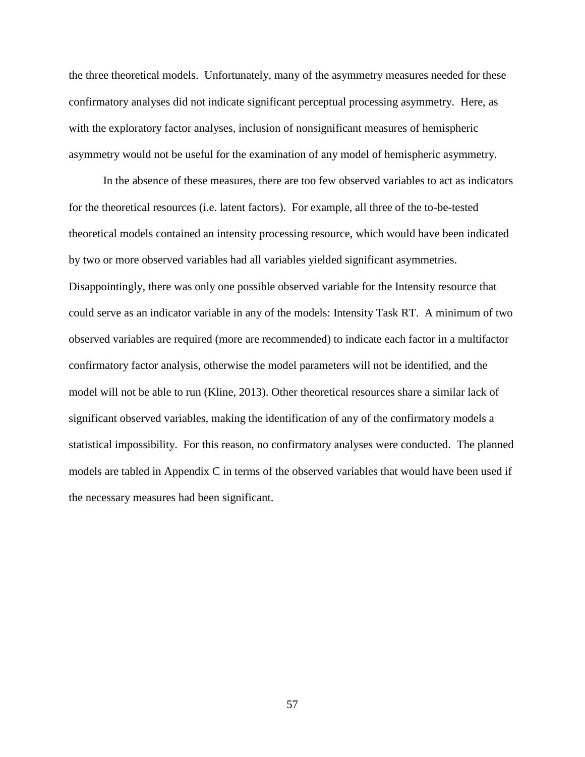the three theoretical models. Unfortunately, many of the asymmetry measures needed for these confirmatory analyses did not indicate significant perceptual processing asymmetry. Here, as with the exploratory factor analyses, inclusion of nonsignificant measures of hemispheric asymmetry would not be useful for the examination of any model of hemispheric asymmetry.

In the absence of these measures, there are too few observed variables to act as indicators for the theoretical resources (i.e. latent factors). For example, all three of the to-be-tested theoretical models contained an intensity processing resource, which would have been indicated by two or more observed variables had all variables yielded significant asymmetries. Disappointingly, there was only one possible observed variable for the Intensity resource that could serve as an indicator variable in any of the models: Intensity Task RT. A minimum of two observed variables are required (more are recommended) to indicate each factor in a multifactor confirmatory factor analysis, otherwise the model parameters will not be identified, and the model will not be able to run (Kline, 2013). Other theoretical resources share a similar lack of significant observed variables, making the identification of any of the confirmatory models a statistical impossibility. For this reason, no confirmatory analyses were conducted. The planned models are tabled in Appendix C in terms of the observed variables that would have been used if the necessary measures had been significant.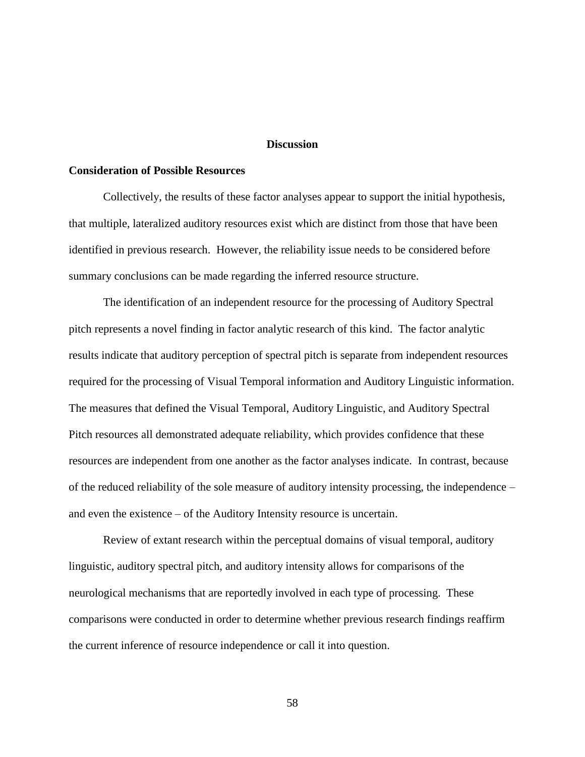#### **Discussion**

# **Consideration of Possible Resources**

Collectively, the results of these factor analyses appear to support the initial hypothesis, that multiple, lateralized auditory resources exist which are distinct from those that have been identified in previous research. However, the reliability issue needs to be considered before summary conclusions can be made regarding the inferred resource structure.

The identification of an independent resource for the processing of Auditory Spectral pitch represents a novel finding in factor analytic research of this kind. The factor analytic results indicate that auditory perception of spectral pitch is separate from independent resources required for the processing of Visual Temporal information and Auditory Linguistic information. The measures that defined the Visual Temporal, Auditory Linguistic, and Auditory Spectral Pitch resources all demonstrated adequate reliability, which provides confidence that these resources are independent from one another as the factor analyses indicate. In contrast, because of the reduced reliability of the sole measure of auditory intensity processing, the independence – and even the existence – of the Auditory Intensity resource is uncertain.

Review of extant research within the perceptual domains of visual temporal, auditory linguistic, auditory spectral pitch, and auditory intensity allows for comparisons of the neurological mechanisms that are reportedly involved in each type of processing. These comparisons were conducted in order to determine whether previous research findings reaffirm the current inference of resource independence or call it into question.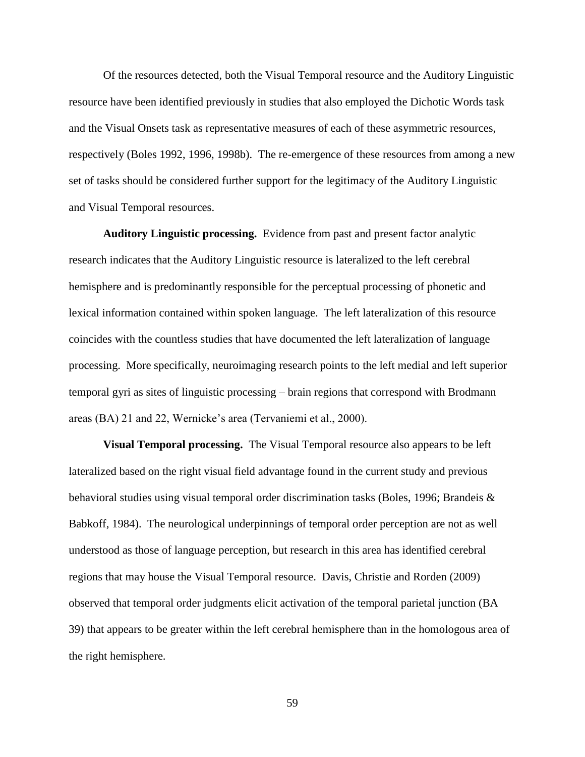Of the resources detected, both the Visual Temporal resource and the Auditory Linguistic resource have been identified previously in studies that also employed the Dichotic Words task and the Visual Onsets task as representative measures of each of these asymmetric resources, respectively (Boles 1992, 1996, 1998b). The re-emergence of these resources from among a new set of tasks should be considered further support for the legitimacy of the Auditory Linguistic and Visual Temporal resources.

**Auditory Linguistic processing.**Evidence from past and present factor analytic research indicates that the Auditory Linguistic resource is lateralized to the left cerebral hemisphere and is predominantly responsible for the perceptual processing of phonetic and lexical information contained within spoken language. The left lateralization of this resource coincides with the countless studies that have documented the left lateralization of language processing. More specifically, neuroimaging research points to the left medial and left superior temporal gyri as sites of linguistic processing – brain regions that correspond with Brodmann areas (BA) 21 and 22, Wernicke's area (Tervaniemi et al., 2000).

**Visual Temporal processing.**The Visual Temporal resource also appears to be left lateralized based on the right visual field advantage found in the current study and previous behavioral studies using visual temporal order discrimination tasks (Boles, 1996; Brandeis & Babkoff, 1984). The neurological underpinnings of temporal order perception are not as well understood as those of language perception, but research in this area has identified cerebral regions that may house the Visual Temporal resource. Davis, Christie and Rorden (2009) observed that temporal order judgments elicit activation of the temporal parietal junction (BA 39) that appears to be greater within the left cerebral hemisphere than in the homologous area of the right hemisphere.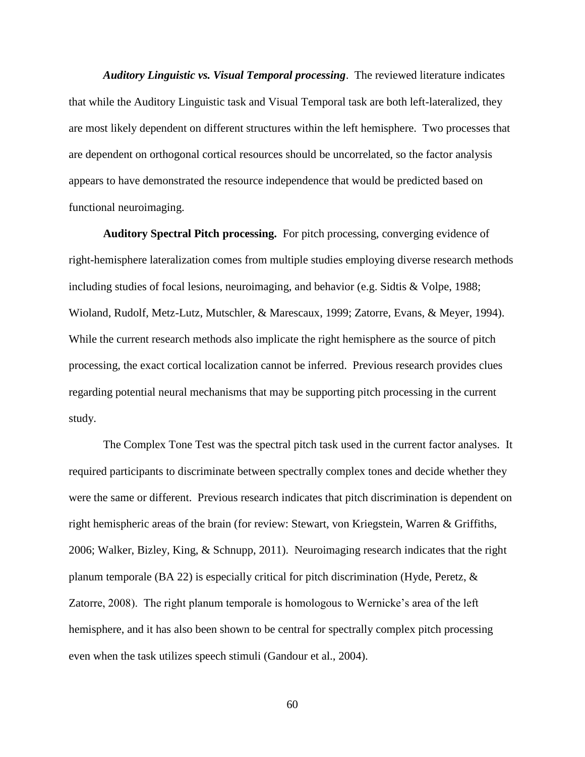*Auditory Linguistic vs. Visual Temporal processing*. The reviewed literature indicates that while the Auditory Linguistic task and Visual Temporal task are both left-lateralized, they are most likely dependent on different structures within the left hemisphere. Two processes that are dependent on orthogonal cortical resources should be uncorrelated, so the factor analysis appears to have demonstrated the resource independence that would be predicted based on functional neuroimaging.

**Auditory Spectral Pitch processing.** For pitch processing, converging evidence of right-hemisphere lateralization comes from multiple studies employing diverse research methods including studies of focal lesions, neuroimaging, and behavior (e.g. Sidtis & Volpe, 1988; Wioland, Rudolf, Metz-Lutz, Mutschler, & Marescaux, 1999; Zatorre, Evans, & Meyer, 1994). While the current research methods also implicate the right hemisphere as the source of pitch processing, the exact cortical localization cannot be inferred. Previous research provides clues regarding potential neural mechanisms that may be supporting pitch processing in the current study.

The Complex Tone Test was the spectral pitch task used in the current factor analyses. It required participants to discriminate between spectrally complex tones and decide whether they were the same or different. Previous research indicates that pitch discrimination is dependent on right hemispheric areas of the brain (for review: Stewart, von Kriegstein, Warren & Griffiths, 2006; Walker, Bizley, King, & Schnupp, 2011). Neuroimaging research indicates that the right planum temporale (BA 22) is especially critical for pitch discrimination (Hyde, Peretz, & Zatorre, 2008). The right planum temporale is homologous to Wernicke's area of the left hemisphere, and it has also been shown to be central for spectrally complex pitch processing even when the task utilizes speech stimuli (Gandour et al., 2004).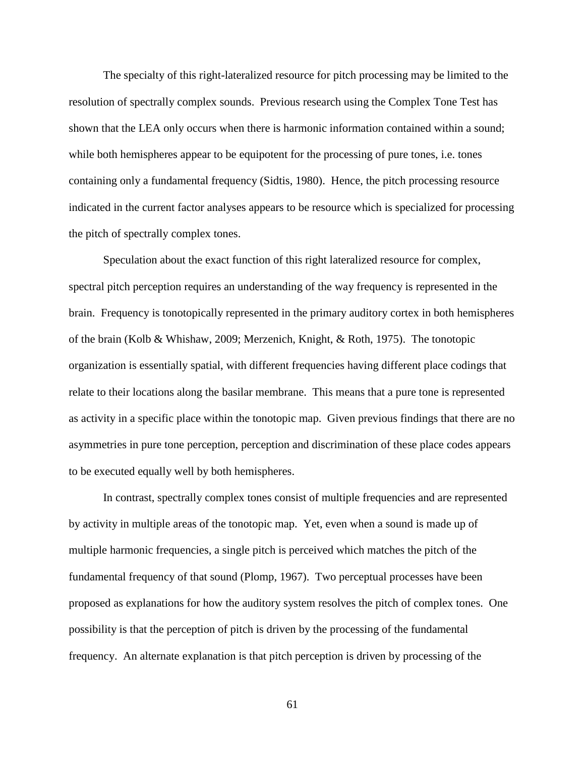The specialty of this right-lateralized resource for pitch processing may be limited to the resolution of spectrally complex sounds. Previous research using the Complex Tone Test has shown that the LEA only occurs when there is harmonic information contained within a sound; while both hemispheres appear to be equipotent for the processing of pure tones, i.e. tones containing only a fundamental frequency (Sidtis, 1980). Hence, the pitch processing resource indicated in the current factor analyses appears to be resource which is specialized for processing the pitch of spectrally complex tones.

Speculation about the exact function of this right lateralized resource for complex, spectral pitch perception requires an understanding of the way frequency is represented in the brain. Frequency is tonotopically represented in the primary auditory cortex in both hemispheres of the brain (Kolb & Whishaw, 2009; Merzenich, Knight, & Roth, 1975). The tonotopic organization is essentially spatial, with different frequencies having different place codings that relate to their locations along the basilar membrane. This means that a pure tone is represented as activity in a specific place within the tonotopic map. Given previous findings that there are no asymmetries in pure tone perception, perception and discrimination of these place codes appears to be executed equally well by both hemispheres.

In contrast, spectrally complex tones consist of multiple frequencies and are represented by activity in multiple areas of the tonotopic map. Yet, even when a sound is made up of multiple harmonic frequencies, a single pitch is perceived which matches the pitch of the fundamental frequency of that sound (Plomp, 1967). Two perceptual processes have been proposed as explanations for how the auditory system resolves the pitch of complex tones. One possibility is that the perception of pitch is driven by the processing of the fundamental frequency. An alternate explanation is that pitch perception is driven by processing of the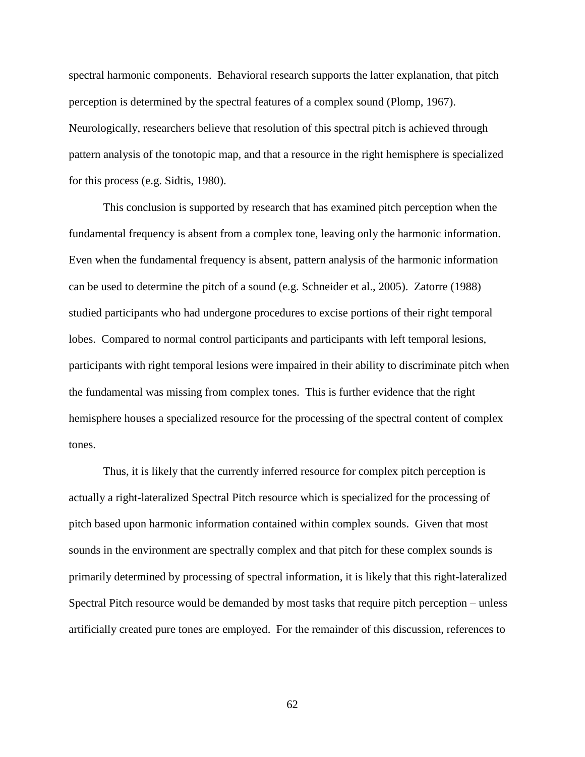spectral harmonic components. Behavioral research supports the latter explanation, that pitch perception is determined by the spectral features of a complex sound (Plomp, 1967). Neurologically, researchers believe that resolution of this spectral pitch is achieved through pattern analysis of the tonotopic map, and that a resource in the right hemisphere is specialized for this process (e.g. Sidtis, 1980).

This conclusion is supported by research that has examined pitch perception when the fundamental frequency is absent from a complex tone, leaving only the harmonic information. Even when the fundamental frequency is absent, pattern analysis of the harmonic information can be used to determine the pitch of a sound (e.g. Schneider et al., 2005). Zatorre (1988) studied participants who had undergone procedures to excise portions of their right temporal lobes. Compared to normal control participants and participants with left temporal lesions, participants with right temporal lesions were impaired in their ability to discriminate pitch when the fundamental was missing from complex tones. This is further evidence that the right hemisphere houses a specialized resource for the processing of the spectral content of complex tones.

Thus, it is likely that the currently inferred resource for complex pitch perception is actually a right-lateralized Spectral Pitch resource which is specialized for the processing of pitch based upon harmonic information contained within complex sounds. Given that most sounds in the environment are spectrally complex and that pitch for these complex sounds is primarily determined by processing of spectral information, it is likely that this right-lateralized Spectral Pitch resource would be demanded by most tasks that require pitch perception – unless artificially created pure tones are employed. For the remainder of this discussion, references to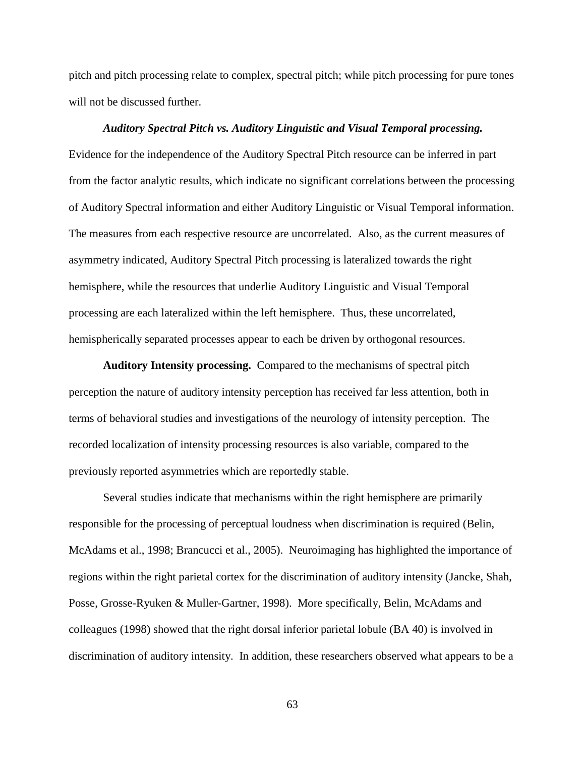pitch and pitch processing relate to complex, spectral pitch; while pitch processing for pure tones will not be discussed further.

## *Auditory Spectral Pitch vs. Auditory Linguistic and Visual Temporal processing.*

Evidence for the independence of the Auditory Spectral Pitch resource can be inferred in part from the factor analytic results, which indicate no significant correlations between the processing of Auditory Spectral information and either Auditory Linguistic or Visual Temporal information. The measures from each respective resource are uncorrelated. Also, as the current measures of asymmetry indicated, Auditory Spectral Pitch processing is lateralized towards the right hemisphere, while the resources that underlie Auditory Linguistic and Visual Temporal processing are each lateralized within the left hemisphere. Thus, these uncorrelated, hemispherically separated processes appear to each be driven by orthogonal resources.

**Auditory Intensity processing.**Compared to the mechanisms of spectral pitch perception the nature of auditory intensity perception has received far less attention, both in terms of behavioral studies and investigations of the neurology of intensity perception. The recorded localization of intensity processing resources is also variable, compared to the previously reported asymmetries which are reportedly stable.

Several studies indicate that mechanisms within the right hemisphere are primarily responsible for the processing of perceptual loudness when discrimination is required (Belin, McAdams et al., 1998; Brancucci et al., 2005). Neuroimaging has highlighted the importance of regions within the right parietal cortex for the discrimination of auditory intensity (Jancke, Shah, Posse, Grosse-Ryuken & Muller-Gartner, 1998). More specifically, Belin, McAdams and colleagues (1998) showed that the right dorsal inferior parietal lobule (BA 40) is involved in discrimination of auditory intensity. In addition, these researchers observed what appears to be a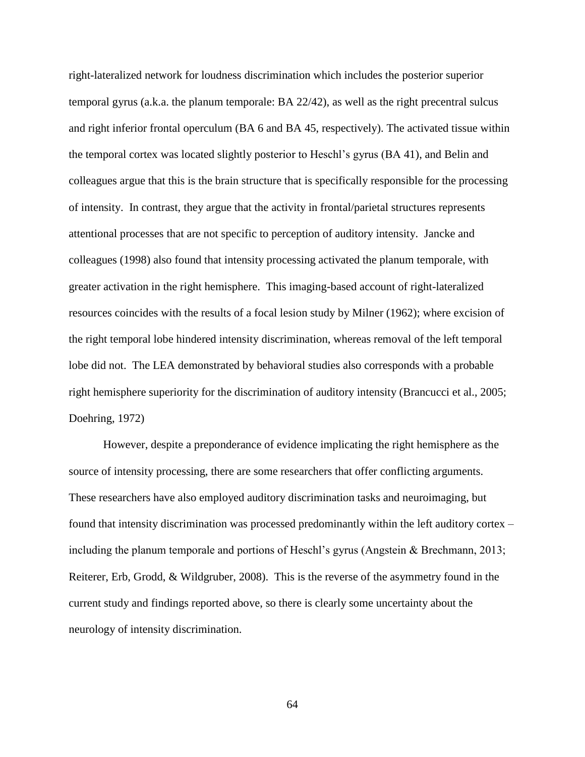right-lateralized network for loudness discrimination which includes the posterior superior temporal gyrus (a.k.a. the planum temporale: BA 22/42), as well as the right precentral sulcus and right inferior frontal operculum (BA 6 and BA 45, respectively). The activated tissue within the temporal cortex was located slightly posterior to Heschl's gyrus (BA 41), and Belin and colleagues argue that this is the brain structure that is specifically responsible for the processing of intensity. In contrast, they argue that the activity in frontal/parietal structures represents attentional processes that are not specific to perception of auditory intensity. Jancke and colleagues (1998) also found that intensity processing activated the planum temporale, with greater activation in the right hemisphere. This imaging-based account of right-lateralized resources coincides with the results of a focal lesion study by Milner (1962); where excision of the right temporal lobe hindered intensity discrimination, whereas removal of the left temporal lobe did not. The LEA demonstrated by behavioral studies also corresponds with a probable right hemisphere superiority for the discrimination of auditory intensity (Brancucci et al., 2005; Doehring, 1972)

However, despite a preponderance of evidence implicating the right hemisphere as the source of intensity processing, there are some researchers that offer conflicting arguments. These researchers have also employed auditory discrimination tasks and neuroimaging, but found that intensity discrimination was processed predominantly within the left auditory cortex – including the planum temporale and portions of Heschl's gyrus (Angstein & Brechmann, 2013; Reiterer, Erb, Grodd, & Wildgruber, 2008). This is the reverse of the asymmetry found in the current study and findings reported above, so there is clearly some uncertainty about the neurology of intensity discrimination.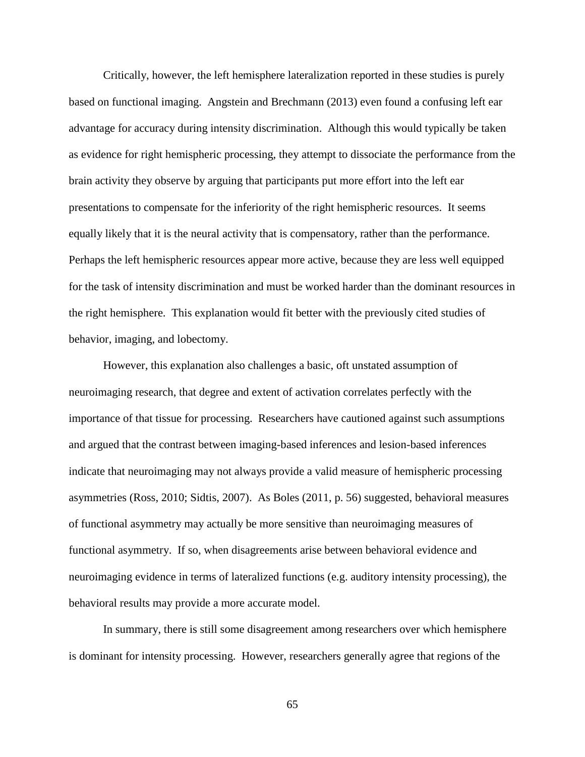Critically, however, the left hemisphere lateralization reported in these studies is purely based on functional imaging. Angstein and Brechmann (2013) even found a confusing left ear advantage for accuracy during intensity discrimination. Although this would typically be taken as evidence for right hemispheric processing, they attempt to dissociate the performance from the brain activity they observe by arguing that participants put more effort into the left ear presentations to compensate for the inferiority of the right hemispheric resources. It seems equally likely that it is the neural activity that is compensatory, rather than the performance. Perhaps the left hemispheric resources appear more active, because they are less well equipped for the task of intensity discrimination and must be worked harder than the dominant resources in the right hemisphere. This explanation would fit better with the previously cited studies of behavior, imaging, and lobectomy.

However, this explanation also challenges a basic, oft unstated assumption of neuroimaging research, that degree and extent of activation correlates perfectly with the importance of that tissue for processing. Researchers have cautioned against such assumptions and argued that the contrast between imaging-based inferences and lesion-based inferences indicate that neuroimaging may not always provide a valid measure of hemispheric processing asymmetries (Ross, 2010; Sidtis, 2007). As Boles (2011, p. 56) suggested, behavioral measures of functional asymmetry may actually be more sensitive than neuroimaging measures of functional asymmetry. If so, when disagreements arise between behavioral evidence and neuroimaging evidence in terms of lateralized functions (e.g. auditory intensity processing), the behavioral results may provide a more accurate model.

In summary, there is still some disagreement among researchers over which hemisphere is dominant for intensity processing. However, researchers generally agree that regions of the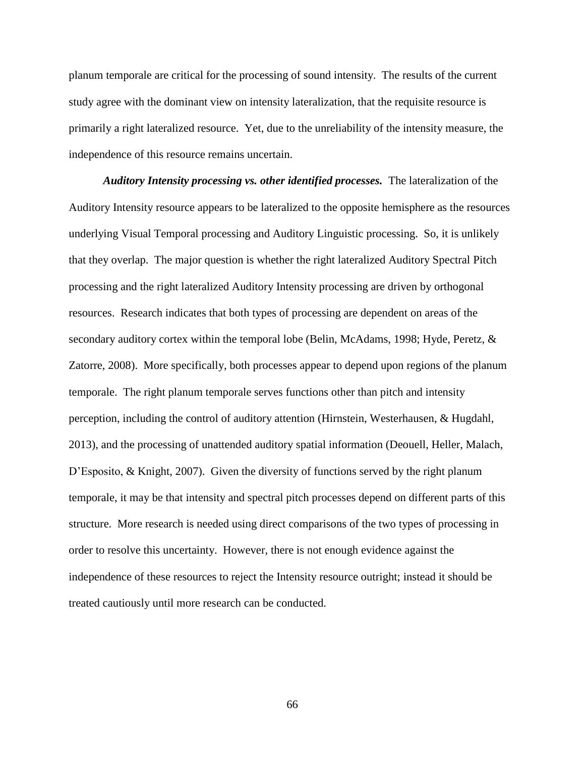planum temporale are critical for the processing of sound intensity. The results of the current study agree with the dominant view on intensity lateralization, that the requisite resource is primarily a right lateralized resource. Yet, due to the unreliability of the intensity measure, the independence of this resource remains uncertain.

*Auditory Intensity processing vs. other identified processes.* The lateralization of the Auditory Intensity resource appears to be lateralized to the opposite hemisphere as the resources underlying Visual Temporal processing and Auditory Linguistic processing. So, it is unlikely that they overlap. The major question is whether the right lateralized Auditory Spectral Pitch processing and the right lateralized Auditory Intensity processing are driven by orthogonal resources. Research indicates that both types of processing are dependent on areas of the secondary auditory cortex within the temporal lobe (Belin, McAdams, 1998; Hyde, Peretz, & Zatorre, 2008). More specifically, both processes appear to depend upon regions of the planum temporale. The right planum temporale serves functions other than pitch and intensity perception, including the control of auditory attention (Hirnstein, Westerhausen, & Hugdahl, 2013), and the processing of unattended auditory spatial information (Deouell, Heller, Malach, D'Esposito, & Knight, 2007). Given the diversity of functions served by the right planum temporale, it may be that intensity and spectral pitch processes depend on different parts of this structure. More research is needed using direct comparisons of the two types of processing in order to resolve this uncertainty. However, there is not enough evidence against the independence of these resources to reject the Intensity resource outright; instead it should be treated cautiously until more research can be conducted.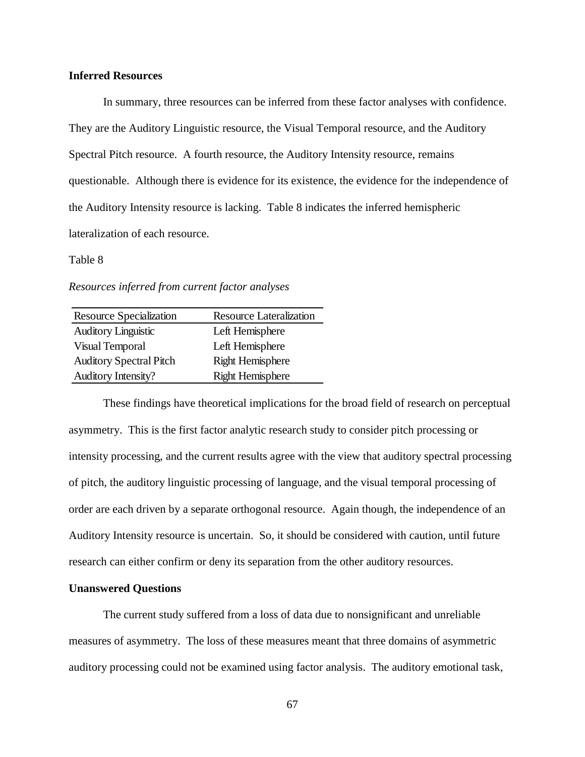## **Inferred Resources**

In summary, three resources can be inferred from these factor analyses with confidence. They are the Auditory Linguistic resource, the Visual Temporal resource, and the Auditory Spectral Pitch resource. A fourth resource, the Auditory Intensity resource, remains questionable. Although there is evidence for its existence, the evidence for the independence of the Auditory Intensity resource is lacking. Table 8 indicates the inferred hemispheric lateralization of each resource.

#### Table 8

*Resources inferred from current factor analyses*

| Resource Specialization        | <b>Resource Lateralization</b> |
|--------------------------------|--------------------------------|
| <b>Auditory Linguistic</b>     | Left Hemisphere                |
| Visual Temporal                | Left Hemisphere                |
| <b>Auditory Spectral Pitch</b> | <b>Right Hemisphere</b>        |
| <b>Auditory Intensity?</b>     | <b>Right Hemisphere</b>        |

These findings have theoretical implications for the broad field of research on perceptual asymmetry. This is the first factor analytic research study to consider pitch processing or intensity processing, and the current results agree with the view that auditory spectral processing of pitch, the auditory linguistic processing of language, and the visual temporal processing of order are each driven by a separate orthogonal resource. Again though, the independence of an Auditory Intensity resource is uncertain. So, it should be considered with caution, until future research can either confirm or deny its separation from the other auditory resources.

### **Unanswered Questions**

The current study suffered from a loss of data due to nonsignificant and unreliable measures of asymmetry. The loss of these measures meant that three domains of asymmetric auditory processing could not be examined using factor analysis. The auditory emotional task,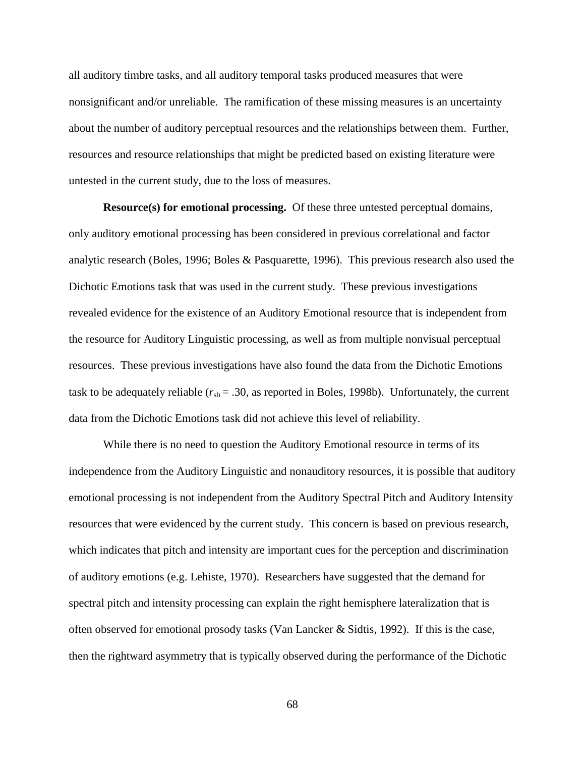all auditory timbre tasks, and all auditory temporal tasks produced measures that were nonsignificant and/or unreliable. The ramification of these missing measures is an uncertainty about the number of auditory perceptual resources and the relationships between them. Further, resources and resource relationships that might be predicted based on existing literature were untested in the current study, due to the loss of measures.

**Resource(s) for emotional processing.** Of these three untested perceptual domains, only auditory emotional processing has been considered in previous correlational and factor analytic research (Boles, 1996; Boles & Pasquarette, 1996). This previous research also used the Dichotic Emotions task that was used in the current study. These previous investigations revealed evidence for the existence of an Auditory Emotional resource that is independent from the resource for Auditory Linguistic processing, as well as from multiple nonvisual perceptual resources. These previous investigations have also found the data from the Dichotic Emotions task to be adequately reliable  $(r_{sb} = .30)$ , as reported in Boles, 1998b). Unfortunately, the current data from the Dichotic Emotions task did not achieve this level of reliability.

While there is no need to question the Auditory Emotional resource in terms of its independence from the Auditory Linguistic and nonauditory resources, it is possible that auditory emotional processing is not independent from the Auditory Spectral Pitch and Auditory Intensity resources that were evidenced by the current study. This concern is based on previous research, which indicates that pitch and intensity are important cues for the perception and discrimination of auditory emotions (e.g. Lehiste, 1970). Researchers have suggested that the demand for spectral pitch and intensity processing can explain the right hemisphere lateralization that is often observed for emotional prosody tasks (Van Lancker & Sidtis, 1992). If this is the case, then the rightward asymmetry that is typically observed during the performance of the Dichotic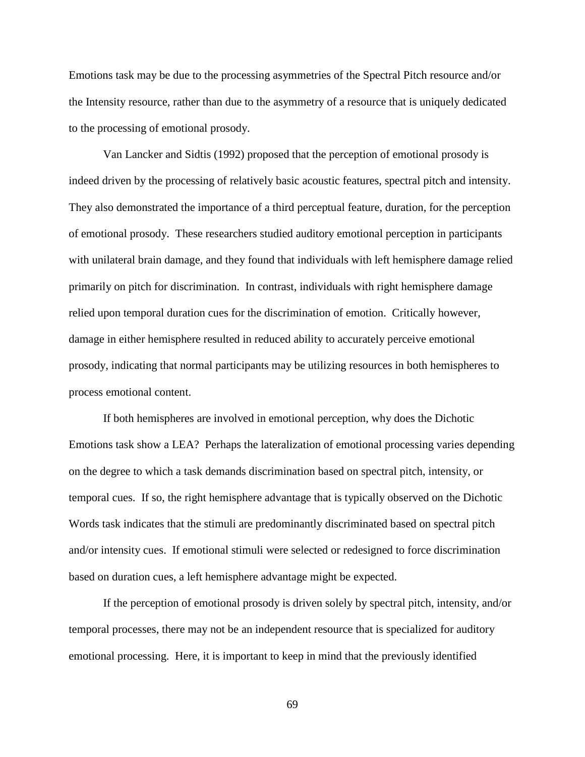Emotions task may be due to the processing asymmetries of the Spectral Pitch resource and/or the Intensity resource, rather than due to the asymmetry of a resource that is uniquely dedicated to the processing of emotional prosody.

Van Lancker and Sidtis (1992) proposed that the perception of emotional prosody is indeed driven by the processing of relatively basic acoustic features, spectral pitch and intensity. They also demonstrated the importance of a third perceptual feature, duration, for the perception of emotional prosody. These researchers studied auditory emotional perception in participants with unilateral brain damage, and they found that individuals with left hemisphere damage relied primarily on pitch for discrimination. In contrast, individuals with right hemisphere damage relied upon temporal duration cues for the discrimination of emotion. Critically however, damage in either hemisphere resulted in reduced ability to accurately perceive emotional prosody, indicating that normal participants may be utilizing resources in both hemispheres to process emotional content.

If both hemispheres are involved in emotional perception, why does the Dichotic Emotions task show a LEA? Perhaps the lateralization of emotional processing varies depending on the degree to which a task demands discrimination based on spectral pitch, intensity, or temporal cues. If so, the right hemisphere advantage that is typically observed on the Dichotic Words task indicates that the stimuli are predominantly discriminated based on spectral pitch and/or intensity cues. If emotional stimuli were selected or redesigned to force discrimination based on duration cues, a left hemisphere advantage might be expected.

If the perception of emotional prosody is driven solely by spectral pitch, intensity, and/or temporal processes, there may not be an independent resource that is specialized for auditory emotional processing. Here, it is important to keep in mind that the previously identified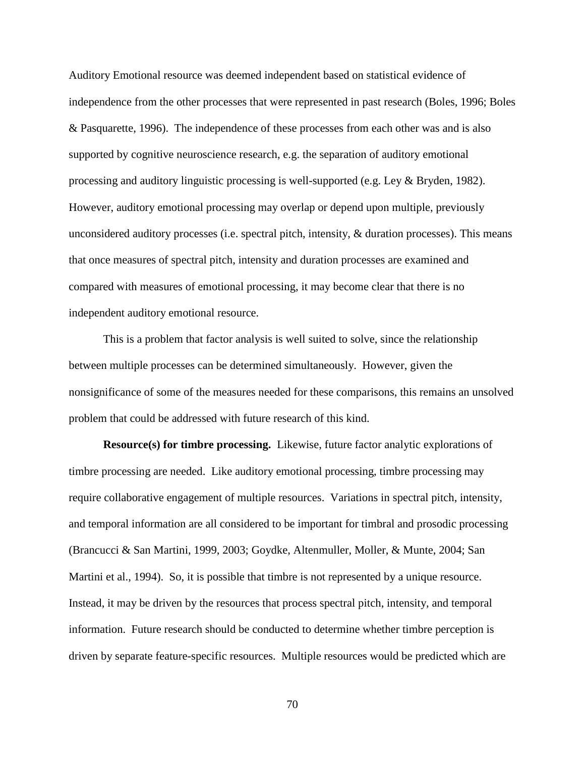Auditory Emotional resource was deemed independent based on statistical evidence of independence from the other processes that were represented in past research (Boles, 1996; Boles & Pasquarette, 1996). The independence of these processes from each other was and is also supported by cognitive neuroscience research, e.g. the separation of auditory emotional processing and auditory linguistic processing is well-supported (e.g. Ley & Bryden, 1982). However, auditory emotional processing may overlap or depend upon multiple, previously unconsidered auditory processes (i.e. spectral pitch, intensity, & duration processes). This means that once measures of spectral pitch, intensity and duration processes are examined and compared with measures of emotional processing, it may become clear that there is no independent auditory emotional resource.

This is a problem that factor analysis is well suited to solve, since the relationship between multiple processes can be determined simultaneously. However, given the nonsignificance of some of the measures needed for these comparisons, this remains an unsolved problem that could be addressed with future research of this kind.

**Resource(s) for timbre processing.** Likewise, future factor analytic explorations of timbre processing are needed. Like auditory emotional processing, timbre processing may require collaborative engagement of multiple resources. Variations in spectral pitch, intensity, and temporal information are all considered to be important for timbral and prosodic processing (Brancucci & San Martini, 1999, 2003; Goydke, Altenmuller, Moller, & Munte, 2004; San Martini et al., 1994). So, it is possible that timbre is not represented by a unique resource. Instead, it may be driven by the resources that process spectral pitch, intensity, and temporal information. Future research should be conducted to determine whether timbre perception is driven by separate feature-specific resources. Multiple resources would be predicted which are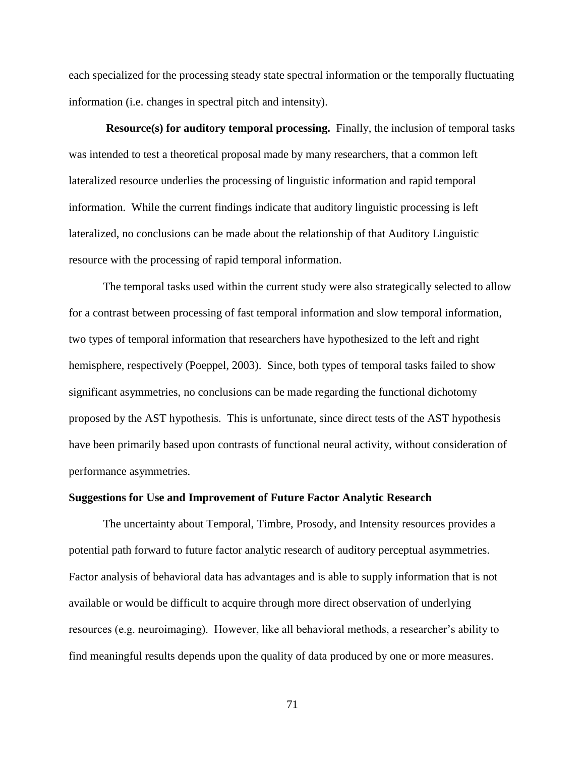each specialized for the processing steady state spectral information or the temporally fluctuating information (i.e. changes in spectral pitch and intensity).

**Resource(s) for auditory temporal processing.** Finally, the inclusion of temporal tasks was intended to test a theoretical proposal made by many researchers, that a common left lateralized resource underlies the processing of linguistic information and rapid temporal information. While the current findings indicate that auditory linguistic processing is left lateralized, no conclusions can be made about the relationship of that Auditory Linguistic resource with the processing of rapid temporal information.

The temporal tasks used within the current study were also strategically selected to allow for a contrast between processing of fast temporal information and slow temporal information, two types of temporal information that researchers have hypothesized to the left and right hemisphere, respectively (Poeppel, 2003). Since, both types of temporal tasks failed to show significant asymmetries, no conclusions can be made regarding the functional dichotomy proposed by the AST hypothesis. This is unfortunate, since direct tests of the AST hypothesis have been primarily based upon contrasts of functional neural activity, without consideration of performance asymmetries.

#### **Suggestions for Use and Improvement of Future Factor Analytic Research**

The uncertainty about Temporal, Timbre, Prosody, and Intensity resources provides a potential path forward to future factor analytic research of auditory perceptual asymmetries. Factor analysis of behavioral data has advantages and is able to supply information that is not available or would be difficult to acquire through more direct observation of underlying resources (e.g. neuroimaging). However, like all behavioral methods, a researcher's ability to find meaningful results depends upon the quality of data produced by one or more measures.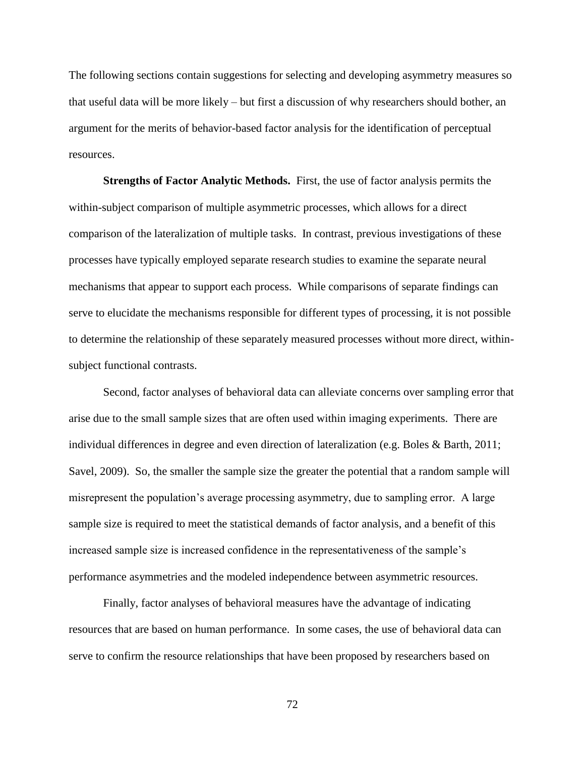The following sections contain suggestions for selecting and developing asymmetry measures so that useful data will be more likely – but first a discussion of why researchers should bother, an argument for the merits of behavior-based factor analysis for the identification of perceptual resources.

**Strengths of Factor Analytic Methods.** First, the use of factor analysis permits the within-subject comparison of multiple asymmetric processes, which allows for a direct comparison of the lateralization of multiple tasks. In contrast, previous investigations of these processes have typically employed separate research studies to examine the separate neural mechanisms that appear to support each process. While comparisons of separate findings can serve to elucidate the mechanisms responsible for different types of processing, it is not possible to determine the relationship of these separately measured processes without more direct, withinsubject functional contrasts.

Second, factor analyses of behavioral data can alleviate concerns over sampling error that arise due to the small sample sizes that are often used within imaging experiments. There are individual differences in degree and even direction of lateralization (e.g. Boles & Barth, 2011; Savel, 2009). So, the smaller the sample size the greater the potential that a random sample will misrepresent the population's average processing asymmetry, due to sampling error. A large sample size is required to meet the statistical demands of factor analysis, and a benefit of this increased sample size is increased confidence in the representativeness of the sample's performance asymmetries and the modeled independence between asymmetric resources.

Finally, factor analyses of behavioral measures have the advantage of indicating resources that are based on human performance. In some cases, the use of behavioral data can serve to confirm the resource relationships that have been proposed by researchers based on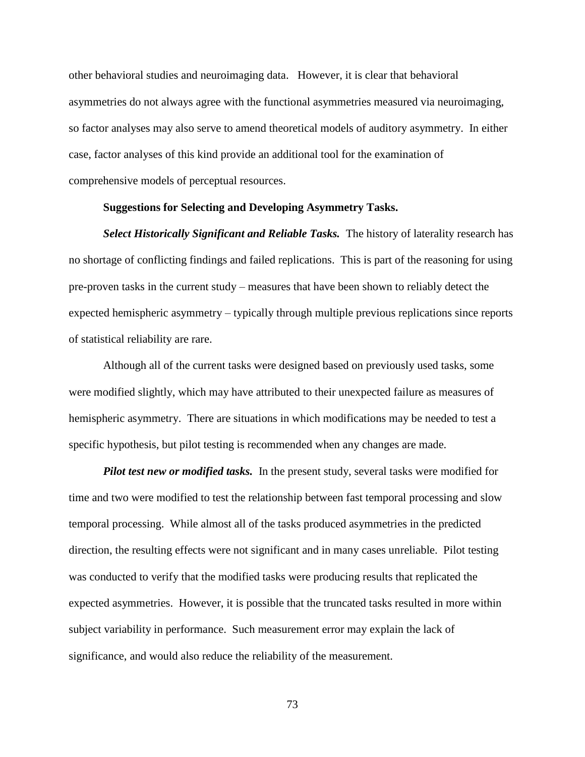other behavioral studies and neuroimaging data. However, it is clear that behavioral asymmetries do not always agree with the functional asymmetries measured via neuroimaging, so factor analyses may also serve to amend theoretical models of auditory asymmetry. In either case, factor analyses of this kind provide an additional tool for the examination of comprehensive models of perceptual resources.

## **Suggestions for Selecting and Developing Asymmetry Tasks.**

**Select Historically Significant and Reliable Tasks.** The history of laterality research has no shortage of conflicting findings and failed replications. This is part of the reasoning for using pre-proven tasks in the current study – measures that have been shown to reliably detect the expected hemispheric asymmetry – typically through multiple previous replications since reports of statistical reliability are rare.

Although all of the current tasks were designed based on previously used tasks, some were modified slightly, which may have attributed to their unexpected failure as measures of hemispheric asymmetry. There are situations in which modifications may be needed to test a specific hypothesis, but pilot testing is recommended when any changes are made.

*Pilot test new or modified tasks.* In the present study, several tasks were modified for time and two were modified to test the relationship between fast temporal processing and slow temporal processing. While almost all of the tasks produced asymmetries in the predicted direction, the resulting effects were not significant and in many cases unreliable. Pilot testing was conducted to verify that the modified tasks were producing results that replicated the expected asymmetries. However, it is possible that the truncated tasks resulted in more within subject variability in performance. Such measurement error may explain the lack of significance, and would also reduce the reliability of the measurement.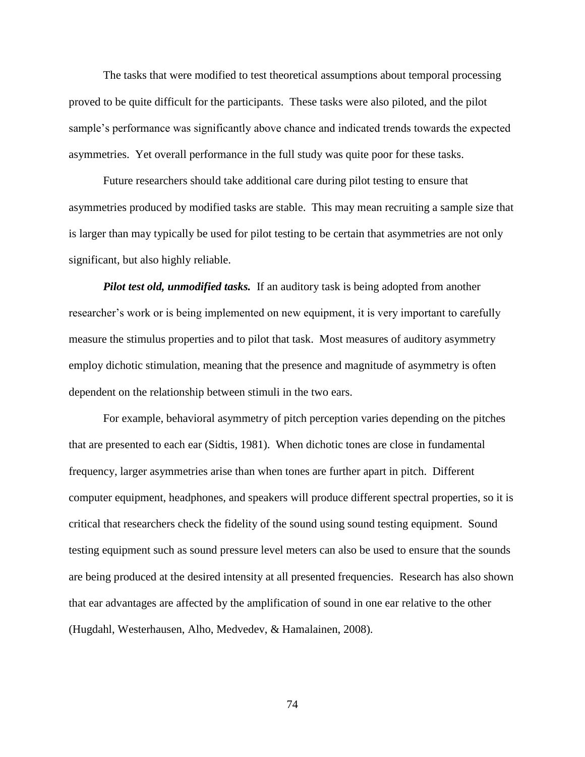The tasks that were modified to test theoretical assumptions about temporal processing proved to be quite difficult for the participants. These tasks were also piloted, and the pilot sample's performance was significantly above chance and indicated trends towards the expected asymmetries. Yet overall performance in the full study was quite poor for these tasks.

Future researchers should take additional care during pilot testing to ensure that asymmetries produced by modified tasks are stable. This may mean recruiting a sample size that is larger than may typically be used for pilot testing to be certain that asymmetries are not only significant, but also highly reliable.

*Pilot test old, unmodified tasks.* If an auditory task is being adopted from another researcher's work or is being implemented on new equipment, it is very important to carefully measure the stimulus properties and to pilot that task. Most measures of auditory asymmetry employ dichotic stimulation, meaning that the presence and magnitude of asymmetry is often dependent on the relationship between stimuli in the two ears.

For example, behavioral asymmetry of pitch perception varies depending on the pitches that are presented to each ear (Sidtis, 1981). When dichotic tones are close in fundamental frequency, larger asymmetries arise than when tones are further apart in pitch. Different computer equipment, headphones, and speakers will produce different spectral properties, so it is critical that researchers check the fidelity of the sound using sound testing equipment. Sound testing equipment such as sound pressure level meters can also be used to ensure that the sounds are being produced at the desired intensity at all presented frequencies. Research has also shown that ear advantages are affected by the amplification of sound in one ear relative to the other (Hugdahl, Westerhausen, Alho, Medvedev, & Hamalainen, 2008).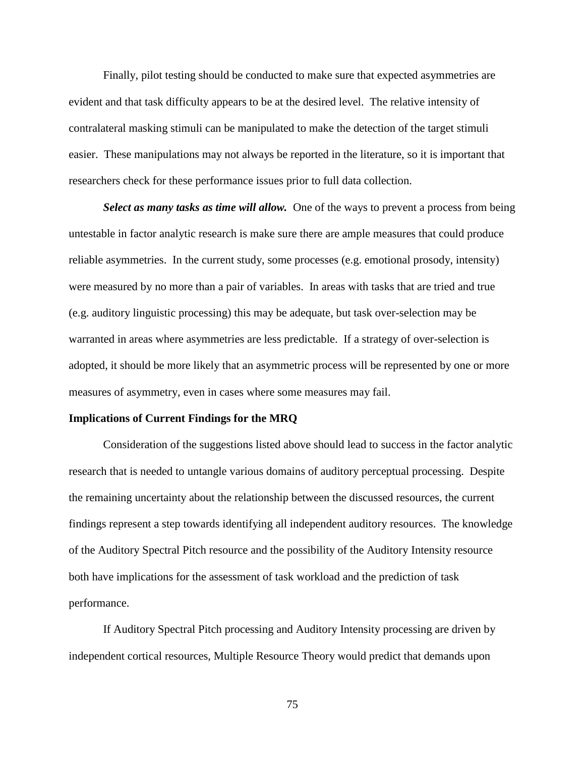Finally, pilot testing should be conducted to make sure that expected asymmetries are evident and that task difficulty appears to be at the desired level. The relative intensity of contralateral masking stimuli can be manipulated to make the detection of the target stimuli easier. These manipulations may not always be reported in the literature, so it is important that researchers check for these performance issues prior to full data collection.

**Select as many tasks as time will allow.** One of the ways to prevent a process from being untestable in factor analytic research is make sure there are ample measures that could produce reliable asymmetries. In the current study, some processes (e.g. emotional prosody, intensity) were measured by no more than a pair of variables. In areas with tasks that are tried and true (e.g. auditory linguistic processing) this may be adequate, but task over-selection may be warranted in areas where asymmetries are less predictable. If a strategy of over-selection is adopted, it should be more likely that an asymmetric process will be represented by one or more measures of asymmetry, even in cases where some measures may fail.

## **Implications of Current Findings for the MRQ**

Consideration of the suggestions listed above should lead to success in the factor analytic research that is needed to untangle various domains of auditory perceptual processing. Despite the remaining uncertainty about the relationship between the discussed resources, the current findings represent a step towards identifying all independent auditory resources. The knowledge of the Auditory Spectral Pitch resource and the possibility of the Auditory Intensity resource both have implications for the assessment of task workload and the prediction of task performance.

If Auditory Spectral Pitch processing and Auditory Intensity processing are driven by independent cortical resources, Multiple Resource Theory would predict that demands upon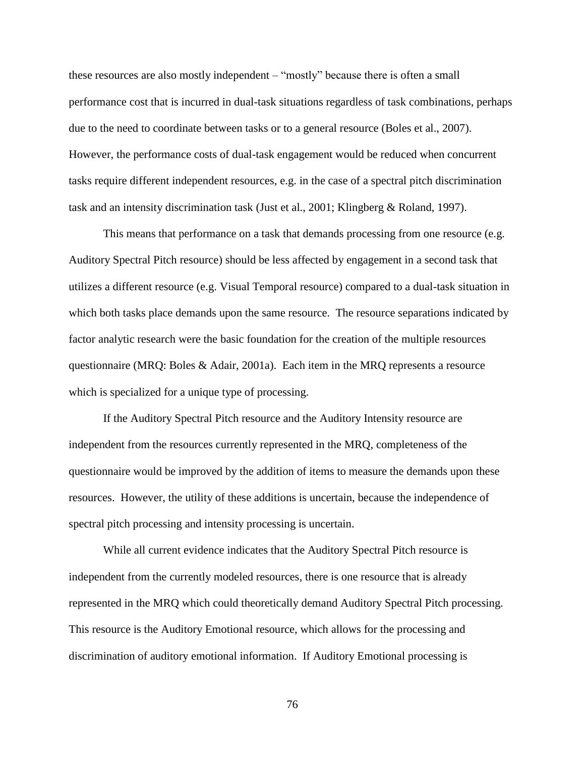these resources are also mostly independent – "mostly" because there is often a small performance cost that is incurred in dual-task situations regardless of task combinations, perhaps due to the need to coordinate between tasks or to a general resource (Boles et al., 2007). However, the performance costs of dual-task engagement would be reduced when concurrent tasks require different independent resources, e.g. in the case of a spectral pitch discrimination task and an intensity discrimination task (Just et al., 2001; Klingberg & Roland, 1997).

This means that performance on a task that demands processing from one resource (e.g. Auditory Spectral Pitch resource) should be less affected by engagement in a second task that utilizes a different resource (e.g. Visual Temporal resource) compared to a dual-task situation in which both tasks place demands upon the same resource. The resource separations indicated by factor analytic research were the basic foundation for the creation of the multiple resources questionnaire (MRQ: Boles & Adair, 2001a). Each item in the MRQ represents a resource which is specialized for a unique type of processing.

If the Auditory Spectral Pitch resource and the Auditory Intensity resource are independent from the resources currently represented in the MRQ, completeness of the questionnaire would be improved by the addition of items to measure the demands upon these resources. However, the utility of these additions is uncertain, because the independence of spectral pitch processing and intensity processing is uncertain.

While all current evidence indicates that the Auditory Spectral Pitch resource is independent from the currently modeled resources, there is one resource that is already represented in the MRQ which could theoretically demand Auditory Spectral Pitch processing. This resource is the Auditory Emotional resource, which allows for the processing and discrimination of auditory emotional information. If Auditory Emotional processing is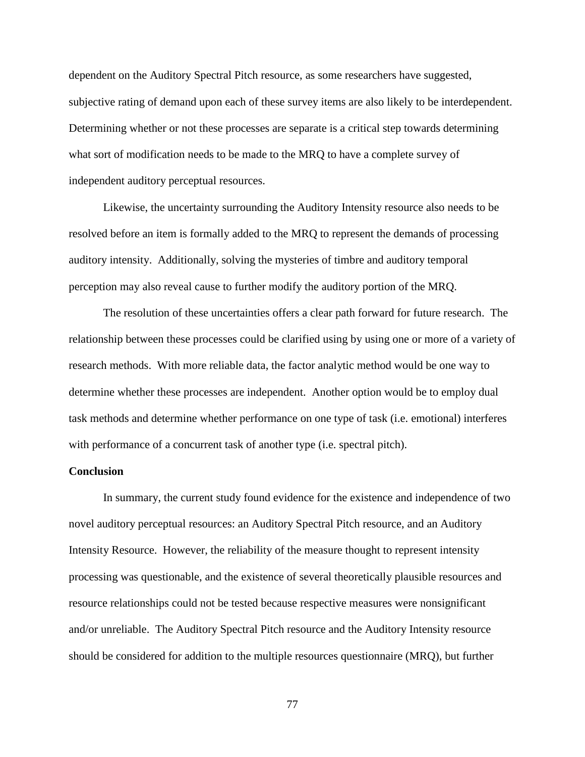dependent on the Auditory Spectral Pitch resource, as some researchers have suggested, subjective rating of demand upon each of these survey items are also likely to be interdependent. Determining whether or not these processes are separate is a critical step towards determining what sort of modification needs to be made to the MRQ to have a complete survey of independent auditory perceptual resources.

Likewise, the uncertainty surrounding the Auditory Intensity resource also needs to be resolved before an item is formally added to the MRQ to represent the demands of processing auditory intensity. Additionally, solving the mysteries of timbre and auditory temporal perception may also reveal cause to further modify the auditory portion of the MRQ.

The resolution of these uncertainties offers a clear path forward for future research. The relationship between these processes could be clarified using by using one or more of a variety of research methods. With more reliable data, the factor analytic method would be one way to determine whether these processes are independent. Another option would be to employ dual task methods and determine whether performance on one type of task (i.e. emotional) interferes with performance of a concurrent task of another type (i.e. spectral pitch).

## **Conclusion**

In summary, the current study found evidence for the existence and independence of two novel auditory perceptual resources: an Auditory Spectral Pitch resource, and an Auditory Intensity Resource. However, the reliability of the measure thought to represent intensity processing was questionable, and the existence of several theoretically plausible resources and resource relationships could not be tested because respective measures were nonsignificant and/or unreliable. The Auditory Spectral Pitch resource and the Auditory Intensity resource should be considered for addition to the multiple resources questionnaire (MRQ), but further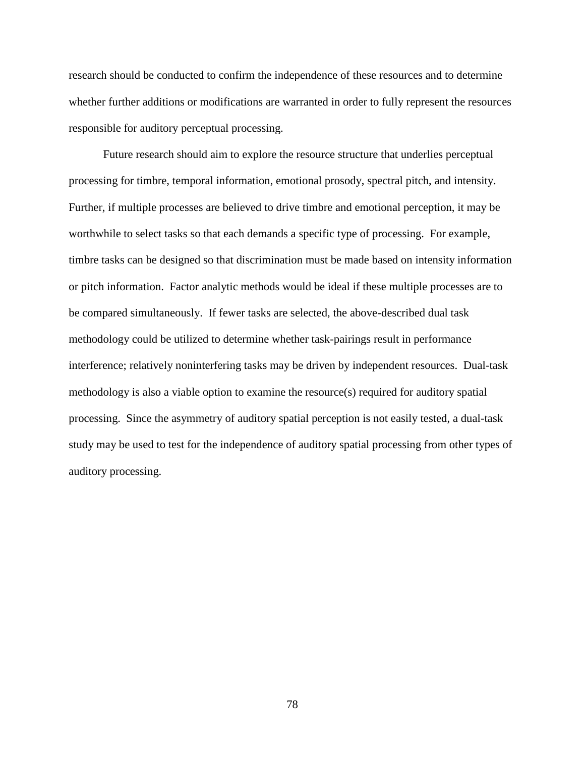research should be conducted to confirm the independence of these resources and to determine whether further additions or modifications are warranted in order to fully represent the resources responsible for auditory perceptual processing.

Future research should aim to explore the resource structure that underlies perceptual processing for timbre, temporal information, emotional prosody, spectral pitch, and intensity. Further, if multiple processes are believed to drive timbre and emotional perception, it may be worthwhile to select tasks so that each demands a specific type of processing. For example, timbre tasks can be designed so that discrimination must be made based on intensity information or pitch information. Factor analytic methods would be ideal if these multiple processes are to be compared simultaneously. If fewer tasks are selected, the above-described dual task methodology could be utilized to determine whether task-pairings result in performance interference; relatively noninterfering tasks may be driven by independent resources. Dual-task methodology is also a viable option to examine the resource(s) required for auditory spatial processing. Since the asymmetry of auditory spatial perception is not easily tested, a dual-task study may be used to test for the independence of auditory spatial processing from other types of auditory processing.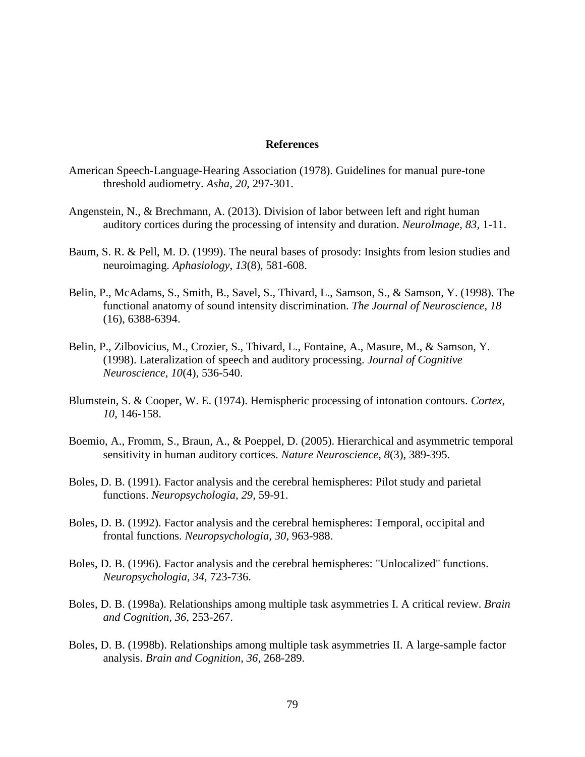#### **References**

- American Speech-Language-Hearing Association (1978). Guidelines for manual pure-tone threshold audiometry. *Asha, 20*, 297-301.
- Angenstein, N., & Brechmann, A. (2013). Division of labor between left and right human auditory cortices during the processing of intensity and duration. *NeuroImage, 83,* 1-11.
- Baum, S. R. & Pell, M. D. (1999). The neural bases of prosody: Insights from lesion studies and neuroimaging. *Aphasiology, 13*(8), 581-608.
- Belin, P., McAdams, S., Smith, B., Savel, S., Thivard, L., Samson, S., & Samson, Y. (1998). The functional anatomy of sound intensity discrimination. *The Journal of Neuroscience, 18*  (16), 6388-6394.
- Belin, P., Zilbovicius, M., Crozier, S., Thivard, L., Fontaine, A., Masure, M., & Samson, Y. (1998). Lateralization of speech and auditory processing. *Journal of Cognitive Neuroscience, 10*(4), 536-540.
- Blumstein, S. & Cooper, W. E. (1974). Hemispheric processing of intonation contours. *Cortex*, *10*, 146-158.
- Boemio, A., Fromm, S., Braun, A., & Poeppel, D. (2005). Hierarchical and asymmetric temporal sensitivity in human auditory cortices. *Nature Neuroscience, 8*(3), 389-395.
- Boles, D. B. (1991). Factor analysis and the cerebral hemispheres: Pilot study and parietal functions. *Neuropsychologia, 29,* 59-91.
- Boles, D. B. (1992). Factor analysis and the cerebral hemispheres: Temporal, occipital and frontal functions. *Neuropsychologia, 30,* 963-988.
- Boles, D. B. (1996). Factor analysis and the cerebral hemispheres: "Unlocalized" functions. *Neuropsychologia, 34,* 723-736.
- Boles, D. B. (1998a). Relationships among multiple task asymmetries I. A critical review. *Brain and Cognition, 36,* 253-267.
- Boles, D. B. (1998b). Relationships among multiple task asymmetries II. A large-sample factor analysis. *Brain and Cognition, 36,* 268-289.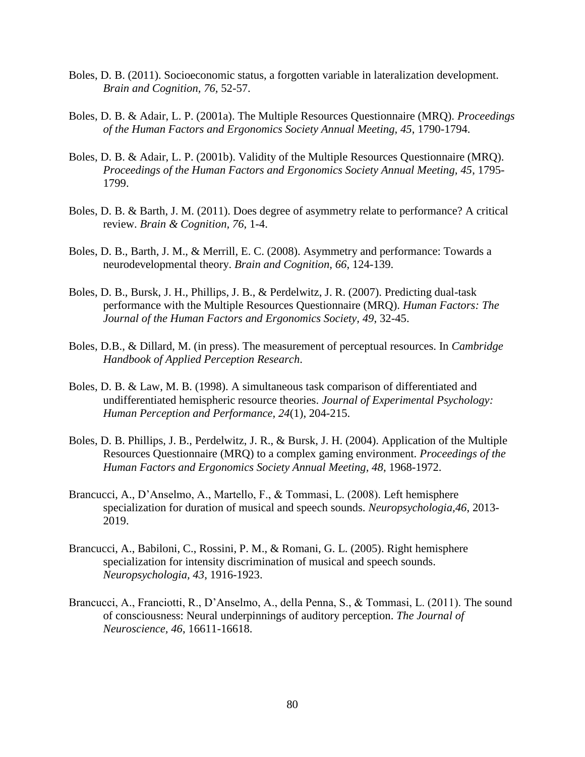- Boles, D. B. (2011). Socioeconomic status, a forgotten variable in lateralization development. *Brain and Cognition, 76,* 52-57.
- Boles, D. B. & Adair, L. P. (2001a). The Multiple Resources Questionnaire (MRQ). *Proceedings of the Human Factors and Ergonomics Society Annual Meeting, 45*, 1790-1794.
- Boles, D. B. & Adair, L. P. (2001b). Validity of the Multiple Resources Questionnaire (MRQ). *Proceedings of the Human Factors and Ergonomics Society Annual Meeting, 45*, 1795- 1799.
- Boles, D. B. & Barth, J. M. (2011). Does degree of asymmetry relate to performance? A critical review. *Brain & Cognition, 76*, 1-4.
- Boles, D. B., Barth, J. M., & Merrill, E. C. (2008). Asymmetry and performance: Towards a neurodevelopmental theory. *Brain and Cognition, 66*, 124-139.
- Boles, D. B., Bursk, J. H., Phillips, J. B., & Perdelwitz, J. R. (2007). Predicting dual-task performance with the Multiple Resources Questionnaire (MRQ). *Human Factors: The Journal of the Human Factors and Ergonomics Society, 49*, 32-45.
- Boles, D.B., & Dillard, M. (in press). The measurement of perceptual resources. In *Cambridge Handbook of Applied Perception Research*.
- Boles, D. B. & Law, M. B. (1998). A simultaneous task comparison of differentiated and undifferentiated hemispheric resource theories. *Journal of Experimental Psychology: Human Perception and Performance, 24*(1), 204-215.
- Boles, D. B. Phillips, J. B., Perdelwitz, J. R., & Bursk, J. H. (2004). Application of the Multiple Resources Questionnaire (MRQ) to a complex gaming environment. *Proceedings of the Human Factors and Ergonomics Society Annual Meeting, 48*, 1968-1972.
- Brancucci, A., D'Anselmo, A., Martello, F., & Tommasi, L. (2008). Left hemisphere specialization for duration of musical and speech sounds. *Neuropsychologia,46*, 2013- 2019.
- Brancucci, A., Babiloni, C., Rossini, P. M., & Romani, G. L. (2005). Right hemisphere specialization for intensity discrimination of musical and speech sounds. *Neuropsychologia, 43*, 1916-1923.
- Brancucci, A., Franciotti, R., D'Anselmo, A., della Penna, S., & Tommasi, L. (2011). The sound of consciousness: Neural underpinnings of auditory perception. *The Journal of Neuroscience, 46*, 16611-16618.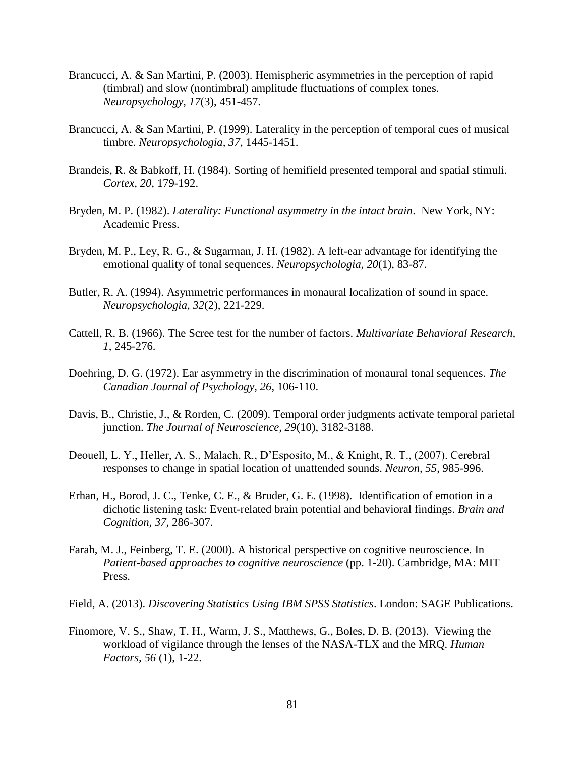- Brancucci, A. & San Martini, P. (2003). Hemispheric asymmetries in the perception of rapid (timbral) and slow (nontimbral) amplitude fluctuations of complex tones. *Neuropsychology, 17*(3), 451-457.
- Brancucci, A. & San Martini, P. (1999). Laterality in the perception of temporal cues of musical timbre. *Neuropsychologia, 37*, 1445-1451.
- Brandeis, R. & Babkoff, H. (1984). Sorting of hemifield presented temporal and spatial stimuli. *Cortex, 20*, 179-192.
- Bryden, M. P. (1982). *Laterality: Functional asymmetry in the intact brain*. New York, NY: Academic Press.
- Bryden, M. P., Ley, R. G., & Sugarman, J. H. (1982). A left-ear advantage for identifying the emotional quality of tonal sequences. *Neuropsychologia, 20*(1), 83-87.
- Butler, R. A. (1994). Asymmetric performances in monaural localization of sound in space. *Neuropsychologia, 32*(2), 221-229.
- Cattell, R. B. (1966). The Scree test for the number of factors. *Multivariate Behavioral Research, 1*, 245-276.
- Doehring, D. G. (1972). Ear asymmetry in the discrimination of monaural tonal sequences. *The Canadian Journal of Psychology, 26*, 106-110.
- Davis, B., Christie, J., & Rorden, C. (2009). Temporal order judgments activate temporal parietal junction. *The Journal of Neuroscience, 29*(10), 3182-3188.
- Deouell, L. Y., Heller, A. S., Malach, R., D'Esposito, M., & Knight, R. T., (2007). Cerebral responses to change in spatial location of unattended sounds. *Neuron, 55*, 985-996.
- Erhan, H., Borod, J. C., Tenke, C. E., & Bruder, G. E. (1998). Identification of emotion in a dichotic listening task: Event-related brain potential and behavioral findings. *Brain and Cognition, 37,* 286-307.
- Farah, M. J., Feinberg, T. E. (2000). A historical perspective on cognitive neuroscience. In *Patient-based approaches to cognitive neuroscience* (pp. 1-20). Cambridge, MA: MIT Press.
- Field, A. (2013). *Discovering Statistics Using IBM SPSS Statistics*. London: SAGE Publications.
- Finomore, V. S., Shaw, T. H., Warm, J. S., Matthews, G., Boles, D. B. (2013). Viewing the workload of vigilance through the lenses of the NASA-TLX and the MRQ. *Human Factors, 56* (1), 1-22.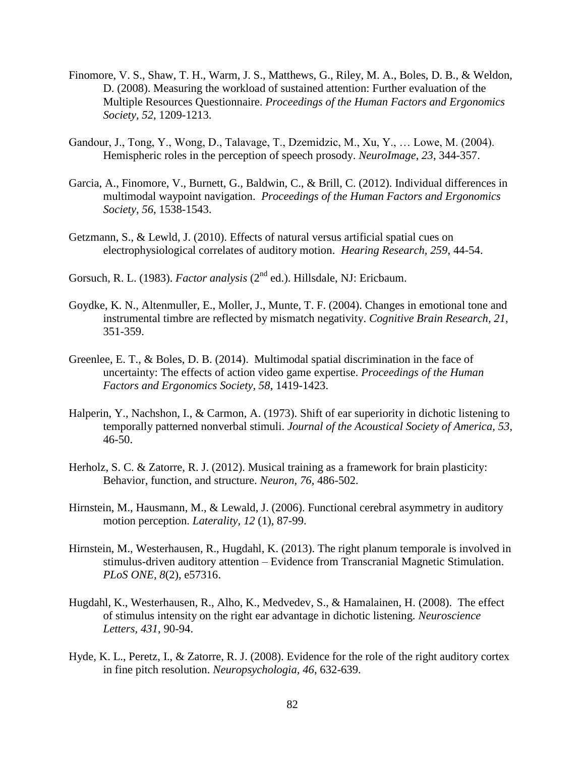- Finomore, V. S., Shaw, T. H., Warm, J. S., Matthews, G., Riley, M. A., Boles, D. B., & Weldon, D. (2008). Measuring the workload of sustained attention: Further evaluation of the Multiple Resources Questionnaire. *Proceedings of the Human Factors and Ergonomics Society, 52*, 1209-1213.
- Gandour, J., Tong, Y., Wong, D., Talavage, T., Dzemidzic, M., Xu, Y., … Lowe, M. (2004). Hemispheric roles in the perception of speech prosody. *NeuroImage, 23*, 344-357.
- Garcia, A., Finomore, V., Burnett, G., Baldwin, C., & Brill, C. (2012). Individual differences in multimodal waypoint navigation. *Proceedings of the Human Factors and Ergonomics Society, 56*, 1538-1543.
- Getzmann, S., & Lewld, J. (2010). Effects of natural versus artificial spatial cues on electrophysiological correlates of auditory motion. *Hearing Research, 259*, 44-54.
- Gorsuch, R. L. (1983). *Factor analysis* (2<sup>nd</sup> ed.). Hillsdale, NJ: Ericbaum.
- Goydke, K. N., Altenmuller, E., Moller, J., Munte, T. F. (2004). Changes in emotional tone and instrumental timbre are reflected by mismatch negativity. *Cognitive Brain Research, 21,*  351-359.
- Greenlee, E. T., & Boles, D. B. (2014). Multimodal spatial discrimination in the face of uncertainty: The effects of action video game expertise. *Proceedings of the Human Factors and Ergonomics Society, 58*, 1419-1423.
- Halperin, Y., Nachshon, I., & Carmon, A. (1973). Shift of ear superiority in dichotic listening to temporally patterned nonverbal stimuli. *Journal of the Acoustical Society of America, 53*,  $46 - 50$ .
- Herholz, S. C. & Zatorre, R. J. (2012). Musical training as a framework for brain plasticity: Behavior, function, and structure. *Neuron, 76*, 486-502.
- Hirnstein, M., Hausmann, M., & Lewald, J. (2006). Functional cerebral asymmetry in auditory motion perception. *Laterality, 12* (1), 87-99.
- Hirnstein, M., Westerhausen, R., Hugdahl, K. (2013). The right planum temporale is involved in stimulus-driven auditory attention – Evidence from Transcranial Magnetic Stimulation. *PLoS ONE, 8*(2), e57316.
- Hugdahl, K., Westerhausen, R., Alho, K., Medvedev, S., & Hamalainen, H. (2008). The effect of stimulus intensity on the right ear advantage in dichotic listening. *Neuroscience Letters, 431*, 90-94.
- Hyde, K. L., Peretz, I., & Zatorre, R. J. (2008). Evidence for the role of the right auditory cortex in fine pitch resolution. *Neuropsychologia, 46*, 632-639.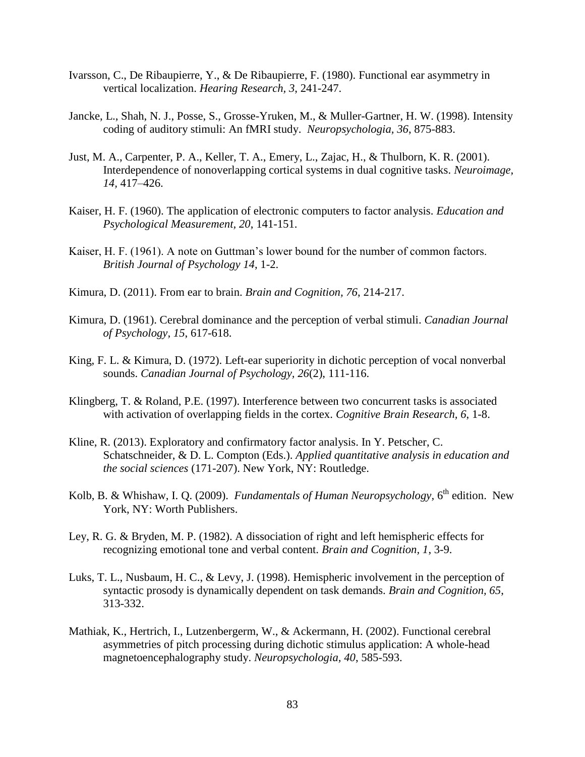- Ivarsson, C., De Ribaupierre, Y., & De Ribaupierre, F. (1980). Functional ear asymmetry in vertical localization. *Hearing Research, 3*, 241-247.
- Jancke, L., Shah, N. J., Posse, S., Grosse-Yruken, M., & Muller-Gartner, H. W. (1998). Intensity coding of auditory stimuli: An fMRI study. *Neuropsychologia, 36*, 875-883.
- Just, M. A., Carpenter, P. A., Keller, T. A., Emery, L., Zajac, H., & Thulborn, K. R. (2001). Interdependence of nonoverlapping cortical systems in dual cognitive tasks. *Neuroimage, 14,* 417–426.
- Kaiser, H. F. (1960). The application of electronic computers to factor analysis. *Education and Psychological Measurement, 20*, 141-151.
- Kaiser, H. F. (1961). A note on Guttman's lower bound for the number of common factors. *British Journal of Psychology 14*, 1-2.
- Kimura, D. (2011). From ear to brain. *Brain and Cognition, 76*, 214-217.
- Kimura, D. (1961). Cerebral dominance and the perception of verbal stimuli. *Canadian Journal of Psychology, 15*, 617-618.
- King, F. L. & Kimura, D. (1972). Left-ear superiority in dichotic perception of vocal nonverbal sounds. *Canadian Journal of Psychology, 26*(2), 111-116.
- Klingberg, T. & Roland, P.E. (1997). Interference between two concurrent tasks is associated with activation of overlapping fields in the cortex. *Cognitive Brain Research, 6*, 1-8.
- Kline, R. (2013). Exploratory and confirmatory factor analysis. In Y. Petscher, C. Schatschneider, & D. L. Compton (Eds.). *Applied quantitative analysis in education and the social sciences* (171-207). New York, NY: Routledge.
- Kolb, B. & Whishaw, I. Q. (2009). *Fundamentals of Human Neuropsychology*, 6<sup>th</sup> edition. New York, NY: Worth Publishers.
- Ley, R. G. & Bryden, M. P. (1982). A dissociation of right and left hemispheric effects for recognizing emotional tone and verbal content. *Brain and Cognition, 1*, 3-9.
- Luks, T. L., Nusbaum, H. C., & Levy, J. (1998). Hemispheric involvement in the perception of syntactic prosody is dynamically dependent on task demands. *Brain and Cognition, 65*, 313-332.
- Mathiak, K., Hertrich, I., Lutzenbergerm, W., & Ackermann, H. (2002). Functional cerebral asymmetries of pitch processing during dichotic stimulus application: A whole-head magnetoencephalography study. *Neuropsychologia, 40*, 585-593.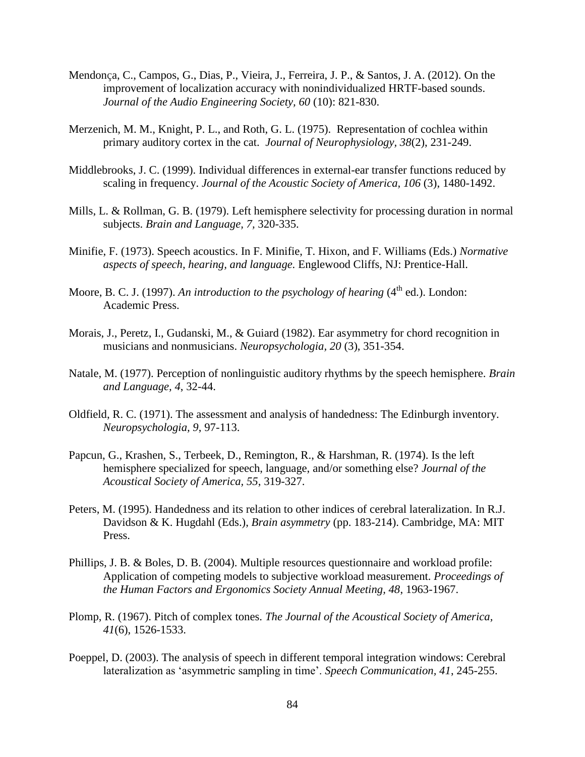- Mendonça, C., Campos, G., Dias, P., Vieira, J., Ferreira, J. P., & Santos, J. A. (2012). On the improvement of localization accuracy with nonindividualized HRTF-based sounds. *Journal of the Audio Engineering Society, 60* (10): 821-830.
- Merzenich, M. M., Knight, P. L., and Roth, G. L. (1975). Representation of cochlea within primary auditory cortex in the cat. *Journal of Neurophysiology, 38*(2), 231-249.
- Middlebrooks, J. C. (1999). Individual differences in external-ear transfer functions reduced by scaling in frequency. *Journal of the Acoustic Society of America, 106* (3), 1480-1492.
- Mills, L. & Rollman, G. B. (1979). Left hemisphere selectivity for processing duration in normal subjects. *Brain and Language, 7,* 320-335.
- Minifie, F. (1973). Speech acoustics. In F. Minifie, T. Hixon, and F. Williams (Eds.) *Normative aspects of speech, hearing, and language.* Englewood Cliffs, NJ: Prentice-Hall.
- Moore, B. C. J. (1997). *An introduction to the psychology of hearing* (4<sup>th</sup> ed.). London: Academic Press.
- Morais, J., Peretz, I., Gudanski, M., & Guiard (1982). Ear asymmetry for chord recognition in musicians and nonmusicians. *Neuropsychologia, 20* (3), 351-354.
- Natale, M. (1977). Perception of nonlinguistic auditory rhythms by the speech hemisphere. *Brain and Language, 4*, 32-44.
- Oldfield, R. C. (1971). The assessment and analysis of handedness: The Edinburgh inventory. *Neuropsychologia, 9*, 97-113.
- Papcun, G., Krashen, S., Terbeek, D., Remington, R., & Harshman, R. (1974). Is the left hemisphere specialized for speech, language, and/or something else? *Journal of the Acoustical Society of America, 55*, 319-327.
- Peters, M. (1995). Handedness and its relation to other indices of cerebral lateralization. In R.J. Davidson & K. Hugdahl (Eds.), *Brain asymmetry* (pp. 183-214). Cambridge, MA: MIT Press.
- Phillips, J. B. & Boles, D. B. (2004). Multiple resources questionnaire and workload profile: Application of competing models to subjective workload measurement. *Proceedings of the Human Factors and Ergonomics Society Annual Meeting, 48*, 1963-1967.
- Plomp, R. (1967). Pitch of complex tones. *The Journal of the Acoustical Society of America, 41*(6), 1526-1533.
- Poeppel, D. (2003). The analysis of speech in different temporal integration windows: Cerebral lateralization as 'asymmetric sampling in time'. *Speech Communication, 41*, 245-255.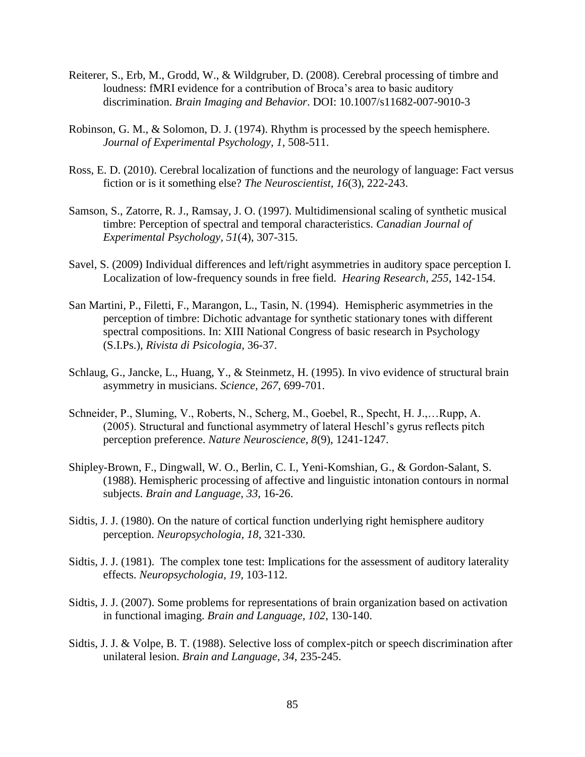- Reiterer, S., Erb, M., Grodd, W., & Wildgruber, D. (2008). Cerebral processing of timbre and loudness: fMRI evidence for a contribution of Broca's area to basic auditory discrimination. *Brain Imaging and Behavior*. DOI: 10.1007/s11682-007-9010-3
- Robinson, G. M., & Solomon, D. J. (1974). Rhythm is processed by the speech hemisphere. *Journal of Experimental Psychology, 1*, 508-511.
- Ross, E. D. (2010). Cerebral localization of functions and the neurology of language: Fact versus fiction or is it something else? *The Neuroscientist, 16*(3), 222-243.
- Samson, S., Zatorre, R. J., Ramsay, J. O. (1997). Multidimensional scaling of synthetic musical timbre: Perception of spectral and temporal characteristics. *Canadian Journal of Experimental Psychology, 51*(4), 307-315.
- Savel, S. (2009) Individual differences and left/right asymmetries in auditory space perception I. Localization of low-frequency sounds in free field. *Hearing Research, 255*, 142-154.
- San Martini, P., Filetti, F., Marangon, L., Tasin, N. (1994). Hemispheric asymmetries in the perception of timbre: Dichotic advantage for synthetic stationary tones with different spectral compositions. In: XIII National Congress of basic research in Psychology (S.I.Ps.), *Rivista di Psicologia*, 36-37.
- Schlaug, G., Jancke, L., Huang, Y., & Steinmetz, H. (1995). In vivo evidence of structural brain asymmetry in musicians. *Science, 267*, 699-701.
- Schneider, P., Sluming, V., Roberts, N., Scherg, M., Goebel, R., Specht, H. J.,…Rupp, A. (2005). Structural and functional asymmetry of lateral Heschl's gyrus reflects pitch perception preference. *Nature Neuroscience, 8*(9), 1241-1247.
- Shipley-Brown, F., Dingwall, W. O., Berlin, C. I., Yeni-Komshian, G., & Gordon-Salant, S. (1988). Hemispheric processing of affective and linguistic intonation contours in normal subjects. *Brain and Language, 33*, 16-26.
- Sidtis, J. J. (1980). On the nature of cortical function underlying right hemisphere auditory perception. *Neuropsychologia, 18*, 321-330.
- Sidtis, J. J. (1981). The complex tone test: Implications for the assessment of auditory laterality effects. *Neuropsychologia, 19,* 103-112.
- Sidtis, J. J. (2007). Some problems for representations of brain organization based on activation in functional imaging. *Brain and Language, 102*, 130-140.
- Sidtis, J. J. & Volpe, B. T. (1988). Selective loss of complex-pitch or speech discrimination after unilateral lesion. *Brain and Language, 34*, 235-245.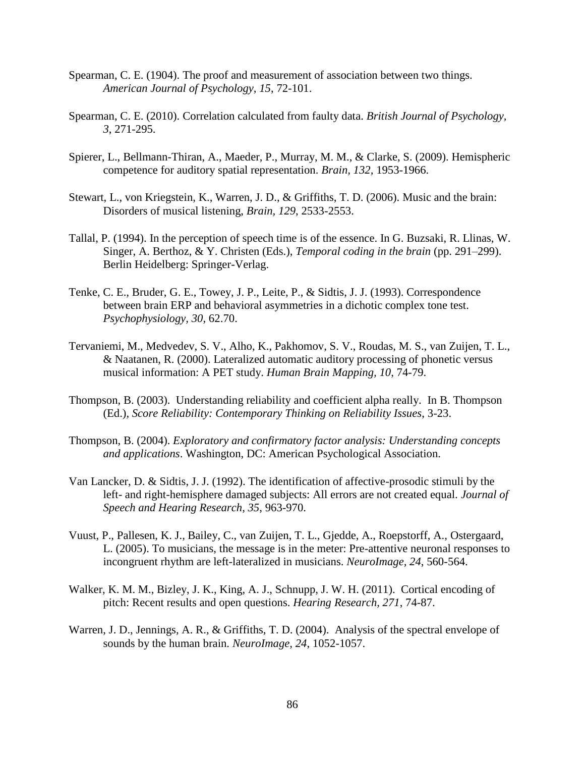- Spearman, C. E. (1904). The proof and measurement of association between two things. *American Journal of Psychology, 15*, 72-101.
- Spearman, C. E. (2010). Correlation calculated from faulty data. *British Journal of Psychology, 3*, 271-295.
- Spierer, L., Bellmann-Thiran, A., Maeder, P., Murray, M. M., & Clarke, S. (2009). Hemispheric competence for auditory spatial representation. *Brain, 132,* 1953-1966.
- Stewart, L., von Kriegstein, K., Warren, J. D., & Griffiths, T. D. (2006). Music and the brain: Disorders of musical listening, *Brain, 129*, 2533-2553.
- Tallal, P. (1994). In the perception of speech time is of the essence. In G. Buzsaki, R. Llinas, W. Singer, A. Berthoz, & Y. Christen (Eds.), *Temporal coding in the brain* (pp. 291–299). Berlin Heidelberg: Springer-Verlag.
- Tenke, C. E., Bruder, G. E., Towey, J. P., Leite, P., & Sidtis, J. J. (1993). Correspondence between brain ERP and behavioral asymmetries in a dichotic complex tone test. *Psychophysiology, 30*, 62.70.
- Tervaniemi, M., Medvedev, S. V., Alho, K., Pakhomov, S. V., Roudas, M. S., van Zuijen, T. L., & Naatanen, R. (2000). Lateralized automatic auditory processing of phonetic versus musical information: A PET study. *Human Brain Mapping, 10*, 74-79.
- Thompson, B. (2003). Understanding reliability and coefficient alpha really. In B. Thompson (Ed.), *Score Reliability: Contemporary Thinking on Reliability Issues*, 3-23.
- Thompson, B. (2004). *Exploratory and confirmatory factor analysis: Understanding concepts and applications*. Washington, DC: American Psychological Association.
- Van Lancker, D. & Sidtis, J. J. (1992). The identification of affective-prosodic stimuli by the left- and right-hemisphere damaged subjects: All errors are not created equal. *Journal of Speech and Hearing Research, 35*, 963-970.
- Vuust, P., Pallesen, K. J., Bailey, C., van Zuijen, T. L., Gjedde, A., Roepstorff, A., Ostergaard, L. (2005). To musicians, the message is in the meter: Pre-attentive neuronal responses to incongruent rhythm are left-lateralized in musicians. *NeuroImage, 24*, 560-564.
- Walker, K. M. M., Bizley, J. K., King, A. J., Schnupp, J. W. H. (2011). Cortical encoding of pitch: Recent results and open questions. *Hearing Research, 271*, 74-87.
- Warren, J. D., Jennings, A. R., & Griffiths, T. D. (2004). Analysis of the spectral envelope of sounds by the human brain. *NeuroImage, 24*, 1052-1057.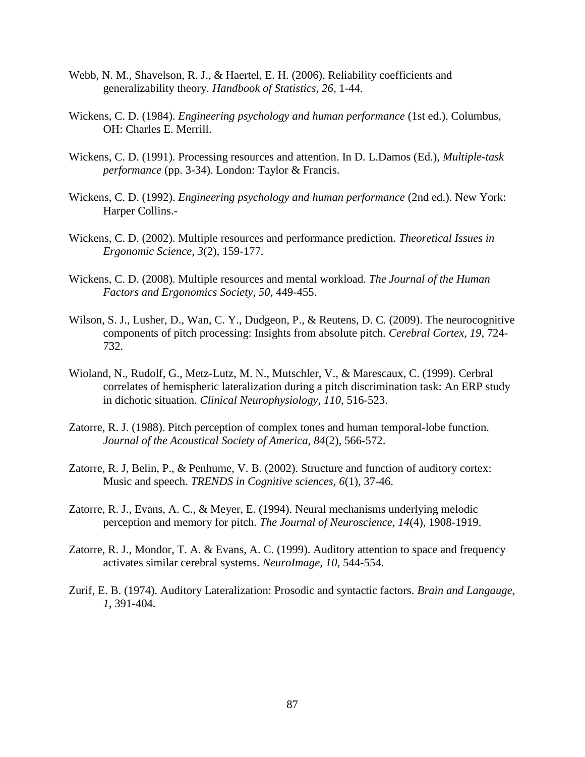- Webb, N. M., Shavelson, R. J., & Haertel, E. H. (2006). Reliability coefficients and generalizability theory. *Handbook of Statistics, 26*, 1-44.
- Wickens, C. D. (1984). *Engineering psychology and human performance* (1st ed.). Columbus, OH: Charles E. Merrill.
- Wickens, C. D. (1991). Processing resources and attention. In D. L.Damos (Ed.), *Multiple-task performance* (pp. 3-34). London: Taylor & Francis.
- Wickens, C. D. (1992). *Engineering psychology and human performance* (2nd ed.). New York: Harper Collins.-
- Wickens, C. D. (2002). Multiple resources and performance prediction. *Theoretical Issues in Ergonomic Science, 3*(2), 159-177.
- Wickens, C. D. (2008). Multiple resources and mental workload. *The Journal of the Human Factors and Ergonomics Society, 50*, 449-455.
- Wilson, S. J., Lusher, D., Wan, C. Y., Dudgeon, P., & Reutens, D. C. (2009). The neurocognitive components of pitch processing: Insights from absolute pitch. *Cerebral Cortex, 19*, 724- 732.
- Wioland, N., Rudolf, G., Metz-Lutz, M. N., Mutschler, V., & Marescaux, C. (1999). Cerbral correlates of hemispheric lateralization during a pitch discrimination task: An ERP study in dichotic situation. *Clinical Neurophysiology, 110*, 516-523.
- Zatorre, R. J. (1988). Pitch perception of complex tones and human temporal-lobe function. *Journal of the Acoustical Society of America, 84*(2), 566-572.
- Zatorre, R. J, Belin, P., & Penhume, V. B. (2002). Structure and function of auditory cortex: Music and speech. *TRENDS in Cognitive sciences, 6*(1), 37-46.
- Zatorre, R. J., Evans, A. C., & Meyer, E. (1994). Neural mechanisms underlying melodic perception and memory for pitch. *The Journal of Neuroscience, 14*(4), 1908-1919.
- Zatorre, R. J., Mondor, T. A. & Evans, A. C. (1999). Auditory attention to space and frequency activates similar cerebral systems. *NeuroImage, 10*, 544-554.
- Zurif, E. B. (1974). Auditory Lateralization: Prosodic and syntactic factors. *Brain and Langauge, 1*, 391-404.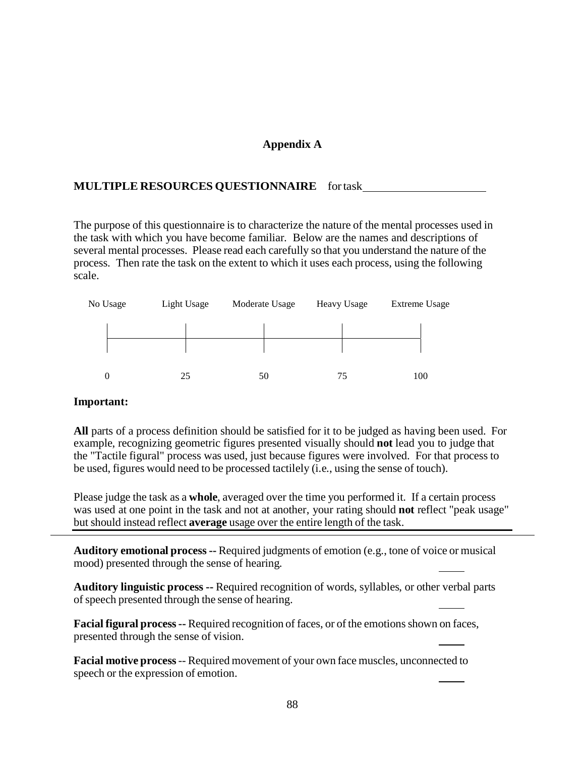# **Appendix A**

# **MULTIPLE RESOURCES QUESTIONNAIRE** fortask

The purpose of this questionnaire is to characterize the nature of the mental processes used in the task with which you have become familiar. Below are the names and descriptions of several mental processes. Please read each carefully so that you understand the nature of the process. Then rate the task on the extent to which it uses each process, using the following scale.



## **Important:**

**All** parts of a process definition should be satisfied for it to be judged as having been used. For example, recognizing geometric figures presented visually should **not** lead you to judge that the "Tactile figural" process was used, just because figures were involved. For that process to be used, figures would need to be processed tactilely (i.e., using the sense of touch).

Please judge the task as a **whole**, averaged over the time you performed it. If a certain process was used at one point in the task and not at another, your rating should **not** reflect "peak usage" but should instead reflect **average** usage over the entire length of the task.

**Auditory emotional process --** Required judgments of emotion (e.g., tone of voice or musical mood) presented through the sense of hearing.

**Auditory linguistic process --** Required recognition of words, syllables, or other verbal parts of speech presented through the sense of hearing.

**Facial figural process--** Required recognition of faces, or of the emotionsshown on faces, presented through the sense of vision.

**Facial motive process**-- Required movement of your own face muscles, unconnected to speech or the expression of emotion.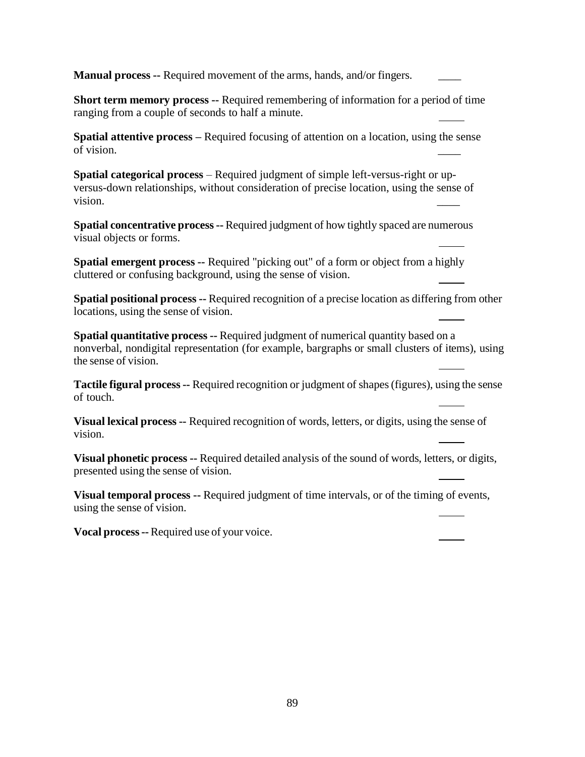**Manual process --** Required movement of the arms, hands, and/or fingers.

**Short term memory process --** Required remembering of information for a period of time ranging from a couple of seconds to half a minute.

**Spatial attentive process –** Required focusing of attention on a location, using the sense of vision.

**Spatial categorical process** – Required judgment of simple left-versus-right or upversus-down relationships, without consideration of precise location, using the sense of vision.  $\qquad \qquad \qquad \qquad$ 

**Spatial concentrative process--** Required judgment of how tightly spaced are numerous visual objects or forms.

**Spatial emergent process --** Required "picking out" of a form or object from a highly cluttered or confusing background, using the sense of vision.

**Spatial positional process --** Required recognition of a precise location as differing from other locations, using the sense of vision.

**Spatial quantitative process --** Required judgment of numerical quantity based on a nonverbal, nondigital representation (for example, bargraphs or small clusters of items), using the sense of vision.

**Tactile figural process--** Required recognition or judgment of shapes(figures), using the sense of touch.

**Visual lexical process --** Required recognition of words, letters, or digits, using the sense of vision.

**Visual phonetic process --** Required detailed analysis of the sound of words, letters, or digits, presented using the sense of vision.

**Visual temporal process --** Required judgment of time intervals, or of the timing of events, using the sense of vision.

**Vocal process--** Required use of your voice.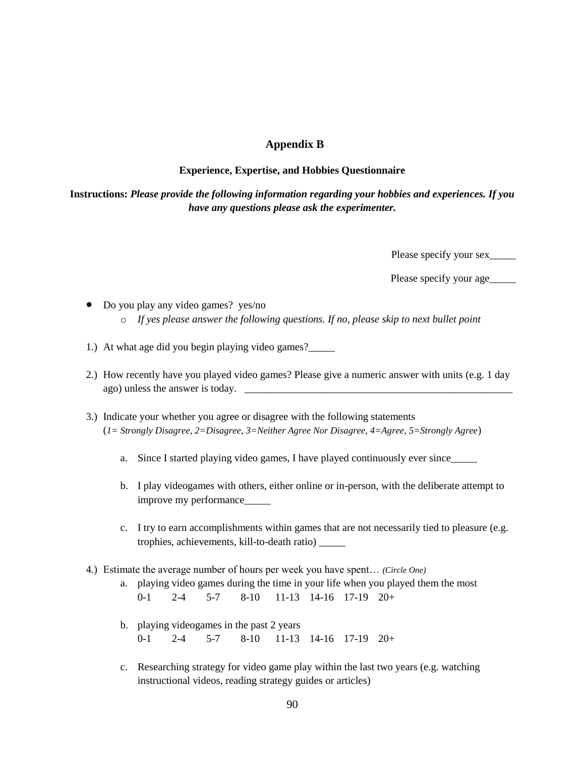# **Appendix B**

#### **Experience, Expertise, and Hobbies Questionnaire**

**Instructions:** *Please provide the following information regarding your hobbies and experiences. If you have any questions please ask the experimenter.*

Please specify your sex\_\_\_\_\_

Please specify your age\_\_\_\_\_\_\_

- Do you play any video games? yes/no o *If yes please answer the following questions. If no, please skip to next bullet point*
- 1.) At what age did you begin playing video games?\_\_\_\_\_
- 2.) How recently have you played video games? Please give a numeric answer with units (e.g. 1 day ago) unless the answer is today.
- 3.) Indicate your whether you agree or disagree with the following statements (*1= Strongly Disagree, 2=Disagree, 3=Neither Agree Nor Disagree, 4=Agree, 5=Strongly Agree*)
	- a. Since I started playing video games, I have played continuously ever since
	- b. I play videogames with others, either online or in-person, with the deliberate attempt to improve my performance\_\_\_\_\_
	- c. I try to earn accomplishments within games that are not necessarily tied to pleasure (e.g. trophies, achievements, kill-to-death ratio) \_\_\_\_\_
- 4.) Estimate the average number of hours per week you have spent… *(Circle One)*
	- a. playing video games during the time in your life when you played them the most 0-1 2-4 5-7 8-10 11-13 14-16 17-19 20+
	- b. playing videogames in the past 2 years 0-1 2-4 5-7 8-10 11-13 14-16 17-19 20+
	- c. Researching strategy for video game play within the last two years (e.g. watching instructional videos, reading strategy guides or articles)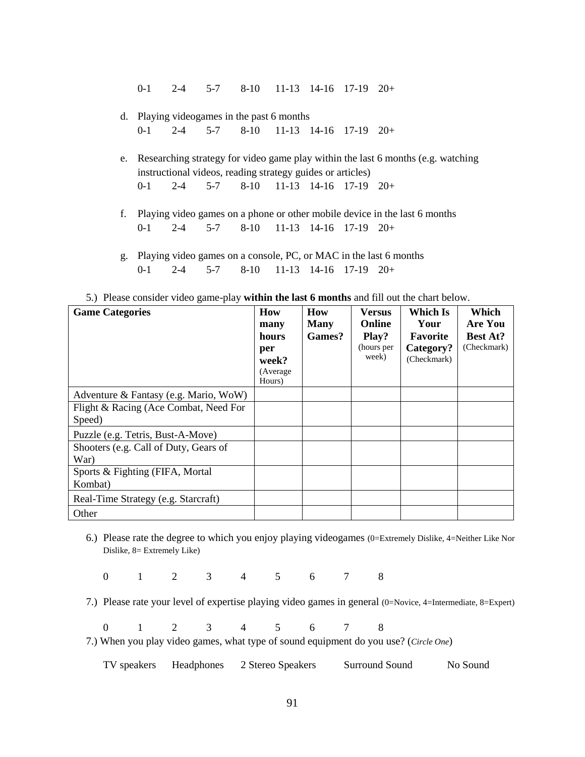0-1 2-4 5-7 8-10 11-13 14-16 17-19 20+

- d. Playing videogames in the past 6 months 0-1 2-4 5-7 8-10 11-13 14-16 17-19 20+
- e. Researching strategy for video game play within the last 6 months (e.g. watching instructional videos, reading strategy guides or articles) 0-1 2-4 5-7 8-10 11-13 14-16 17-19 20+
- f. Playing video games on a phone or other mobile device in the last 6 months 0-1 2-4 5-7 8-10 11-13 14-16 17-19 20+
- g. Playing video games on a console, PC, or MAC in the last 6 months 0-1 2-4 5-7 8-10 11-13 14-16 17-19 20+

|  | 5.) Please consider video game-play within the last 6 months and fill out the chart below. |  |
|--|--------------------------------------------------------------------------------------------|--|
|--|--------------------------------------------------------------------------------------------|--|

| <b>Game Categories</b>                          | How<br>many<br>hours<br>per<br>week?<br>(Average)<br>Hours) | How<br><b>Many</b><br>Games? | <b>Versus</b><br>Online<br>Play?<br>(hours per<br>week) | Which Is<br>Your<br><b>Favorite</b><br>Category?<br>(Checkmark) | Which<br>Are You<br><b>Best At?</b><br>(Checkmark) |
|-------------------------------------------------|-------------------------------------------------------------|------------------------------|---------------------------------------------------------|-----------------------------------------------------------------|----------------------------------------------------|
| Adventure & Fantasy (e.g. Mario, WoW)           |                                                             |                              |                                                         |                                                                 |                                                    |
| Flight & Racing (Ace Combat, Need For<br>Speed) |                                                             |                              |                                                         |                                                                 |                                                    |
| Puzzle (e.g. Tetris, Bust-A-Move)               |                                                             |                              |                                                         |                                                                 |                                                    |
| Shooters (e.g. Call of Duty, Gears of<br>War)   |                                                             |                              |                                                         |                                                                 |                                                    |
| Sports & Fighting (FIFA, Mortal<br>Kombat)      |                                                             |                              |                                                         |                                                                 |                                                    |
| Real-Time Strategy (e.g. Starcraft)             |                                                             |                              |                                                         |                                                                 |                                                    |
| Other                                           |                                                             |                              |                                                         |                                                                 |                                                    |

6.) Please rate the degree to which you enjoy playing videogames (0=Extremely Dislike, 4=Neither Like Nor Dislike, 8= Extremely Like)

0 1 2 3 4 5 6 7 8

7.) Please rate your level of expertise playing video games in general (0=Novice, 4=Intermediate, 8=Expert)

0 1 2 3 4 5 6 7 8

7.) When you play video games, what type of sound equipment do you use? (*Circle One*)

TV speakers Headphones 2 Stereo Speakers Surround Sound No Sound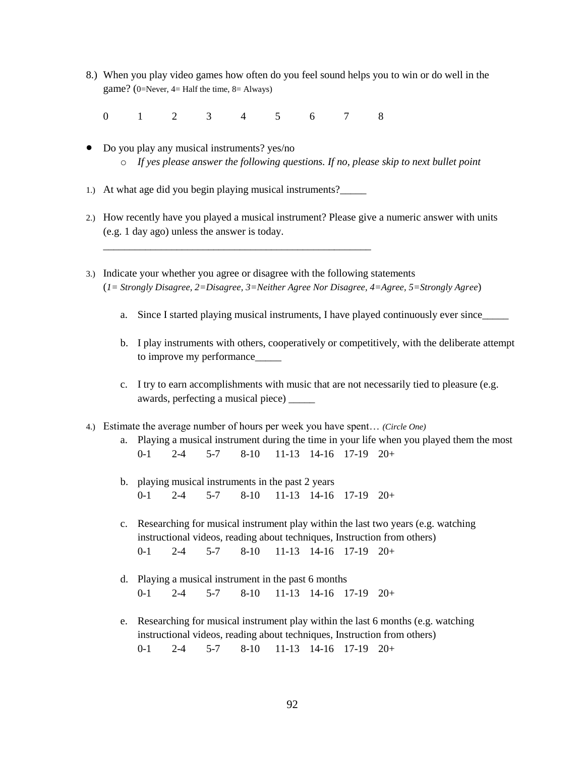- 8.) When you play video games how often do you feel sound helps you to win or do well in the game? (0=Never, 4= Half the time, 8= Always)
	- 0 1 2 3 4 5 6 7 8
- Do you play any musical instruments? yes/no o *If yes please answer the following questions. If no, please skip to next bullet point*
- 1.) At what age did you begin playing musical instruments?\_\_\_\_\_

\_\_\_\_\_\_\_\_\_\_\_\_\_\_\_\_\_\_\_\_\_\_\_\_\_\_\_\_\_\_\_\_\_\_\_\_\_\_\_\_\_\_\_\_\_\_\_\_\_\_\_

- 2.) How recently have you played a musical instrument? Please give a numeric answer with units (e.g. 1 day ago) unless the answer is today.
- 3.) Indicate your whether you agree or disagree with the following statements (*1= Strongly Disagree, 2=Disagree, 3=Neither Agree Nor Disagree, 4=Agree, 5=Strongly Agree*)
	- a. Since I started playing musical instruments, I have played continuously ever since\_\_\_\_\_
	- b. I play instruments with others, cooperatively or competitively, with the deliberate attempt to improve my performance\_\_\_\_\_
	- c. I try to earn accomplishments with music that are not necessarily tied to pleasure (e.g. awards, perfecting a musical piece) \_\_\_\_\_
- 4.) Estimate the average number of hours per week you have spent… *(Circle One)*
	- a. Playing a musical instrument during the time in your life when you played them the most 0-1 2-4 5-7 8-10 11-13 14-16 17-19 20+
	- b. playing musical instruments in the past 2 years 0-1 2-4 5-7 8-10 11-13 14-16 17-19 20+
	- c. Researching for musical instrument play within the last two years (e.g. watching instructional videos, reading about techniques, Instruction from others) 0-1 2-4 5-7 8-10 11-13 14-16 17-19 20+
	- d. Playing a musical instrument in the past 6 months 0-1 2-4 5-7 8-10 11-13 14-16 17-19 20+
	- e. Researching for musical instrument play within the last 6 months (e.g. watching instructional videos, reading about techniques, Instruction from others) 0-1 2-4 5-7 8-10 11-13 14-16 17-19 20+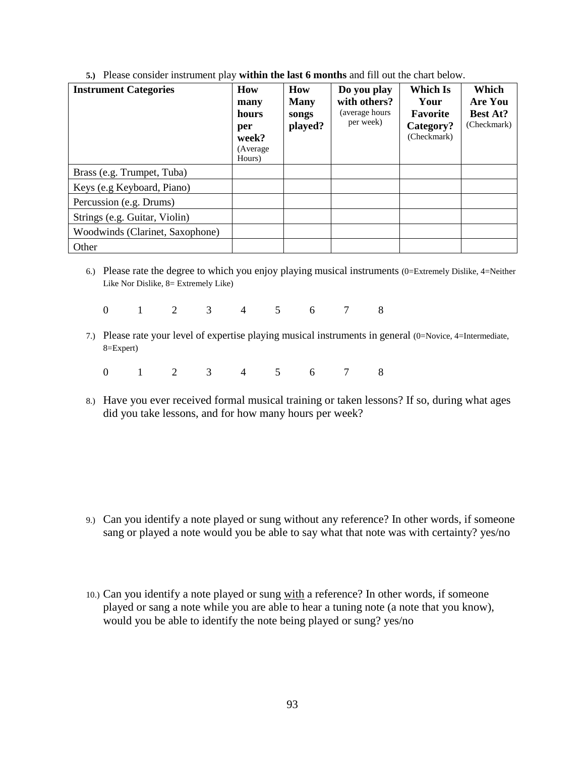| <b>Instrument Categories</b>    | How<br>many<br>hours<br>per<br>week?<br>(Average)<br>Hours) | <b>How</b><br><b>Many</b><br>songs<br>played? | Do you play<br>with others?<br>(average hours<br>per week) | Which Is<br>Your<br><b>Favorite</b><br>Category?<br>(Checkmark) | Which<br><b>Are You</b><br><b>Best At?</b><br>(Checkmark) |
|---------------------------------|-------------------------------------------------------------|-----------------------------------------------|------------------------------------------------------------|-----------------------------------------------------------------|-----------------------------------------------------------|
| Brass (e.g. Trumpet, Tuba)      |                                                             |                                               |                                                            |                                                                 |                                                           |
| Keys (e.g Keyboard, Piano)      |                                                             |                                               |                                                            |                                                                 |                                                           |
| Percussion (e.g. Drums)         |                                                             |                                               |                                                            |                                                                 |                                                           |
| Strings (e.g. Guitar, Violin)   |                                                             |                                               |                                                            |                                                                 |                                                           |
| Woodwinds (Clarinet, Saxophone) |                                                             |                                               |                                                            |                                                                 |                                                           |
| Other                           |                                                             |                                               |                                                            |                                                                 |                                                           |

**5.)** Please consider instrument play **within the last 6 months** and fill out the chart below.

- 6.) Please rate the degree to which you enjoy playing musical instruments (0=Extremely Dislike, 4=Neither Like Nor Dislike, 8= Extremely Like)
	- 0 1 2 3 4 5 6 7 8
- 7.) Please rate your level of expertise playing musical instruments in general (0=Novice, 4=Intermediate, 8=Expert)
	- 0 1 2 3 4 5 6 7 8
- 8.) Have you ever received formal musical training or taken lessons? If so, during what ages did you take lessons, and for how many hours per week?

- 9.) Can you identify a note played or sung without any reference? In other words, if someone sang or played a note would you be able to say what that note was with certainty? yes/no
- 10.) Can you identify a note played or sung with a reference? In other words, if someone played or sang a note while you are able to hear a tuning note (a note that you know), would you be able to identify the note being played or sung? yes/no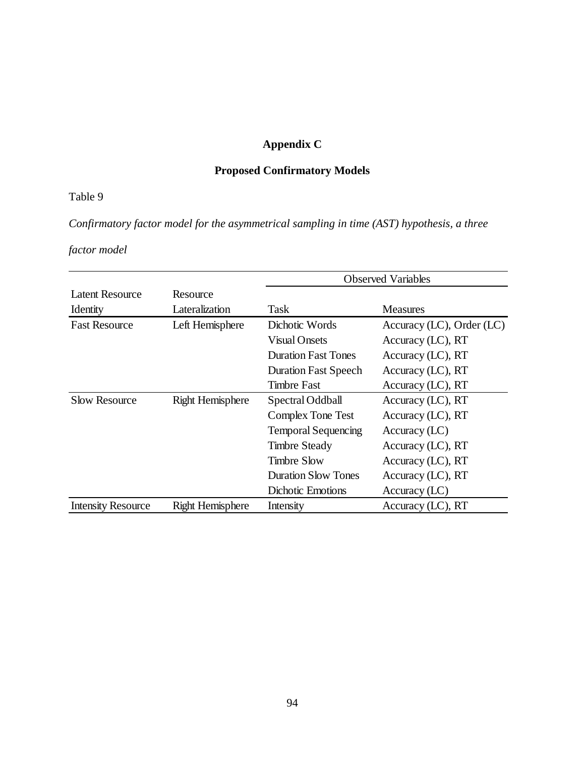# **Appendix C**

# **Proposed Confirmatory Models**

# Table 9

*Confirmatory factor model for the asymmetrical sampling in time (AST) hypothesis, a three* 

# *factor model* **For the asymmetrical sampling in time (AST) hypothesis, a three asymmetrical sampling in the asymmetrical sampling in time (AST) hypothesis, a three asymmetrical sampling in time (AST) hypothesis, a three a**

|                           |                         | <b>Observed Variables</b>   |                                |  |
|---------------------------|-------------------------|-----------------------------|--------------------------------|--|
| Latent Resource           | Resource                |                             |                                |  |
| Identity                  | Lateralization          | Task                        | <b>Measures</b>                |  |
| <b>Fast Resource</b>      | Left Hemisphere         | Dichotic Words              | Accuracy $(LC)$ , Order $(LC)$ |  |
|                           |                         | Visual Onsets               | Accuracy (LC), RT              |  |
|                           |                         | <b>Duration Fast Tones</b>  | Accuracy (LC), RT              |  |
|                           |                         | <b>Duration Fast Speech</b> | Accuracy $(LC)$ , RT           |  |
|                           |                         | Timbre Fast                 | Accuracy (LC), RT              |  |
| <b>Slow Resource</b>      | <b>Right Hemisphere</b> | Spectral Oddball            | Accuracy $(LC)$ , RT           |  |
|                           |                         | Complex Tone Test           | Accuracy $(LC)$ , RT           |  |
|                           |                         | <b>Temporal Sequencing</b>  | Accuracy (LC)                  |  |
|                           |                         | <b>Timbre Steady</b>        | Accuracy (LC), RT              |  |
|                           |                         | <b>Timbre Slow</b>          | Accuracy (LC), RT              |  |
|                           |                         | <b>Duration Slow Tones</b>  | Accuracy $(LC)$ , RT           |  |
|                           |                         | <b>Dichotic Emotions</b>    | Accuracy (LC)                  |  |
| <b>Intensity Resource</b> | <b>Right Hemisphere</b> | Intensity                   | Accuracy $(LC)$ , RT           |  |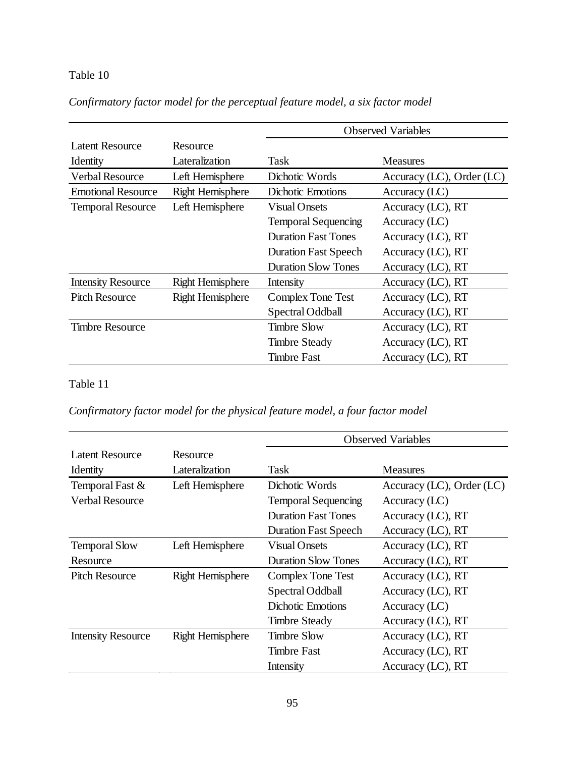# Table 10

|                           |                         | <b>Observed Variables</b>   |                                |  |
|---------------------------|-------------------------|-----------------------------|--------------------------------|--|
| Latent Resource           | Resource                |                             |                                |  |
| Identity                  | Lateralization          | Task                        | <b>Measures</b>                |  |
| <b>Verbal Resource</b>    | Left Hemisphere         | Dichotic Words              | Accuracy $(LC)$ , Order $(LC)$ |  |
| <b>Emotional Resource</b> | <b>Right Hemisphere</b> | Dichotic Emotions           | Accuracy (LC)                  |  |
| <b>Temporal Resource</b>  | Left Hemisphere         | <b>Visual Onsets</b>        | Accuracy (LC), RT              |  |
|                           |                         | <b>Temporal Sequencing</b>  | Accuracy (LC)                  |  |
|                           |                         | <b>Duration Fast Tones</b>  | Accuracy (LC), RT              |  |
|                           |                         | <b>Duration Fast Speech</b> | Accuracy $(LC)$ , RT           |  |
|                           |                         | <b>Duration Slow Tones</b>  | Accuracy (LC), RT              |  |
| <b>Intensity Resource</b> | <b>Right Hemisphere</b> | Intensity                   | Accuracy (LC), RT              |  |
| <b>Pitch Resource</b>     | <b>Right Hemisphere</b> | Complex Tone Test           | Accuracy (LC), RT              |  |
|                           |                         | Spectral Oddball            | Accuracy (LC), RT              |  |
| <b>Timbre Resource</b>    |                         | <b>Timbre Slow</b>          | Accuracy $(LC)$ , RT           |  |
|                           |                         | <b>Timbre Steady</b>        | Accuracy (LC), RT              |  |
|                           |                         | <b>Timbre Fast</b>          | Accuracy (LC), RT              |  |

# *Confirmatory factor model for the perceptual feature model, a six factor model*

# Table 11

*Confirmatory factor model for the physical feature model, a four factor model*

|                           |                         | <b>Observed Variables</b>   |                           |  |
|---------------------------|-------------------------|-----------------------------|---------------------------|--|
| <b>Latent Resource</b>    | Resource                |                             |                           |  |
| Identity                  | Lateralization          | Task                        | <b>Measures</b>           |  |
| Temporal Fast &           | Left Hemisphere         | Dichotic Words              | Accuracy (LC), Order (LC) |  |
| <b>Verbal Resource</b>    |                         | <b>Temporal Sequencing</b>  | Accuracy (LC)             |  |
|                           |                         | <b>Duration Fast Tones</b>  | Accuracy (LC), RT         |  |
|                           |                         | <b>Duration Fast Speech</b> | Accuracy $(LC)$ , RT      |  |
| <b>Temporal Slow</b>      | Left Hemisphere         | <b>Visual Onsets</b>        | Accuracy (LC), RT         |  |
| Resource                  |                         | <b>Duration Slow Tones</b>  | Accuracy (LC), RT         |  |
| <b>Pitch Resource</b>     | <b>Right Hemisphere</b> | Complex Tone Test           | Accuracy $(LC)$ , RT      |  |
|                           |                         | Spectral Oddball            | Accuracy (LC), RT         |  |
|                           |                         | <b>Dichotic Emotions</b>    | Accuracy (LC)             |  |
|                           |                         | <b>Timbre Steady</b>        | Accuracy $(LC)$ , RT      |  |
| <b>Intensity Resource</b> | <b>Right Hemisphere</b> | <b>Timbre Slow</b>          | Accuracy (LC), RT         |  |
|                           |                         | <b>Timbre Fast</b>          | Accuracy (LC), RT         |  |
|                           |                         | Intensity                   | Accuracy $(LC)$ , RT      |  |